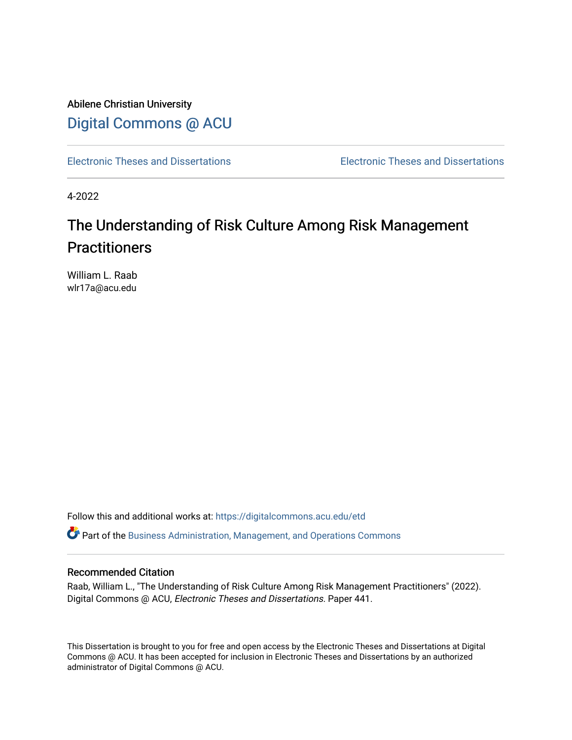Abilene Christian University [Digital Commons @ ACU](https://digitalcommons.acu.edu/)

[Electronic Theses and Dissertations](https://digitalcommons.acu.edu/etd) [Electronic Theses and Dissertations](https://digitalcommons.acu.edu/graduate_works) 

4-2022

# The Understanding of Risk Culture Among Risk Management **Practitioners**

William L. Raab wlr17a@acu.edu

Follow this and additional works at: [https://digitalcommons.acu.edu/etd](https://digitalcommons.acu.edu/etd?utm_source=digitalcommons.acu.edu%2Fetd%2F441&utm_medium=PDF&utm_campaign=PDFCoverPages) 

 $\bullet$  Part of the [Business Administration, Management, and Operations Commons](http://network.bepress.com/hgg/discipline/623?utm_source=digitalcommons.acu.edu%2Fetd%2F441&utm_medium=PDF&utm_campaign=PDFCoverPages)

# Recommended Citation

Raab, William L., "The Understanding of Risk Culture Among Risk Management Practitioners" (2022). Digital Commons @ ACU, Electronic Theses and Dissertations. Paper 441.

This Dissertation is brought to you for free and open access by the Electronic Theses and Dissertations at Digital Commons @ ACU. It has been accepted for inclusion in Electronic Theses and Dissertations by an authorized administrator of Digital Commons @ ACU.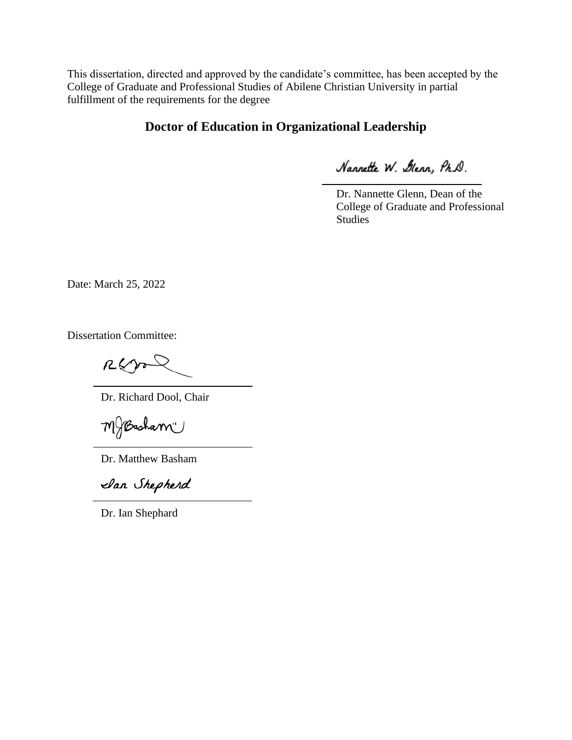This dissertation, directed and approved by the candidate's committee, has been accepted by the College of Graduate and Professional Studies of Abilene Christian University in partial fulfillment of the requirements for the degree

# **Doctor of Education in Organizational Leadership**

Nannette W. Glenn, Ph.D.

Dr. Nannette Glenn, Dean of the College of Graduate and Professional Studies

Date: March 25, 2022

Dissertation Committee:

Rego

Dr. Richard Dool, Chair

MBasham"

Dr. Matthew Basham

San Shepherd

Dr. Ian Shephard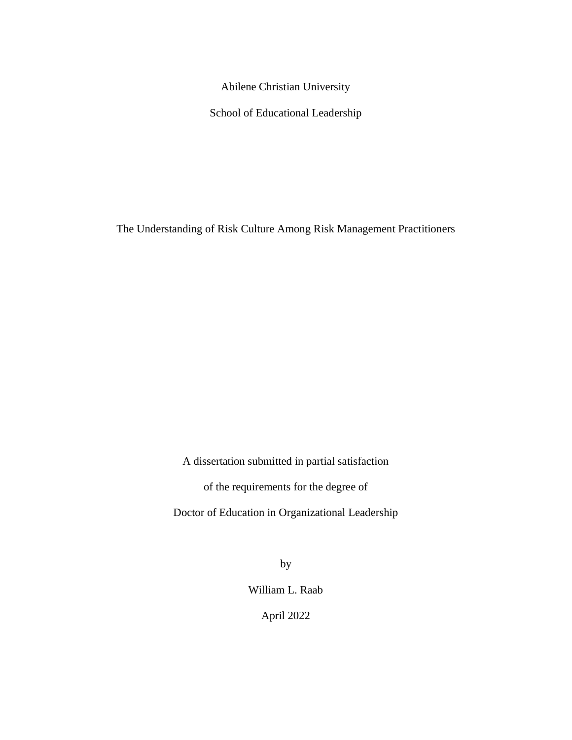Abilene Christian University

School of Educational Leadership

The Understanding of Risk Culture Among Risk Management Practitioners

A dissertation submitted in partial satisfaction

of the requirements for the degree of

Doctor of Education in Organizational Leadership

by

William L. Raab

April 2022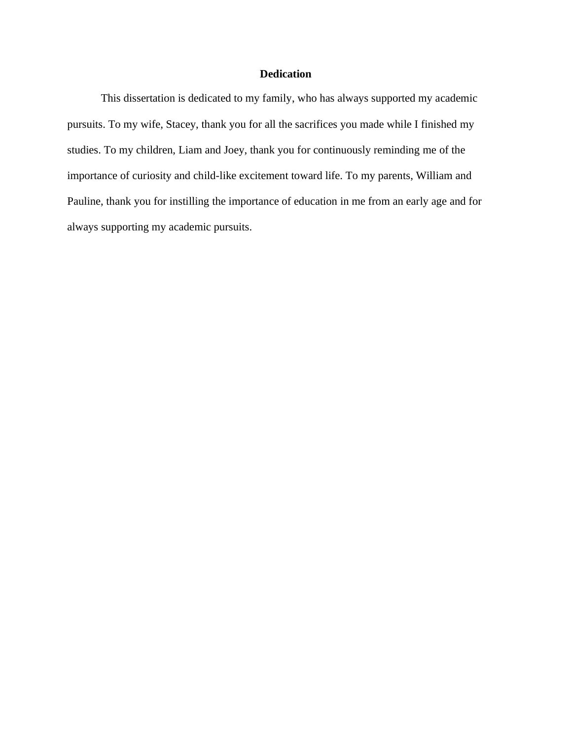# **Dedication**

This dissertation is dedicated to my family, who has always supported my academic pursuits. To my wife, Stacey, thank you for all the sacrifices you made while I finished my studies. To my children, Liam and Joey, thank you for continuously reminding me of the importance of curiosity and child-like excitement toward life. To my parents, William and Pauline, thank you for instilling the importance of education in me from an early age and for always supporting my academic pursuits.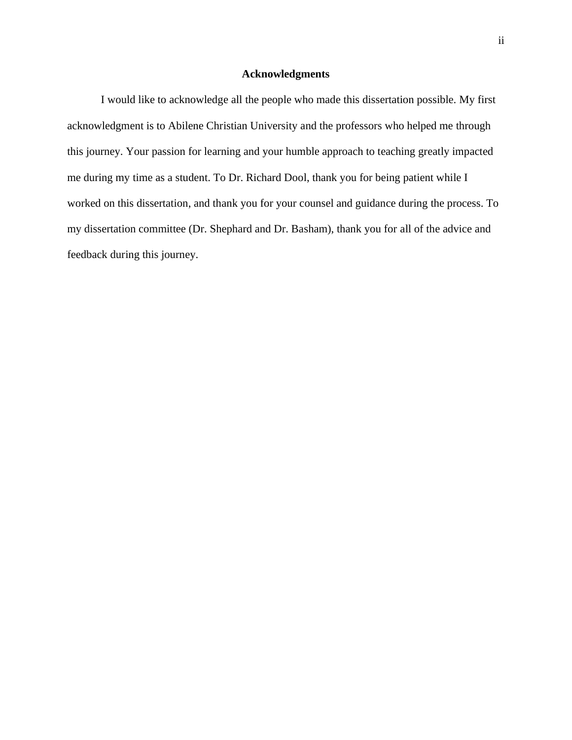# **Acknowledgments**

I would like to acknowledge all the people who made this dissertation possible. My first acknowledgment is to Abilene Christian University and the professors who helped me through this journey. Your passion for learning and your humble approach to teaching greatly impacted me during my time as a student. To Dr. Richard Dool, thank you for being patient while I worked on this dissertation, and thank you for your counsel and guidance during the process. To my dissertation committee (Dr. Shephard and Dr. Basham), thank you for all of the advice and feedback during this journey.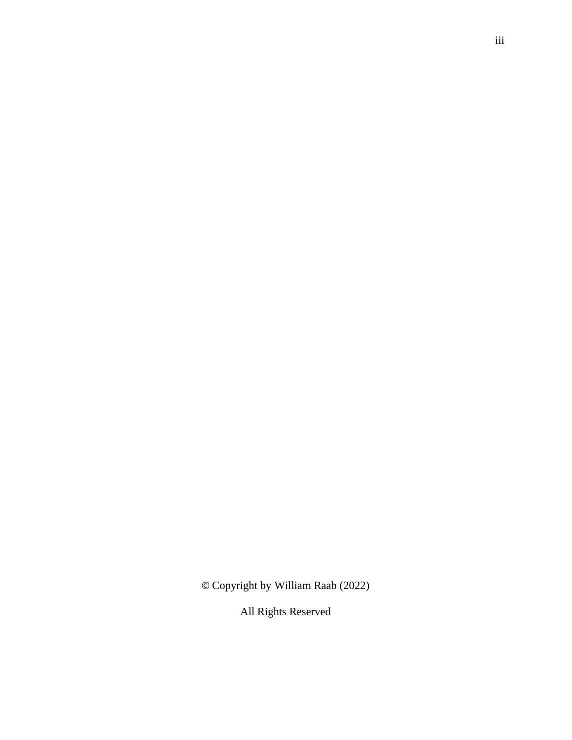© Copyright by William Raab (2022)

All Rights Reserved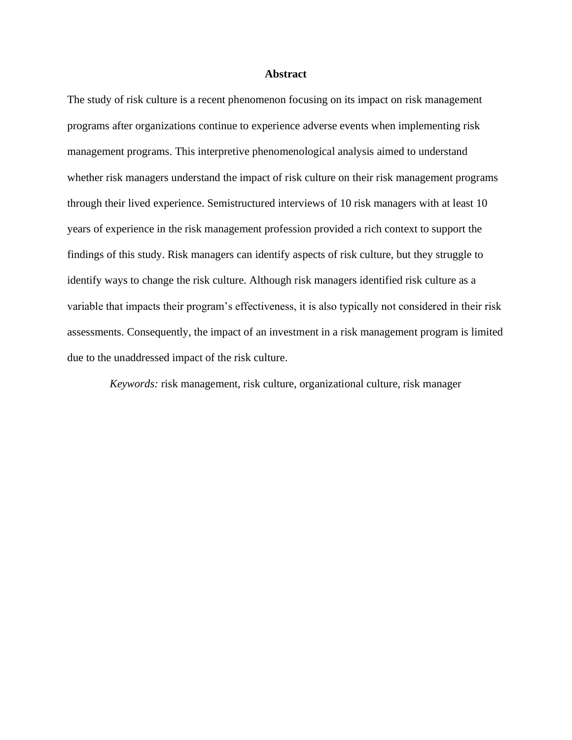#### **Abstract**

The study of risk culture is a recent phenomenon focusing on its impact on risk management programs after organizations continue to experience adverse events when implementing risk management programs. This interpretive phenomenological analysis aimed to understand whether risk managers understand the impact of risk culture on their risk management programs through their lived experience. Semistructured interviews of 10 risk managers with at least 10 years of experience in the risk management profession provided a rich context to support the findings of this study. Risk managers can identify aspects of risk culture, but they struggle to identify ways to change the risk culture. Although risk managers identified risk culture as a variable that impacts their program's effectiveness, it is also typically not considered in their risk assessments. Consequently, the impact of an investment in a risk management program is limited due to the unaddressed impact of the risk culture.

*Keywords:* risk management, risk culture, organizational culture, risk manager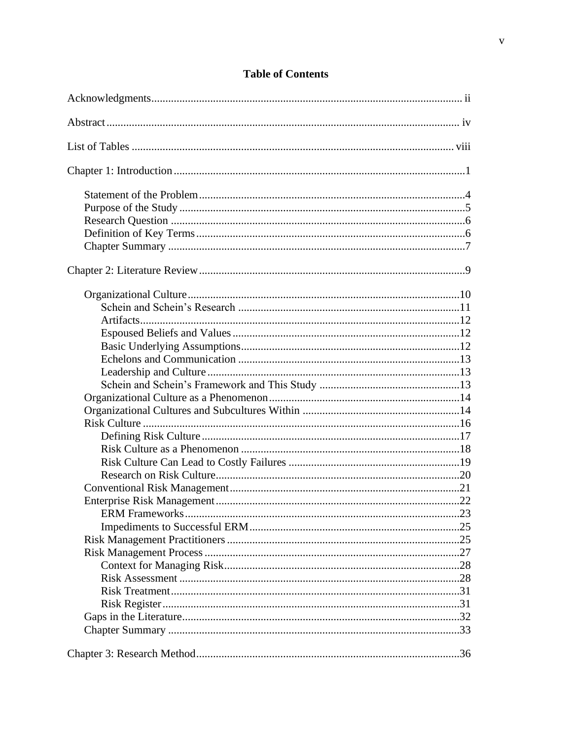# **Table of Contents**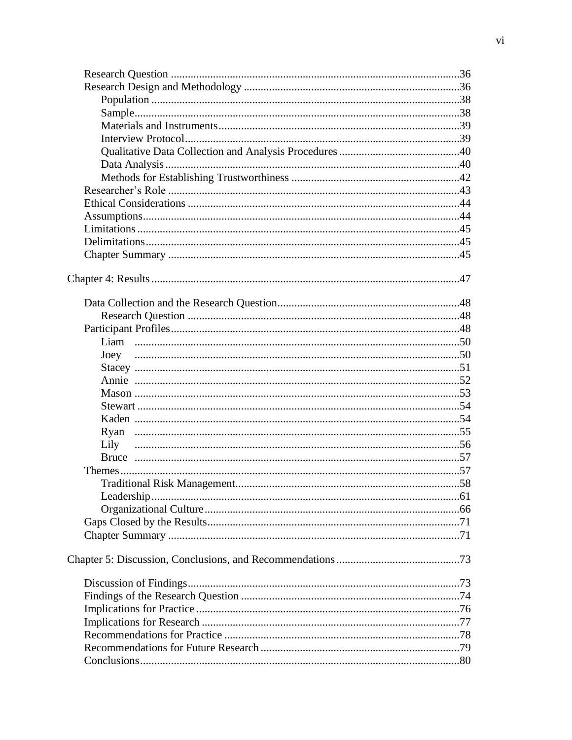| Lily |  |
|------|--|
|      |  |
|      |  |
|      |  |
|      |  |
|      |  |
|      |  |
|      |  |
|      |  |
|      |  |
|      |  |
|      |  |
|      |  |
|      |  |
|      |  |
|      |  |
|      |  |
|      |  |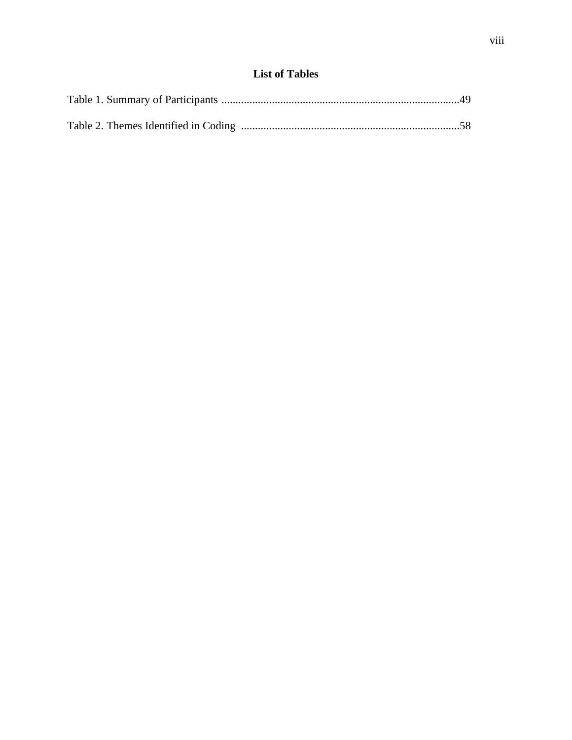# **List of Tables**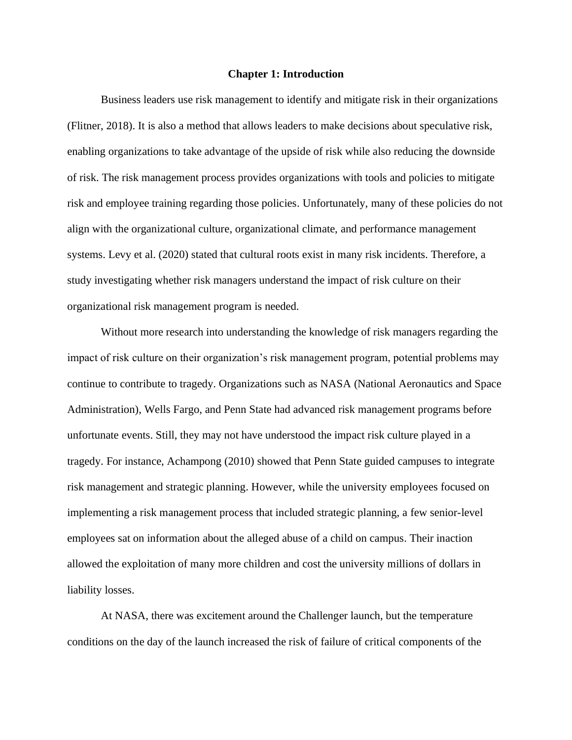#### **Chapter 1: Introduction**

Business leaders use risk management to identify and mitigate risk in their organizations (Flitner, 2018). It is also a method that allows leaders to make decisions about speculative risk, enabling organizations to take advantage of the upside of risk while also reducing the downside of risk. The risk management process provides organizations with tools and policies to mitigate risk and employee training regarding those policies. Unfortunately, many of these policies do not align with the organizational culture, organizational climate, and performance management systems. Levy et al. (2020) stated that cultural roots exist in many risk incidents. Therefore, a study investigating whether risk managers understand the impact of risk culture on their organizational risk management program is needed.

Without more research into understanding the knowledge of risk managers regarding the impact of risk culture on their organization's risk management program, potential problems may continue to contribute to tragedy. Organizations such as NASA (National Aeronautics and Space Administration), Wells Fargo, and Penn State had advanced risk management programs before unfortunate events. Still, they may not have understood the impact risk culture played in a tragedy. For instance, Achampong (2010) showed that Penn State guided campuses to integrate risk management and strategic planning. However, while the university employees focused on implementing a risk management process that included strategic planning, a few senior-level employees sat on information about the alleged abuse of a child on campus. Their inaction allowed the exploitation of many more children and cost the university millions of dollars in liability losses.

At NASA, there was excitement around the Challenger launch, but the temperature conditions on the day of the launch increased the risk of failure of critical components of the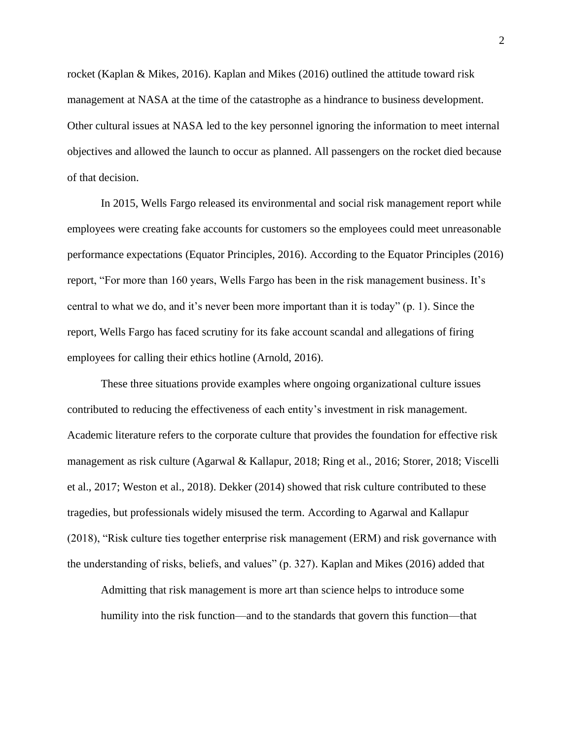rocket (Kaplan & Mikes, 2016). Kaplan and Mikes (2016) outlined the attitude toward risk management at NASA at the time of the catastrophe as a hindrance to business development. Other cultural issues at NASA led to the key personnel ignoring the information to meet internal objectives and allowed the launch to occur as planned. All passengers on the rocket died because of that decision.

In 2015, Wells Fargo released its environmental and social risk management report while employees were creating fake accounts for customers so the employees could meet unreasonable performance expectations (Equator Principles, 2016). According to the Equator Principles (2016) report, "For more than 160 years, Wells Fargo has been in the risk management business. It's central to what we do, and it's never been more important than it is today" (p. 1). Since the report, Wells Fargo has faced scrutiny for its fake account scandal and allegations of firing employees for calling their ethics hotline (Arnold, 2016).

These three situations provide examples where ongoing organizational culture issues contributed to reducing the effectiveness of each entity's investment in risk management. Academic literature refers to the corporate culture that provides the foundation for effective risk management as risk culture (Agarwal & Kallapur, 2018; Ring et al., 2016; Storer, 2018; Viscelli et al., 2017; Weston et al., 2018). Dekker (2014) showed that risk culture contributed to these tragedies, but professionals widely misused the term. According to Agarwal and Kallapur (2018), "Risk culture ties together enterprise risk management (ERM) and risk governance with the understanding of risks, beliefs, and values" (p. 327). Kaplan and Mikes (2016) added that

Admitting that risk management is more art than science helps to introduce some humility into the risk function—and to the standards that govern this function—that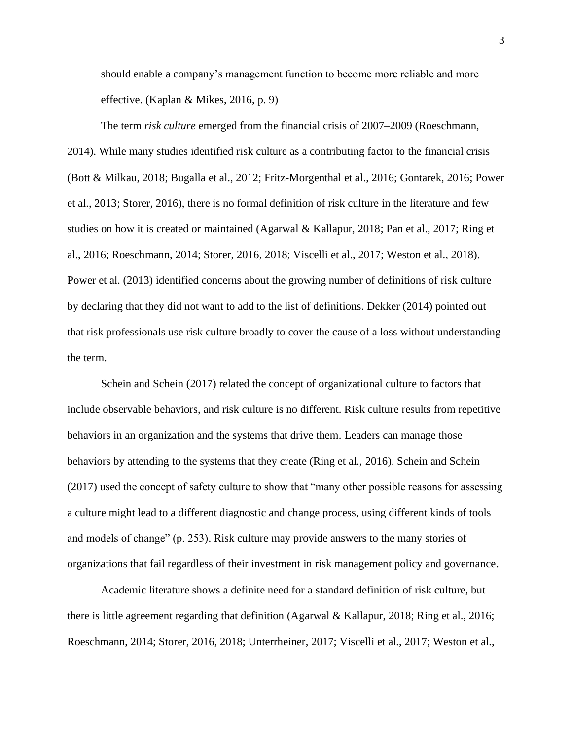should enable a company's management function to become more reliable and more effective. (Kaplan & Mikes, 2016, p. 9)

The term *risk culture* emerged from the financial crisis of 2007–2009 (Roeschmann, 2014). While many studies identified risk culture as a contributing factor to the financial crisis (Bott & Milkau, 2018; Bugalla et al., 2012; Fritz-Morgenthal et al., 2016; Gontarek, 2016; Power et al., 2013; Storer, 2016), there is no formal definition of risk culture in the literature and few studies on how it is created or maintained (Agarwal & Kallapur, 2018; Pan et al., 2017; Ring et al., 2016; Roeschmann, 2014; Storer, 2016, 2018; Viscelli et al., 2017; Weston et al., 2018). Power et al. (2013) identified concerns about the growing number of definitions of risk culture by declaring that they did not want to add to the list of definitions. Dekker (2014) pointed out that risk professionals use risk culture broadly to cover the cause of a loss without understanding the term.

Schein and Schein (2017) related the concept of organizational culture to factors that include observable behaviors, and risk culture is no different. Risk culture results from repetitive behaviors in an organization and the systems that drive them. Leaders can manage those behaviors by attending to the systems that they create (Ring et al., 2016). Schein and Schein (2017) used the concept of safety culture to show that "many other possible reasons for assessing a culture might lead to a different diagnostic and change process, using different kinds of tools and models of change" (p. 253). Risk culture may provide answers to the many stories of organizations that fail regardless of their investment in risk management policy and governance.

Academic literature shows a definite need for a standard definition of risk culture, but there is little agreement regarding that definition (Agarwal & Kallapur, 2018; Ring et al., 2016; Roeschmann, 2014; Storer, 2016, 2018; Unterrheiner, 2017; Viscelli et al., 2017; Weston et al.,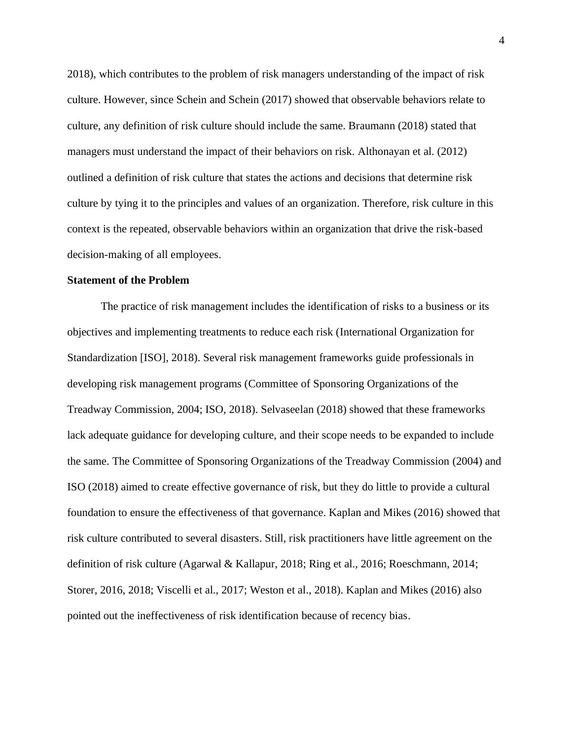2018), which contributes to the problem of risk managers understanding of the impact of risk culture. However, since Schein and Schein (2017) showed that observable behaviors relate to culture, any definition of risk culture should include the same. Braumann (2018) stated that managers must understand the impact of their behaviors on risk. Althonayan et al. (2012) outlined a definition of risk culture that states the actions and decisions that determine risk culture by tying it to the principles and values of an organization. Therefore, risk culture in this context is the repeated, observable behaviors within an organization that drive the risk-based decision-making of all employees.

# **Statement of the Problem**

The practice of risk management includes the identification of risks to a business or its objectives and implementing treatments to reduce each risk (International Organization for Standardization [ISO], 2018). Several risk management frameworks guide professionals in developing risk management programs (Committee of Sponsoring Organizations of the Treadway Commission, 2004; ISO, 2018). Selvaseelan (2018) showed that these frameworks lack adequate guidance for developing culture, and their scope needs to be expanded to include the same. The Committee of Sponsoring Organizations of the Treadway Commission (2004) and ISO (2018) aimed to create effective governance of risk, but they do little to provide a cultural foundation to ensure the effectiveness of that governance. Kaplan and Mikes (2016) showed that risk culture contributed to several disasters. Still, risk practitioners have little agreement on the definition of risk culture (Agarwal & Kallapur, 2018; Ring et al., 2016; Roeschmann, 2014; Storer, 2016, 2018; Viscelli et al., 2017; Weston et al., 2018). Kaplan and Mikes (2016) also pointed out the ineffectiveness of risk identification because of recency bias.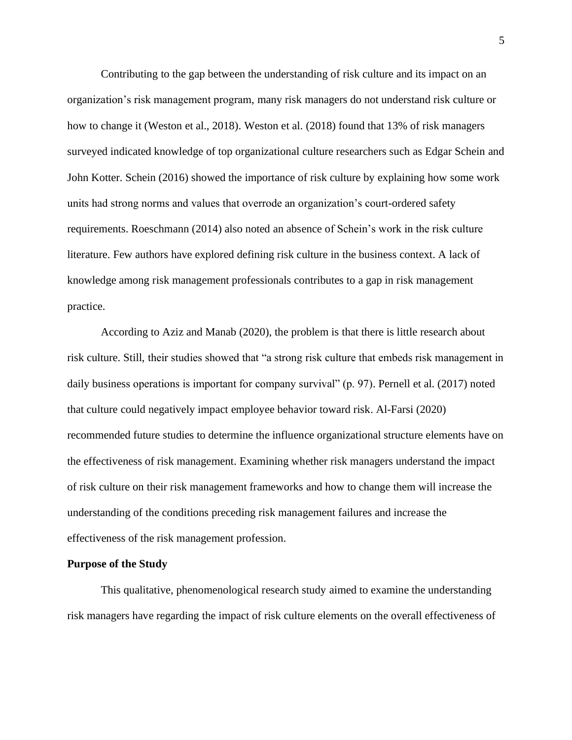Contributing to the gap between the understanding of risk culture and its impact on an organization's risk management program, many risk managers do not understand risk culture or how to change it (Weston et al., 2018). Weston et al. (2018) found that 13% of risk managers surveyed indicated knowledge of top organizational culture researchers such as Edgar Schein and John Kotter. Schein (2016) showed the importance of risk culture by explaining how some work units had strong norms and values that overrode an organization's court-ordered safety requirements. Roeschmann (2014) also noted an absence of Schein's work in the risk culture literature. Few authors have explored defining risk culture in the business context. A lack of knowledge among risk management professionals contributes to a gap in risk management practice.

According to Aziz and Manab (2020), the problem is that there is little research about risk culture. Still, their studies showed that "a strong risk culture that embeds risk management in daily business operations is important for company survival" (p. 97). Pernell et al. (2017) noted that culture could negatively impact employee behavior toward risk. Al-Farsi (2020) recommended future studies to determine the influence organizational structure elements have on the effectiveness of risk management. Examining whether risk managers understand the impact of risk culture on their risk management frameworks and how to change them will increase the understanding of the conditions preceding risk management failures and increase the effectiveness of the risk management profession.

#### **Purpose of the Study**

This qualitative, phenomenological research study aimed to examine the understanding risk managers have regarding the impact of risk culture elements on the overall effectiveness of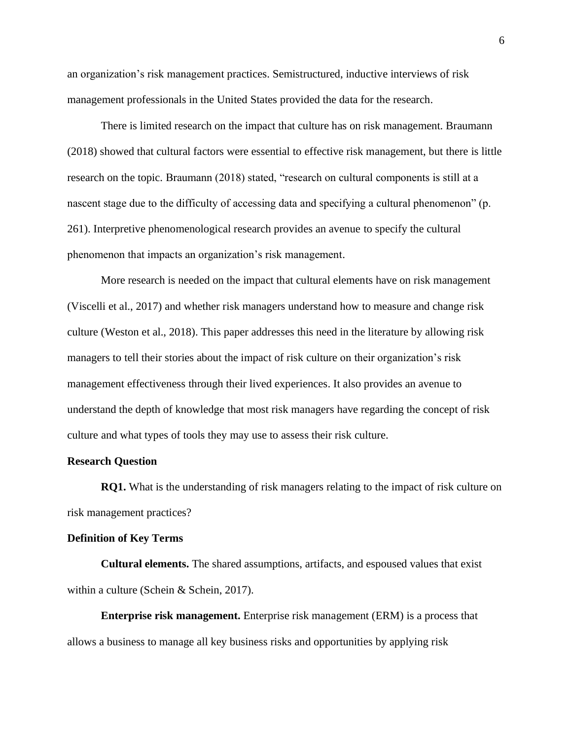an organization's risk management practices. Semistructured, inductive interviews of risk management professionals in the United States provided the data for the research.

There is limited research on the impact that culture has on risk management. Braumann (2018) showed that cultural factors were essential to effective risk management, but there is little research on the topic. Braumann (2018) stated, "research on cultural components is still at a nascent stage due to the difficulty of accessing data and specifying a cultural phenomenon" (p. 261). Interpretive phenomenological research provides an avenue to specify the cultural phenomenon that impacts an organization's risk management.

More research is needed on the impact that cultural elements have on risk management (Viscelli et al., 2017) and whether risk managers understand how to measure and change risk culture (Weston et al., 2018). This paper addresses this need in the literature by allowing risk managers to tell their stories about the impact of risk culture on their organization's risk management effectiveness through their lived experiences. It also provides an avenue to understand the depth of knowledge that most risk managers have regarding the concept of risk culture and what types of tools they may use to assess their risk culture.

#### **Research Question**

**RQ1.** What is the understanding of risk managers relating to the impact of risk culture on risk management practices?

# **Definition of Key Terms**

**Cultural elements.** The shared assumptions, artifacts, and espoused values that exist within a culture (Schein & Schein, 2017).

**Enterprise risk management.** Enterprise risk management (ERM) is a process that allows a business to manage all key business risks and opportunities by applying risk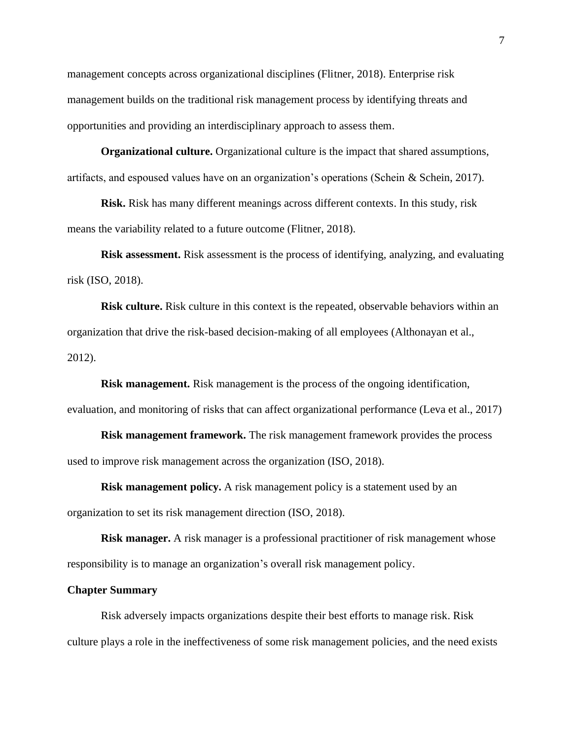management concepts across organizational disciplines (Flitner, 2018). Enterprise risk management builds on the traditional risk management process by identifying threats and opportunities and providing an interdisciplinary approach to assess them.

**Organizational culture.** Organizational culture is the impact that shared assumptions, artifacts, and espoused values have on an organization's operations (Schein & Schein, 2017).

**Risk.** Risk has many different meanings across different contexts. In this study, risk means the variability related to a future outcome (Flitner, 2018).

**Risk assessment.** Risk assessment is the process of identifying, analyzing, and evaluating risk (ISO, 2018).

**Risk culture.** Risk culture in this context is the repeated, observable behaviors within an organization that drive the risk-based decision-making of all employees (Althonayan et al., 2012).

**Risk management.** Risk management is the process of the ongoing identification, evaluation, and monitoring of risks that can affect organizational performance (Leva et al., 2017)

**Risk management framework.** The risk management framework provides the process used to improve risk management across the organization (ISO, 2018).

**Risk management policy.** A risk management policy is a statement used by an organization to set its risk management direction (ISO, 2018).

**Risk manager.** A risk manager is a professional practitioner of risk management whose responsibility is to manage an organization's overall risk management policy.

#### **Chapter Summary**

Risk adversely impacts organizations despite their best efforts to manage risk. Risk culture plays a role in the ineffectiveness of some risk management policies, and the need exists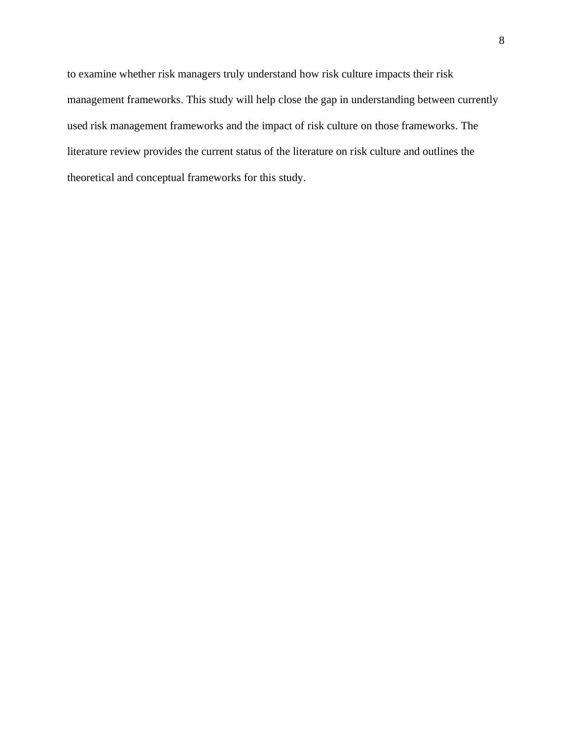to examine whether risk managers truly understand how risk culture impacts their risk management frameworks. This study will help close the gap in understanding between currently used risk management frameworks and the impact of risk culture on those frameworks. The literature review provides the current status of the literature on risk culture and outlines the theoretical and conceptual frameworks for this study.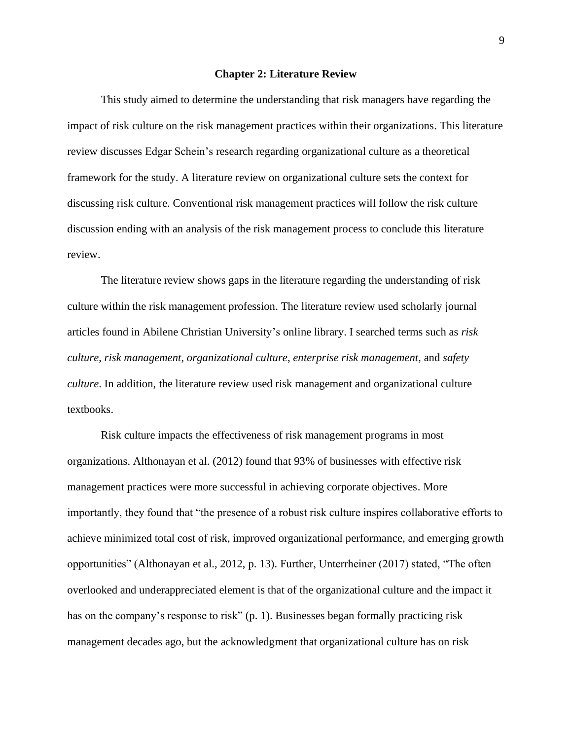#### **Chapter 2: Literature Review**

This study aimed to determine the understanding that risk managers have regarding the impact of risk culture on the risk management practices within their organizations. This literature review discusses Edgar Schein's research regarding organizational culture as a theoretical framework for the study. A literature review on organizational culture sets the context for discussing risk culture. Conventional risk management practices will follow the risk culture discussion ending with an analysis of the risk management process to conclude this literature review.

The literature review shows gaps in the literature regarding the understanding of risk culture within the risk management profession. The literature review used scholarly journal articles found in Abilene Christian University's online library. I searched terms such as *risk culture*, *risk management*, *organizational culture*, *enterprise risk management*, and *safety culture*. In addition, the literature review used risk management and organizational culture textbooks.

Risk culture impacts the effectiveness of risk management programs in most organizations. Althonayan et al. (2012) found that 93% of businesses with effective risk management practices were more successful in achieving corporate objectives. More importantly, they found that "the presence of a robust risk culture inspires collaborative efforts to achieve minimized total cost of risk, improved organizational performance, and emerging growth opportunities" (Althonayan et al., 2012, p. 13). Further, Unterrheiner (2017) stated, "The often overlooked and underappreciated element is that of the organizational culture and the impact it has on the company's response to risk" (p. 1). Businesses began formally practicing risk management decades ago, but the acknowledgment that organizational culture has on risk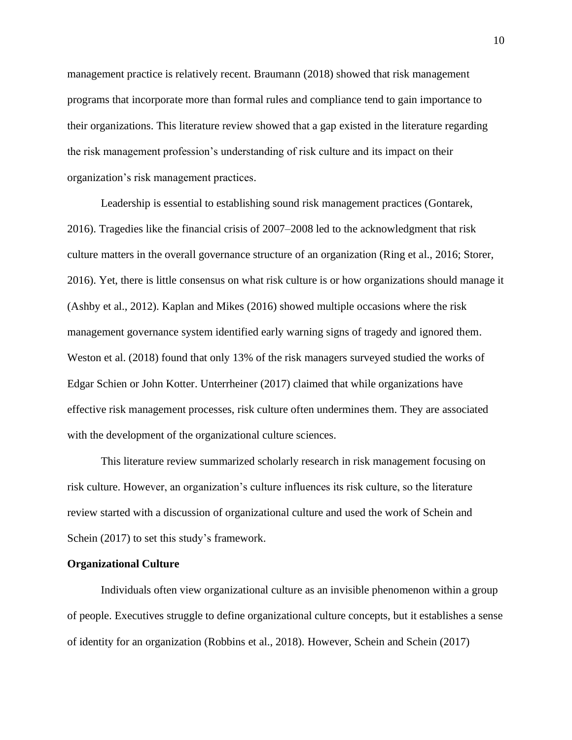management practice is relatively recent. Braumann (2018) showed that risk management programs that incorporate more than formal rules and compliance tend to gain importance to their organizations. This literature review showed that a gap existed in the literature regarding the risk management profession's understanding of risk culture and its impact on their organization's risk management practices.

Leadership is essential to establishing sound risk management practices (Gontarek, 2016). Tragedies like the financial crisis of 2007–2008 led to the acknowledgment that risk culture matters in the overall governance structure of an organization (Ring et al., 2016; Storer, 2016). Yet, there is little consensus on what risk culture is or how organizations should manage it (Ashby et al., 2012). Kaplan and Mikes (2016) showed multiple occasions where the risk management governance system identified early warning signs of tragedy and ignored them. Weston et al. (2018) found that only 13% of the risk managers surveyed studied the works of Edgar Schien or John Kotter. Unterrheiner (2017) claimed that while organizations have effective risk management processes, risk culture often undermines them. They are associated with the development of the organizational culture sciences.

This literature review summarized scholarly research in risk management focusing on risk culture. However, an organization's culture influences its risk culture, so the literature review started with a discussion of organizational culture and used the work of Schein and Schein (2017) to set this study's framework.

#### **Organizational Culture**

Individuals often view organizational culture as an invisible phenomenon within a group of people. Executives struggle to define organizational culture concepts, but it establishes a sense of identity for an organization (Robbins et al., 2018). However, Schein and Schein (2017)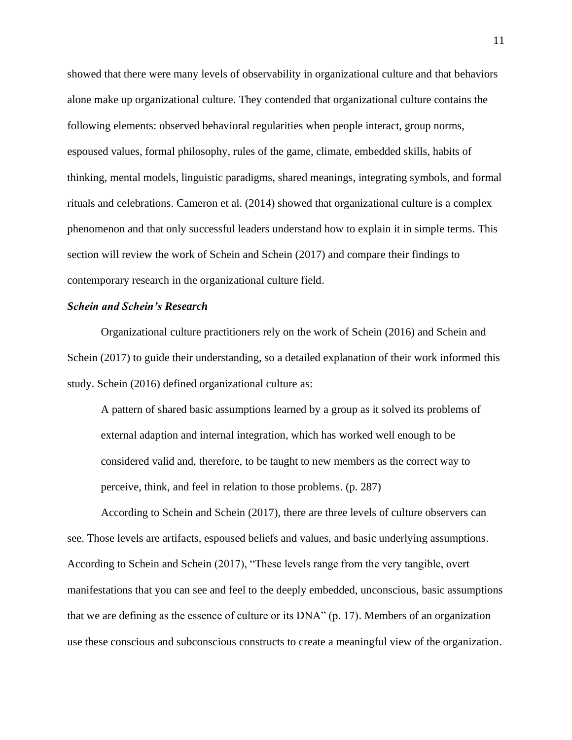showed that there were many levels of observability in organizational culture and that behaviors alone make up organizational culture. They contended that organizational culture contains the following elements: observed behavioral regularities when people interact, group norms, espoused values, formal philosophy, rules of the game, climate, embedded skills, habits of thinking, mental models, linguistic paradigms, shared meanings, integrating symbols, and formal rituals and celebrations. Cameron et al. (2014) showed that organizational culture is a complex phenomenon and that only successful leaders understand how to explain it in simple terms. This section will review the work of Schein and Schein (2017) and compare their findings to contemporary research in the organizational culture field.

# *Schein and Schein's Research*

Organizational culture practitioners rely on the work of Schein (2016) and Schein and Schein (2017) to guide their understanding, so a detailed explanation of their work informed this study. Schein (2016) defined organizational culture as:

A pattern of shared basic assumptions learned by a group as it solved its problems of external adaption and internal integration, which has worked well enough to be considered valid and, therefore, to be taught to new members as the correct way to perceive, think, and feel in relation to those problems. (p. 287)

According to Schein and Schein (2017), there are three levels of culture observers can see. Those levels are artifacts, espoused beliefs and values, and basic underlying assumptions. According to Schein and Schein (2017), "These levels range from the very tangible, overt manifestations that you can see and feel to the deeply embedded, unconscious, basic assumptions that we are defining as the essence of culture or its DNA" (p. 17). Members of an organization use these conscious and subconscious constructs to create a meaningful view of the organization.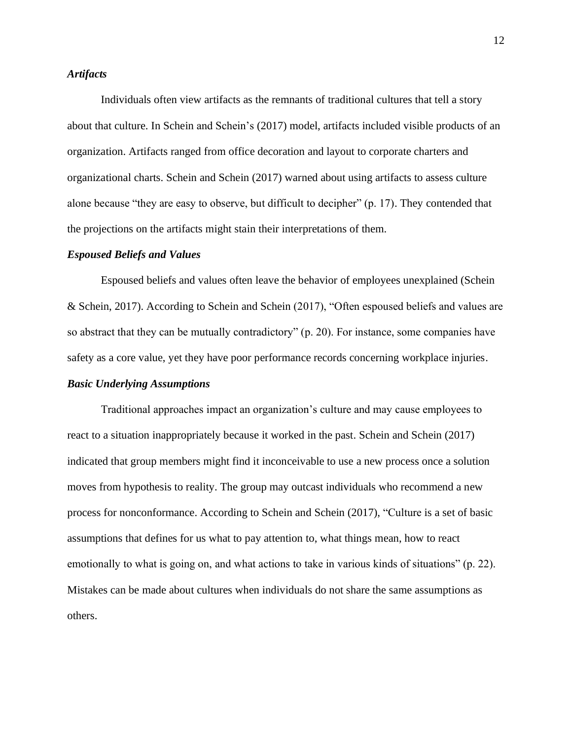# *Artifacts*

Individuals often view artifacts as the remnants of traditional cultures that tell a story about that culture. In Schein and Schein's (2017) model, artifacts included visible products of an organization. Artifacts ranged from office decoration and layout to corporate charters and organizational charts. Schein and Schein (2017) warned about using artifacts to assess culture alone because "they are easy to observe, but difficult to decipher" (p. 17). They contended that the projections on the artifacts might stain their interpretations of them.

#### *Espoused Beliefs and Values*

Espoused beliefs and values often leave the behavior of employees unexplained (Schein & Schein, 2017). According to Schein and Schein (2017), "Often espoused beliefs and values are so abstract that they can be mutually contradictory" (p. 20). For instance, some companies have safety as a core value, yet they have poor performance records concerning workplace injuries.

#### *Basic Underlying Assumptions*

Traditional approaches impact an organization's culture and may cause employees to react to a situation inappropriately because it worked in the past. Schein and Schein (2017) indicated that group members might find it inconceivable to use a new process once a solution moves from hypothesis to reality. The group may outcast individuals who recommend a new process for nonconformance. According to Schein and Schein (2017), "Culture is a set of basic assumptions that defines for us what to pay attention to, what things mean, how to react emotionally to what is going on, and what actions to take in various kinds of situations" (p. 22). Mistakes can be made about cultures when individuals do not share the same assumptions as others.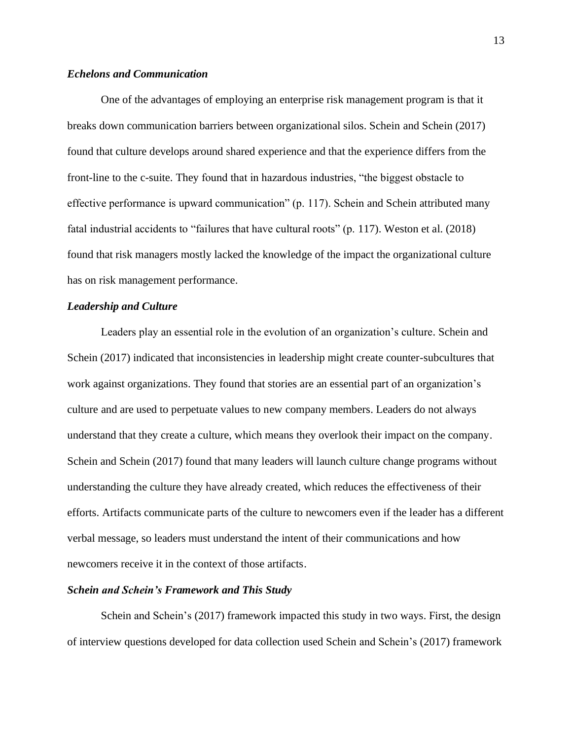# *Echelons and Communication*

One of the advantages of employing an enterprise risk management program is that it breaks down communication barriers between organizational silos. Schein and Schein (2017) found that culture develops around shared experience and that the experience differs from the front-line to the c-suite. They found that in hazardous industries, "the biggest obstacle to effective performance is upward communication" (p. 117). Schein and Schein attributed many fatal industrial accidents to "failures that have cultural roots" (p. 117). Weston et al. (2018) found that risk managers mostly lacked the knowledge of the impact the organizational culture has on risk management performance.

# *Leadership and Culture*

Leaders play an essential role in the evolution of an organization's culture. Schein and Schein (2017) indicated that inconsistencies in leadership might create counter-subcultures that work against organizations. They found that stories are an essential part of an organization's culture and are used to perpetuate values to new company members. Leaders do not always understand that they create a culture, which means they overlook their impact on the company. Schein and Schein (2017) found that many leaders will launch culture change programs without understanding the culture they have already created, which reduces the effectiveness of their efforts. Artifacts communicate parts of the culture to newcomers even if the leader has a different verbal message, so leaders must understand the intent of their communications and how newcomers receive it in the context of those artifacts.

#### *Schein and Schein's Framework and This Study*

Schein and Schein's (2017) framework impacted this study in two ways. First, the design of interview questions developed for data collection used Schein and Schein's (2017) framework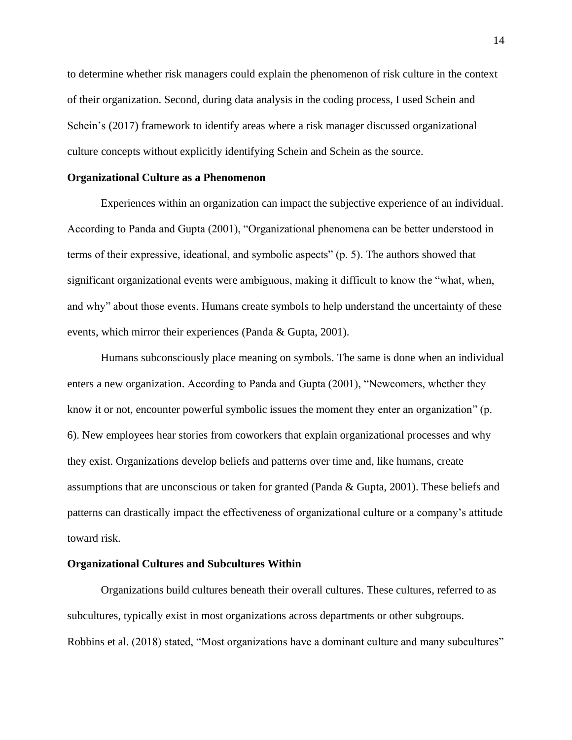to determine whether risk managers could explain the phenomenon of risk culture in the context of their organization. Second, during data analysis in the coding process, I used Schein and Schein's (2017) framework to identify areas where a risk manager discussed organizational culture concepts without explicitly identifying Schein and Schein as the source.

#### **Organizational Culture as a Phenomenon**

Experiences within an organization can impact the subjective experience of an individual. According to Panda and Gupta (2001), "Organizational phenomena can be better understood in terms of their expressive, ideational, and symbolic aspects" (p. 5). The authors showed that significant organizational events were ambiguous, making it difficult to know the "what, when, and why" about those events. Humans create symbols to help understand the uncertainty of these events, which mirror their experiences (Panda & Gupta, 2001).

Humans subconsciously place meaning on symbols. The same is done when an individual enters a new organization. According to Panda and Gupta (2001), "Newcomers, whether they know it or not, encounter powerful symbolic issues the moment they enter an organization" (p. 6). New employees hear stories from coworkers that explain organizational processes and why they exist. Organizations develop beliefs and patterns over time and, like humans, create assumptions that are unconscious or taken for granted (Panda & Gupta, 2001). These beliefs and patterns can drastically impact the effectiveness of organizational culture or a company's attitude toward risk.

#### **Organizational Cultures and Subcultures Within**

Organizations build cultures beneath their overall cultures. These cultures, referred to as subcultures, typically exist in most organizations across departments or other subgroups. Robbins et al. (2018) stated, "Most organizations have a dominant culture and many subcultures"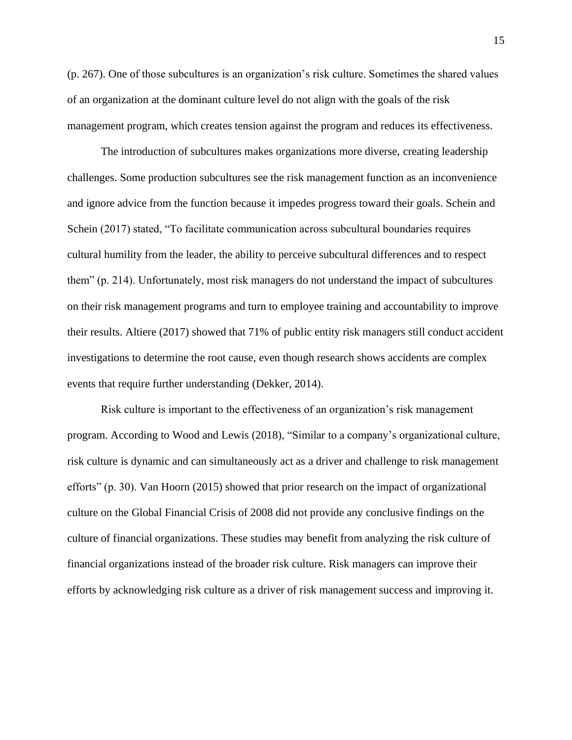(p. 267). One of those subcultures is an organization's risk culture. Sometimes the shared values of an organization at the dominant culture level do not align with the goals of the risk management program, which creates tension against the program and reduces its effectiveness.

The introduction of subcultures makes organizations more diverse, creating leadership challenges. Some production subcultures see the risk management function as an inconvenience and ignore advice from the function because it impedes progress toward their goals. Schein and Schein (2017) stated, "To facilitate communication across subcultural boundaries requires cultural humility from the leader, the ability to perceive subcultural differences and to respect them" (p. 214). Unfortunately, most risk managers do not understand the impact of subcultures on their risk management programs and turn to employee training and accountability to improve their results. Altiere (2017) showed that 71% of public entity risk managers still conduct accident investigations to determine the root cause, even though research shows accidents are complex events that require further understanding (Dekker, 2014).

Risk culture is important to the effectiveness of an organization's risk management program. According to Wood and Lewis (2018), "Similar to a company's organizational culture, risk culture is dynamic and can simultaneously act as a driver and challenge to risk management efforts" (p. 30). Van Hoorn (2015) showed that prior research on the impact of organizational culture on the Global Financial Crisis of 2008 did not provide any conclusive findings on the culture of financial organizations. These studies may benefit from analyzing the risk culture of financial organizations instead of the broader risk culture. Risk managers can improve their efforts by acknowledging risk culture as a driver of risk management success and improving it.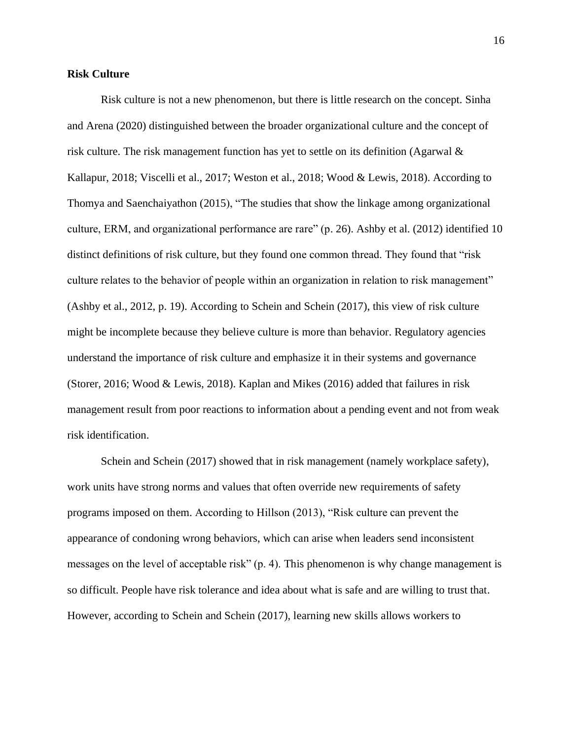# **Risk Culture**

Risk culture is not a new phenomenon, but there is little research on the concept. Sinha and Arena (2020) distinguished between the broader organizational culture and the concept of risk culture. The risk management function has yet to settle on its definition (Agarwal & Kallapur, 2018; Viscelli et al., 2017; Weston et al., 2018; Wood & Lewis, 2018). According to Thomya and Saenchaiyathon (2015), "The studies that show the linkage among organizational culture, ERM, and organizational performance are rare" (p. 26). Ashby et al. (2012) identified 10 distinct definitions of risk culture, but they found one common thread. They found that "risk culture relates to the behavior of people within an organization in relation to risk management" (Ashby et al., 2012, p. 19). According to Schein and Schein (2017), this view of risk culture might be incomplete because they believe culture is more than behavior. Regulatory agencies understand the importance of risk culture and emphasize it in their systems and governance (Storer, 2016; Wood & Lewis, 2018). Kaplan and Mikes (2016) added that failures in risk management result from poor reactions to information about a pending event and not from weak risk identification.

Schein and Schein (2017) showed that in risk management (namely workplace safety), work units have strong norms and values that often override new requirements of safety programs imposed on them. According to Hillson (2013), "Risk culture can prevent the appearance of condoning wrong behaviors, which can arise when leaders send inconsistent messages on the level of acceptable risk" (p. 4). This phenomenon is why change management is so difficult. People have risk tolerance and idea about what is safe and are willing to trust that. However, according to Schein and Schein (2017), learning new skills allows workers to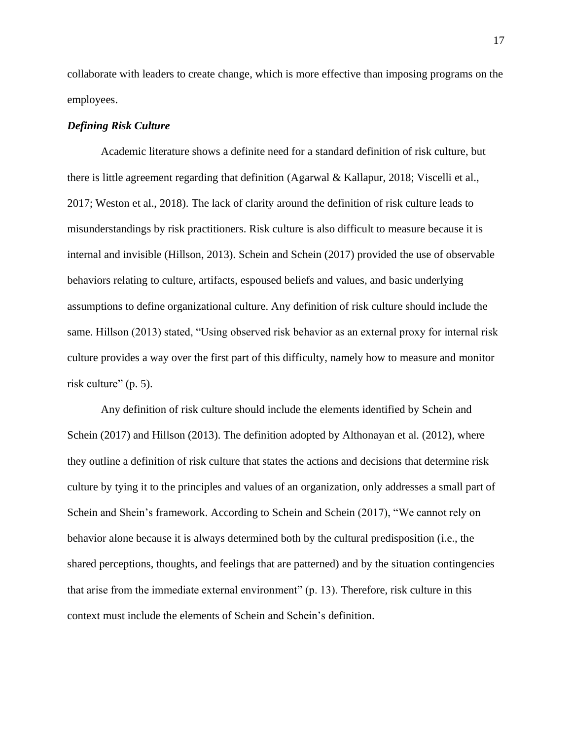collaborate with leaders to create change, which is more effective than imposing programs on the employees.

# *Defining Risk Culture*

Academic literature shows a definite need for a standard definition of risk culture, but there is little agreement regarding that definition (Agarwal & Kallapur, 2018; Viscelli et al., 2017; Weston et al., 2018). The lack of clarity around the definition of risk culture leads to misunderstandings by risk practitioners. Risk culture is also difficult to measure because it is internal and invisible (Hillson, 2013). Schein and Schein (2017) provided the use of observable behaviors relating to culture, artifacts, espoused beliefs and values, and basic underlying assumptions to define organizational culture. Any definition of risk culture should include the same. Hillson (2013) stated, "Using observed risk behavior as an external proxy for internal risk culture provides a way over the first part of this difficulty, namely how to measure and monitor risk culture" (p. 5).

Any definition of risk culture should include the elements identified by Schein and Schein (2017) and Hillson (2013). The definition adopted by Althonayan et al. (2012), where they outline a definition of risk culture that states the actions and decisions that determine risk culture by tying it to the principles and values of an organization, only addresses a small part of Schein and Shein's framework. According to Schein and Schein (2017), "We cannot rely on behavior alone because it is always determined both by the cultural predisposition (i.e., the shared perceptions, thoughts, and feelings that are patterned) and by the situation contingencies that arise from the immediate external environment" (p. 13). Therefore, risk culture in this context must include the elements of Schein and Schein's definition.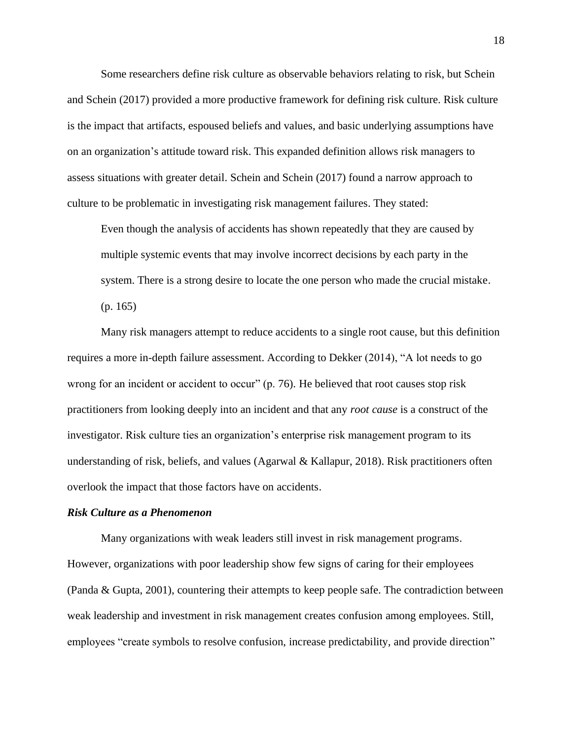Some researchers define risk culture as observable behaviors relating to risk, but Schein and Schein (2017) provided a more productive framework for defining risk culture. Risk culture is the impact that artifacts, espoused beliefs and values, and basic underlying assumptions have on an organization's attitude toward risk. This expanded definition allows risk managers to assess situations with greater detail. Schein and Schein (2017) found a narrow approach to culture to be problematic in investigating risk management failures. They stated:

Even though the analysis of accidents has shown repeatedly that they are caused by multiple systemic events that may involve incorrect decisions by each party in the system. There is a strong desire to locate the one person who made the crucial mistake. (p. 165)

Many risk managers attempt to reduce accidents to a single root cause, but this definition requires a more in-depth failure assessment. According to Dekker (2014), "A lot needs to go wrong for an incident or accident to occur" (p. 76). He believed that root causes stop risk practitioners from looking deeply into an incident and that any *root cause* is a construct of the investigator. Risk culture ties an organization's enterprise risk management program to its understanding of risk, beliefs, and values (Agarwal & Kallapur, 2018). Risk practitioners often overlook the impact that those factors have on accidents.

#### *Risk Culture as a Phenomenon*

Many organizations with weak leaders still invest in risk management programs. However, organizations with poor leadership show few signs of caring for their employees (Panda & Gupta, 2001), countering their attempts to keep people safe. The contradiction between weak leadership and investment in risk management creates confusion among employees. Still, employees "create symbols to resolve confusion, increase predictability, and provide direction"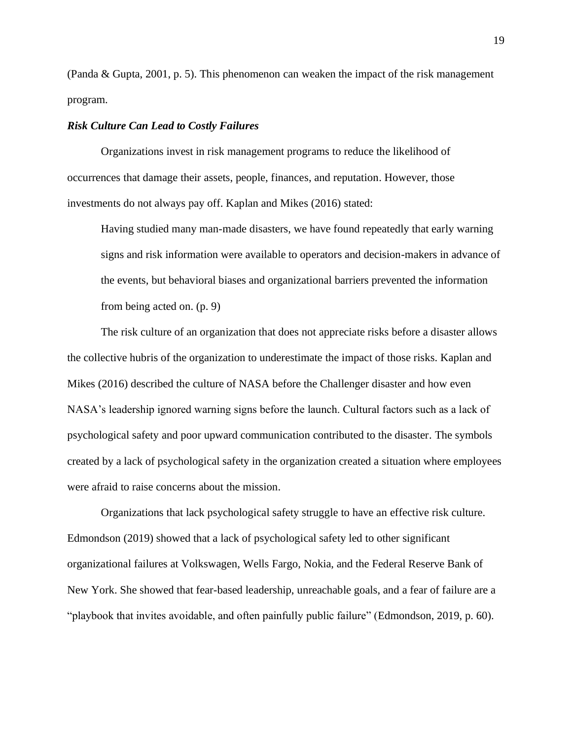(Panda & Gupta, 2001, p. 5). This phenomenon can weaken the impact of the risk management program.

# *Risk Culture Can Lead to Costly Failures*

Organizations invest in risk management programs to reduce the likelihood of occurrences that damage their assets, people, finances, and reputation. However, those investments do not always pay off. Kaplan and Mikes (2016) stated:

Having studied many man-made disasters, we have found repeatedly that early warning signs and risk information were available to operators and decision-makers in advance of the events, but behavioral biases and organizational barriers prevented the information from being acted on. (p. 9)

The risk culture of an organization that does not appreciate risks before a disaster allows the collective hubris of the organization to underestimate the impact of those risks. Kaplan and Mikes (2016) described the culture of NASA before the Challenger disaster and how even NASA's leadership ignored warning signs before the launch. Cultural factors such as a lack of psychological safety and poor upward communication contributed to the disaster. The symbols created by a lack of psychological safety in the organization created a situation where employees were afraid to raise concerns about the mission.

Organizations that lack psychological safety struggle to have an effective risk culture. Edmondson (2019) showed that a lack of psychological safety led to other significant organizational failures at Volkswagen, Wells Fargo, Nokia, and the Federal Reserve Bank of New York. She showed that fear-based leadership, unreachable goals, and a fear of failure are a "playbook that invites avoidable, and often painfully public failure" (Edmondson, 2019, p. 60).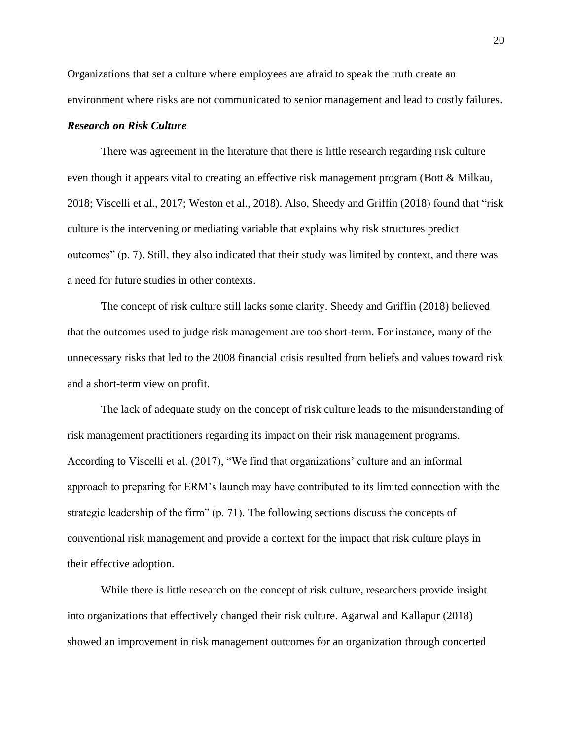Organizations that set a culture where employees are afraid to speak the truth create an environment where risks are not communicated to senior management and lead to costly failures.

## *Research on Risk Culture*

There was agreement in the literature that there is little research regarding risk culture even though it appears vital to creating an effective risk management program (Bott & Milkau, 2018; Viscelli et al., 2017; Weston et al., 2018). Also, Sheedy and Griffin (2018) found that "risk culture is the intervening or mediating variable that explains why risk structures predict outcomes" (p. 7). Still, they also indicated that their study was limited by context, and there was a need for future studies in other contexts.

The concept of risk culture still lacks some clarity. Sheedy and Griffin (2018) believed that the outcomes used to judge risk management are too short-term. For instance, many of the unnecessary risks that led to the 2008 financial crisis resulted from beliefs and values toward risk and a short-term view on profit.

The lack of adequate study on the concept of risk culture leads to the misunderstanding of risk management practitioners regarding its impact on their risk management programs. According to Viscelli et al. (2017), "We find that organizations' culture and an informal approach to preparing for ERM's launch may have contributed to its limited connection with the strategic leadership of the firm" (p. 71). The following sections discuss the concepts of conventional risk management and provide a context for the impact that risk culture plays in their effective adoption.

While there is little research on the concept of risk culture, researchers provide insight into organizations that effectively changed their risk culture. Agarwal and Kallapur (2018) showed an improvement in risk management outcomes for an organization through concerted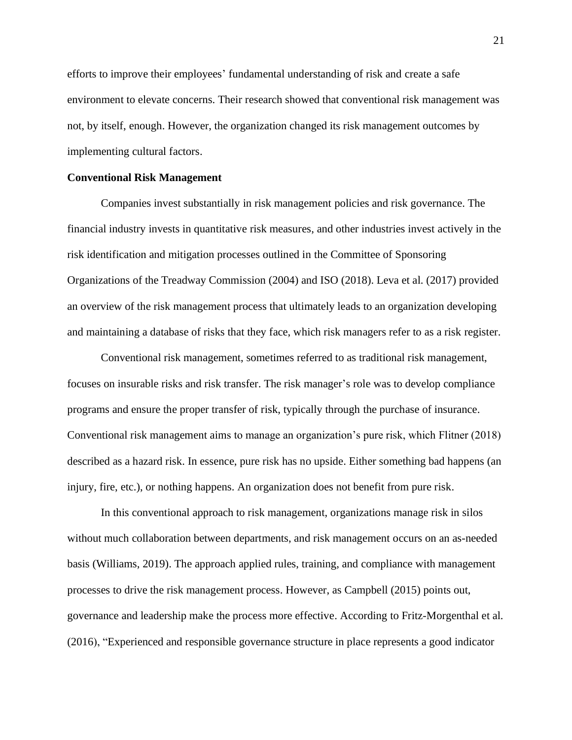efforts to improve their employees' fundamental understanding of risk and create a safe environment to elevate concerns. Their research showed that conventional risk management was not, by itself, enough. However, the organization changed its risk management outcomes by implementing cultural factors.

#### **Conventional Risk Management**

Companies invest substantially in risk management policies and risk governance. The financial industry invests in quantitative risk measures, and other industries invest actively in the risk identification and mitigation processes outlined in the Committee of Sponsoring Organizations of the Treadway Commission (2004) and ISO (2018). Leva et al. (2017) provided an overview of the risk management process that ultimately leads to an organization developing and maintaining a database of risks that they face, which risk managers refer to as a risk register.

Conventional risk management, sometimes referred to as traditional risk management, focuses on insurable risks and risk transfer. The risk manager's role was to develop compliance programs and ensure the proper transfer of risk, typically through the purchase of insurance. Conventional risk management aims to manage an organization's pure risk, which Flitner (2018) described as a hazard risk. In essence, pure risk has no upside. Either something bad happens (an injury, fire, etc.), or nothing happens. An organization does not benefit from pure risk.

In this conventional approach to risk management, organizations manage risk in silos without much collaboration between departments, and risk management occurs on an as-needed basis (Williams, 2019). The approach applied rules, training, and compliance with management processes to drive the risk management process. However, as Campbell (2015) points out, governance and leadership make the process more effective. According to Fritz-Morgenthal et al. (2016), "Experienced and responsible governance structure in place represents a good indicator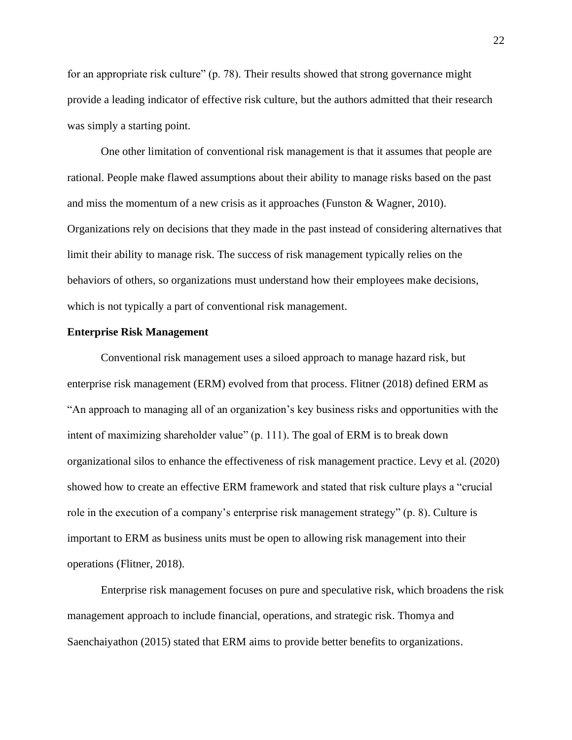for an appropriate risk culture" (p. 78). Their results showed that strong governance might provide a leading indicator of effective risk culture, but the authors admitted that their research was simply a starting point.

One other limitation of conventional risk management is that it assumes that people are rational. People make flawed assumptions about their ability to manage risks based on the past and miss the momentum of a new crisis as it approaches (Funston & Wagner, 2010). Organizations rely on decisions that they made in the past instead of considering alternatives that limit their ability to manage risk. The success of risk management typically relies on the behaviors of others, so organizations must understand how their employees make decisions, which is not typically a part of conventional risk management.

#### **Enterprise Risk Management**

Conventional risk management uses a siloed approach to manage hazard risk, but enterprise risk management (ERM) evolved from that process. Flitner (2018) defined ERM as "An approach to managing all of an organization's key business risks and opportunities with the intent of maximizing shareholder value" (p. 111). The goal of ERM is to break down organizational silos to enhance the effectiveness of risk management practice. Levy et al. (2020) showed how to create an effective ERM framework and stated that risk culture plays a "crucial role in the execution of a company's enterprise risk management strategy" (p. 8). Culture is important to ERM as business units must be open to allowing risk management into their operations (Flitner, 2018).

Enterprise risk management focuses on pure and speculative risk, which broadens the risk management approach to include financial, operations, and strategic risk. Thomya and Saenchaiyathon (2015) stated that ERM aims to provide better benefits to organizations.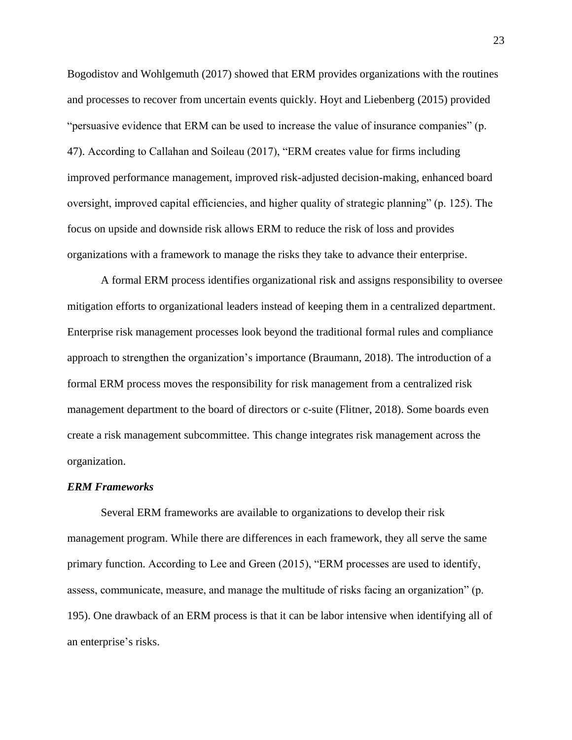Bogodistov and Wohlgemuth (2017) showed that ERM provides organizations with the routines and processes to recover from uncertain events quickly. Hoyt and Liebenberg (2015) provided "persuasive evidence that ERM can be used to increase the value of insurance companies" (p. 47). According to Callahan and Soileau (2017), "ERM creates value for firms including improved performance management, improved risk-adjusted decision-making, enhanced board oversight, improved capital efficiencies, and higher quality of strategic planning" (p. 125). The focus on upside and downside risk allows ERM to reduce the risk of loss and provides organizations with a framework to manage the risks they take to advance their enterprise.

A formal ERM process identifies organizational risk and assigns responsibility to oversee mitigation efforts to organizational leaders instead of keeping them in a centralized department. Enterprise risk management processes look beyond the traditional formal rules and compliance approach to strengthen the organization's importance (Braumann, 2018). The introduction of a formal ERM process moves the responsibility for risk management from a centralized risk management department to the board of directors or c-suite (Flitner, 2018). Some boards even create a risk management subcommittee. This change integrates risk management across the organization.

#### *ERM Frameworks*

Several ERM frameworks are available to organizations to develop their risk management program. While there are differences in each framework, they all serve the same primary function. According to Lee and Green (2015), "ERM processes are used to identify, assess, communicate, measure, and manage the multitude of risks facing an organization" (p. 195). One drawback of an ERM process is that it can be labor intensive when identifying all of an enterprise's risks.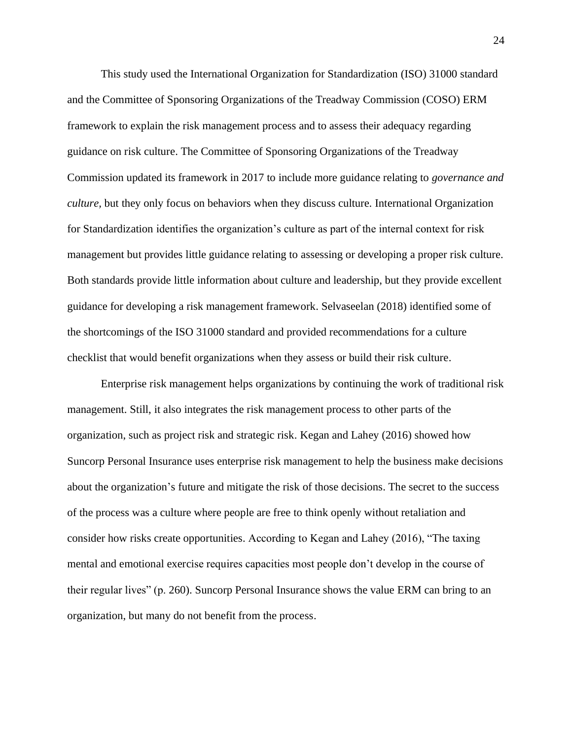This study used the International Organization for Standardization (ISO) 31000 standard and the Committee of Sponsoring Organizations of the Treadway Commission (COSO) ERM framework to explain the risk management process and to assess their adequacy regarding guidance on risk culture. The Committee of Sponsoring Organizations of the Treadway Commission updated its framework in 2017 to include more guidance relating to *governance and culture,* but they only focus on behaviors when they discuss culture. International Organization for Standardization identifies the organization's culture as part of the internal context for risk management but provides little guidance relating to assessing or developing a proper risk culture. Both standards provide little information about culture and leadership, but they provide excellent guidance for developing a risk management framework. Selvaseelan (2018) identified some of the shortcomings of the ISO 31000 standard and provided recommendations for a culture checklist that would benefit organizations when they assess or build their risk culture.

Enterprise risk management helps organizations by continuing the work of traditional risk management. Still, it also integrates the risk management process to other parts of the organization, such as project risk and strategic risk. Kegan and Lahey (2016) showed how Suncorp Personal Insurance uses enterprise risk management to help the business make decisions about the organization's future and mitigate the risk of those decisions. The secret to the success of the process was a culture where people are free to think openly without retaliation and consider how risks create opportunities. According to Kegan and Lahey (2016), "The taxing mental and emotional exercise requires capacities most people don't develop in the course of their regular lives" (p. 260). Suncorp Personal Insurance shows the value ERM can bring to an organization, but many do not benefit from the process.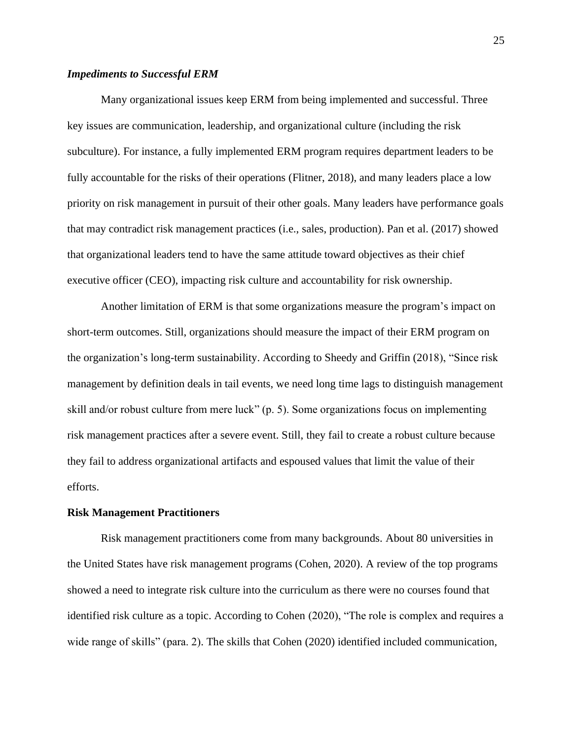# *Impediments to Successful ERM*

Many organizational issues keep ERM from being implemented and successful. Three key issues are communication, leadership, and organizational culture (including the risk subculture). For instance, a fully implemented ERM program requires department leaders to be fully accountable for the risks of their operations (Flitner, 2018), and many leaders place a low priority on risk management in pursuit of their other goals. Many leaders have performance goals that may contradict risk management practices (i.e., sales, production). Pan et al. (2017) showed that organizational leaders tend to have the same attitude toward objectives as their chief executive officer (CEO), impacting risk culture and accountability for risk ownership.

Another limitation of ERM is that some organizations measure the program's impact on short-term outcomes. Still, organizations should measure the impact of their ERM program on the organization's long-term sustainability. According to Sheedy and Griffin (2018), "Since risk management by definition deals in tail events, we need long time lags to distinguish management skill and/or robust culture from mere luck" (p. 5). Some organizations focus on implementing risk management practices after a severe event. Still, they fail to create a robust culture because they fail to address organizational artifacts and espoused values that limit the value of their efforts.

#### **Risk Management Practitioners**

Risk management practitioners come from many backgrounds. About 80 universities in the United States have risk management programs (Cohen, 2020). A review of the top programs showed a need to integrate risk culture into the curriculum as there were no courses found that identified risk culture as a topic. According to Cohen (2020), "The role is complex and requires a wide range of skills" (para. 2). The skills that Cohen (2020) identified included communication,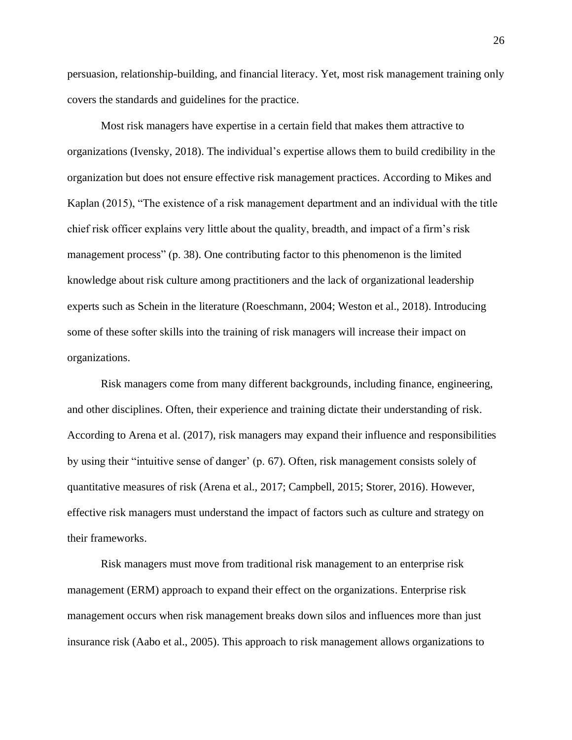persuasion, relationship-building, and financial literacy. Yet, most risk management training only covers the standards and guidelines for the practice.

Most risk managers have expertise in a certain field that makes them attractive to organizations (Ivensky, 2018). The individual's expertise allows them to build credibility in the organization but does not ensure effective risk management practices. According to Mikes and Kaplan (2015), "The existence of a risk management department and an individual with the title chief risk officer explains very little about the quality, breadth, and impact of a firm's risk management process" (p. 38). One contributing factor to this phenomenon is the limited knowledge about risk culture among practitioners and the lack of organizational leadership experts such as Schein in the literature (Roeschmann, 2004; Weston et al., 2018). Introducing some of these softer skills into the training of risk managers will increase their impact on organizations.

Risk managers come from many different backgrounds, including finance, engineering, and other disciplines. Often, their experience and training dictate their understanding of risk. According to Arena et al. (2017), risk managers may expand their influence and responsibilities by using their "intuitive sense of danger' (p. 67). Often, risk management consists solely of quantitative measures of risk (Arena et al., 2017; Campbell, 2015; Storer, 2016). However, effective risk managers must understand the impact of factors such as culture and strategy on their frameworks.

Risk managers must move from traditional risk management to an enterprise risk management (ERM) approach to expand their effect on the organizations. Enterprise risk management occurs when risk management breaks down silos and influences more than just insurance risk (Aabo et al., 2005). This approach to risk management allows organizations to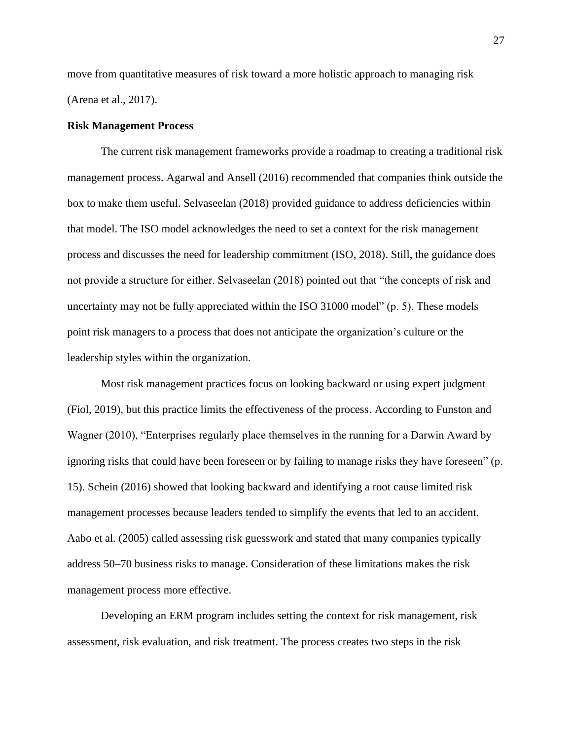move from quantitative measures of risk toward a more holistic approach to managing risk (Arena et al., 2017).

### **Risk Management Process**

The current risk management frameworks provide a roadmap to creating a traditional risk management process. Agarwal and Ansell (2016) recommended that companies think outside the box to make them useful. Selvaseelan (2018) provided guidance to address deficiencies within that model. The ISO model acknowledges the need to set a context for the risk management process and discusses the need for leadership commitment (ISO, 2018). Still, the guidance does not provide a structure for either. Selvaseelan (2018) pointed out that "the concepts of risk and uncertainty may not be fully appreciated within the ISO 31000 model" (p. 5). These models point risk managers to a process that does not anticipate the organization's culture or the leadership styles within the organization.

Most risk management practices focus on looking backward or using expert judgment (Fiol, 2019), but this practice limits the effectiveness of the process. According to Funston and Wagner (2010), "Enterprises regularly place themselves in the running for a Darwin Award by ignoring risks that could have been foreseen or by failing to manage risks they have foreseen" (p. 15). Schein (2016) showed that looking backward and identifying a root cause limited risk management processes because leaders tended to simplify the events that led to an accident. Aabo et al. (2005) called assessing risk guesswork and stated that many companies typically address 50–70 business risks to manage. Consideration of these limitations makes the risk management process more effective.

Developing an ERM program includes setting the context for risk management, risk assessment, risk evaluation, and risk treatment. The process creates two steps in the risk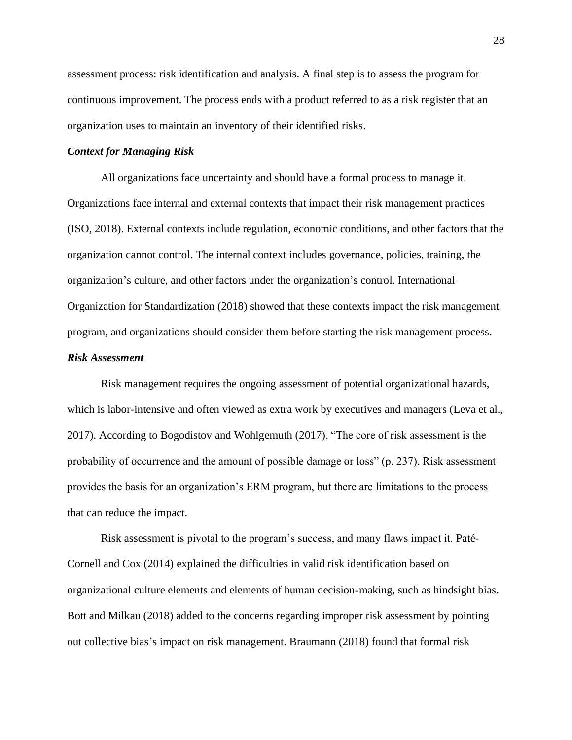assessment process: risk identification and analysis. A final step is to assess the program for continuous improvement. The process ends with a product referred to as a risk register that an organization uses to maintain an inventory of their identified risks.

#### *Context for Managing Risk*

All organizations face uncertainty and should have a formal process to manage it. Organizations face internal and external contexts that impact their risk management practices (ISO, 2018). External contexts include regulation, economic conditions, and other factors that the organization cannot control. The internal context includes governance, policies, training, the organization's culture, and other factors under the organization's control. International Organization for Standardization (2018) showed that these contexts impact the risk management program, and organizations should consider them before starting the risk management process.

#### *Risk Assessment*

Risk management requires the ongoing assessment of potential organizational hazards, which is labor-intensive and often viewed as extra work by executives and managers (Leva et al., 2017). According to Bogodistov and Wohlgemuth (2017), "The core of risk assessment is the probability of occurrence and the amount of possible damage or loss" (p. 237). Risk assessment provides the basis for an organization's ERM program, but there are limitations to the process that can reduce the impact.

Risk assessment is pivotal to the program's success, and many flaws impact it. Paté-Cornell and Cox (2014) explained the difficulties in valid risk identification based on organizational culture elements and elements of human decision-making, such as hindsight bias. Bott and Milkau (2018) added to the concerns regarding improper risk assessment by pointing out collective bias's impact on risk management. Braumann (2018) found that formal risk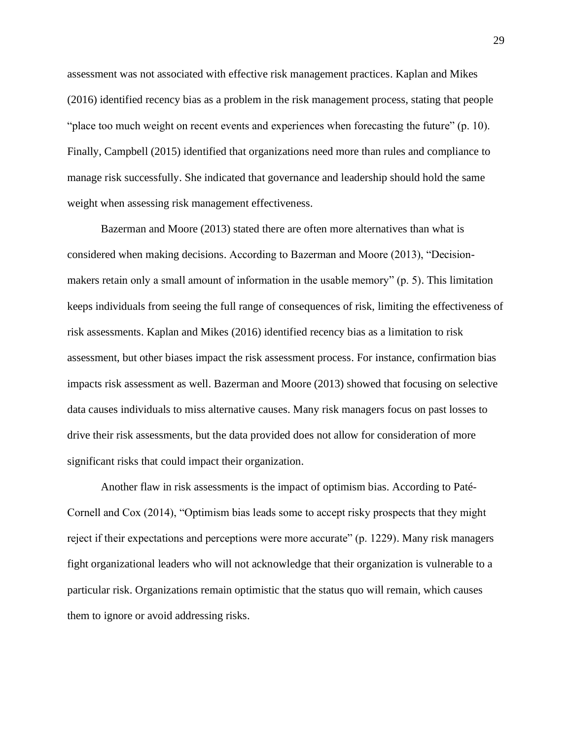assessment was not associated with effective risk management practices. Kaplan and Mikes (2016) identified recency bias as a problem in the risk management process, stating that people "place too much weight on recent events and experiences when forecasting the future" (p. 10). Finally, Campbell (2015) identified that organizations need more than rules and compliance to manage risk successfully. She indicated that governance and leadership should hold the same weight when assessing risk management effectiveness.

Bazerman and Moore (2013) stated there are often more alternatives than what is considered when making decisions. According to Bazerman and Moore (2013), "Decisionmakers retain only a small amount of information in the usable memory" (p. 5). This limitation keeps individuals from seeing the full range of consequences of risk, limiting the effectiveness of risk assessments. Kaplan and Mikes (2016) identified recency bias as a limitation to risk assessment, but other biases impact the risk assessment process. For instance, confirmation bias impacts risk assessment as well. Bazerman and Moore (2013) showed that focusing on selective data causes individuals to miss alternative causes. Many risk managers focus on past losses to drive their risk assessments, but the data provided does not allow for consideration of more significant risks that could impact their organization.

Another flaw in risk assessments is the impact of optimism bias. According to Paté-Cornell and Cox (2014), "Optimism bias leads some to accept risky prospects that they might reject if their expectations and perceptions were more accurate" (p. 1229). Many risk managers fight organizational leaders who will not acknowledge that their organization is vulnerable to a particular risk. Organizations remain optimistic that the status quo will remain, which causes them to ignore or avoid addressing risks.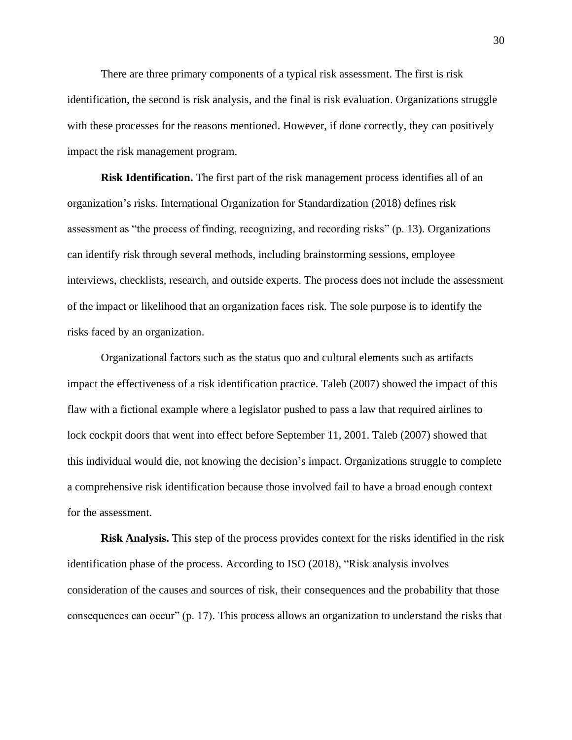There are three primary components of a typical risk assessment. The first is risk identification, the second is risk analysis, and the final is risk evaluation. Organizations struggle with these processes for the reasons mentioned. However, if done correctly, they can positively impact the risk management program.

**Risk Identification.** The first part of the risk management process identifies all of an organization's risks. International Organization for Standardization (2018) defines risk assessment as "the process of finding, recognizing, and recording risks" (p. 13). Organizations can identify risk through several methods, including brainstorming sessions, employee interviews, checklists, research, and outside experts. The process does not include the assessment of the impact or likelihood that an organization faces risk. The sole purpose is to identify the risks faced by an organization.

Organizational factors such as the status quo and cultural elements such as artifacts impact the effectiveness of a risk identification practice. Taleb (2007) showed the impact of this flaw with a fictional example where a legislator pushed to pass a law that required airlines to lock cockpit doors that went into effect before September 11, 2001. Taleb (2007) showed that this individual would die, not knowing the decision's impact. Organizations struggle to complete a comprehensive risk identification because those involved fail to have a broad enough context for the assessment.

**Risk Analysis.** This step of the process provides context for the risks identified in the risk identification phase of the process. According to ISO (2018), "Risk analysis involves consideration of the causes and sources of risk, their consequences and the probability that those consequences can occur" (p. 17). This process allows an organization to understand the risks that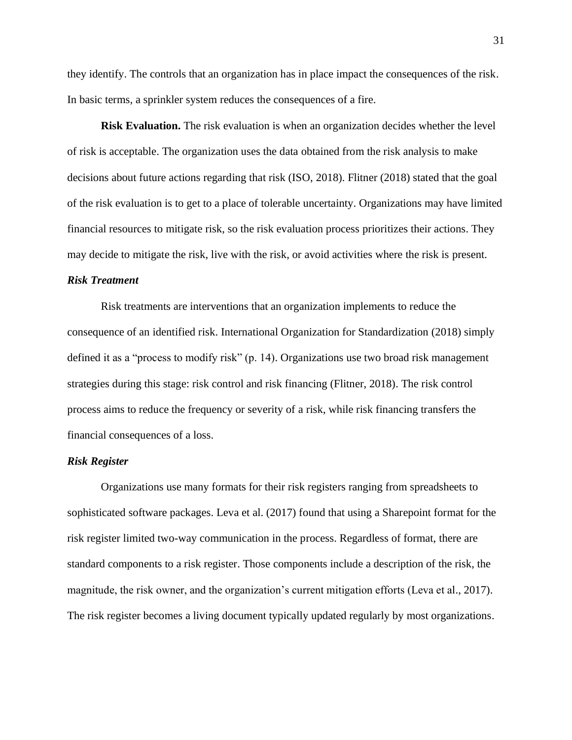they identify. The controls that an organization has in place impact the consequences of the risk. In basic terms, a sprinkler system reduces the consequences of a fire.

**Risk Evaluation.** The risk evaluation is when an organization decides whether the level of risk is acceptable. The organization uses the data obtained from the risk analysis to make decisions about future actions regarding that risk (ISO, 2018). Flitner (2018) stated that the goal of the risk evaluation is to get to a place of tolerable uncertainty. Organizations may have limited financial resources to mitigate risk, so the risk evaluation process prioritizes their actions. They may decide to mitigate the risk, live with the risk, or avoid activities where the risk is present.

## *Risk Treatment*

Risk treatments are interventions that an organization implements to reduce the consequence of an identified risk. International Organization for Standardization (2018) simply defined it as a "process to modify risk" (p. 14). Organizations use two broad risk management strategies during this stage: risk control and risk financing (Flitner, 2018). The risk control process aims to reduce the frequency or severity of a risk, while risk financing transfers the financial consequences of a loss.

## *Risk Register*

Organizations use many formats for their risk registers ranging from spreadsheets to sophisticated software packages. Leva et al. (2017) found that using a Sharepoint format for the risk register limited two-way communication in the process. Regardless of format, there are standard components to a risk register. Those components include a description of the risk, the magnitude, the risk owner, and the organization's current mitigation efforts (Leva et al., 2017). The risk register becomes a living document typically updated regularly by most organizations.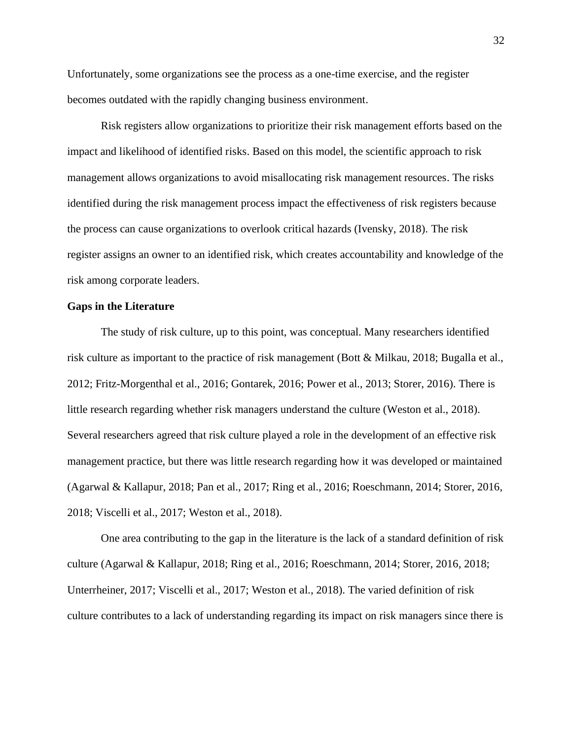Unfortunately, some organizations see the process as a one-time exercise, and the register becomes outdated with the rapidly changing business environment.

Risk registers allow organizations to prioritize their risk management efforts based on the impact and likelihood of identified risks. Based on this model, the scientific approach to risk management allows organizations to avoid misallocating risk management resources. The risks identified during the risk management process impact the effectiveness of risk registers because the process can cause organizations to overlook critical hazards (Ivensky, 2018). The risk register assigns an owner to an identified risk, which creates accountability and knowledge of the risk among corporate leaders.

### **Gaps in the Literature**

The study of risk culture, up to this point, was conceptual. Many researchers identified risk culture as important to the practice of risk management (Bott & Milkau, 2018; Bugalla et al., 2012; Fritz-Morgenthal et al., 2016; Gontarek, 2016; Power et al., 2013; Storer, 2016). There is little research regarding whether risk managers understand the culture (Weston et al., 2018). Several researchers agreed that risk culture played a role in the development of an effective risk management practice, but there was little research regarding how it was developed or maintained (Agarwal & Kallapur, 2018; Pan et al., 2017; Ring et al., 2016; Roeschmann, 2014; Storer, 2016, 2018; Viscelli et al., 2017; Weston et al., 2018).

One area contributing to the gap in the literature is the lack of a standard definition of risk culture (Agarwal & Kallapur, 2018; Ring et al., 2016; Roeschmann, 2014; Storer, 2016, 2018; Unterrheiner, 2017; Viscelli et al., 2017; Weston et al., 2018). The varied definition of risk culture contributes to a lack of understanding regarding its impact on risk managers since there is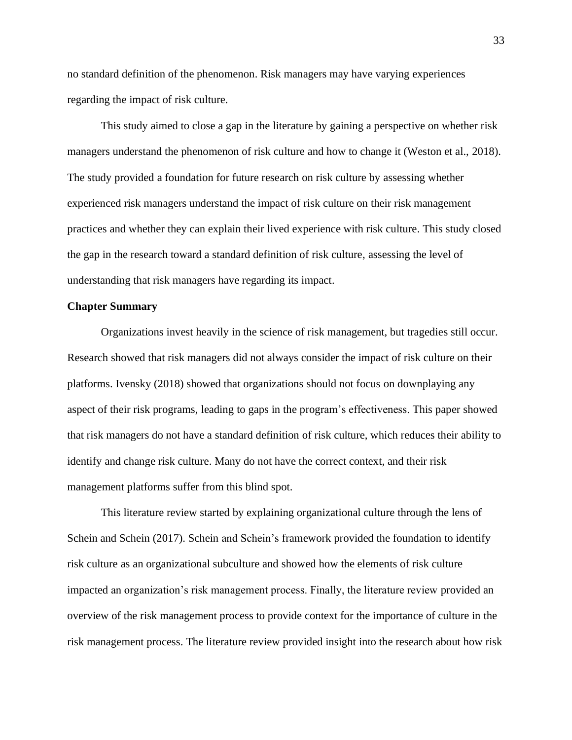no standard definition of the phenomenon. Risk managers may have varying experiences regarding the impact of risk culture.

This study aimed to close a gap in the literature by gaining a perspective on whether risk managers understand the phenomenon of risk culture and how to change it (Weston et al., 2018). The study provided a foundation for future research on risk culture by assessing whether experienced risk managers understand the impact of risk culture on their risk management practices and whether they can explain their lived experience with risk culture. This study closed the gap in the research toward a standard definition of risk culture, assessing the level of understanding that risk managers have regarding its impact.

### **Chapter Summary**

Organizations invest heavily in the science of risk management, but tragedies still occur. Research showed that risk managers did not always consider the impact of risk culture on their platforms. Ivensky (2018) showed that organizations should not focus on downplaying any aspect of their risk programs, leading to gaps in the program's effectiveness. This paper showed that risk managers do not have a standard definition of risk culture, which reduces their ability to identify and change risk culture. Many do not have the correct context, and their risk management platforms suffer from this blind spot.

This literature review started by explaining organizational culture through the lens of Schein and Schein (2017). Schein and Schein's framework provided the foundation to identify risk culture as an organizational subculture and showed how the elements of risk culture impacted an organization's risk management process. Finally, the literature review provided an overview of the risk management process to provide context for the importance of culture in the risk management process. The literature review provided insight into the research about how risk

33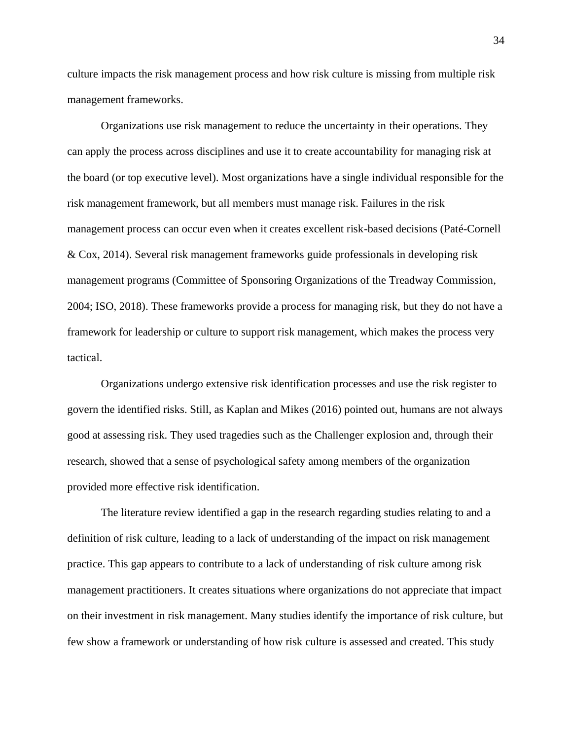culture impacts the risk management process and how risk culture is missing from multiple risk management frameworks.

Organizations use risk management to reduce the uncertainty in their operations. They can apply the process across disciplines and use it to create accountability for managing risk at the board (or top executive level). Most organizations have a single individual responsible for the risk management framework, but all members must manage risk. Failures in the risk management process can occur even when it creates excellent risk-based decisions (Paté-Cornell & Cox, 2014). Several risk management frameworks guide professionals in developing risk management programs (Committee of Sponsoring Organizations of the Treadway Commission, 2004; ISO, 2018). These frameworks provide a process for managing risk, but they do not have a framework for leadership or culture to support risk management, which makes the process very tactical.

Organizations undergo extensive risk identification processes and use the risk register to govern the identified risks. Still, as Kaplan and Mikes (2016) pointed out, humans are not always good at assessing risk. They used tragedies such as the Challenger explosion and, through their research, showed that a sense of psychological safety among members of the organization provided more effective risk identification.

The literature review identified a gap in the research regarding studies relating to and a definition of risk culture, leading to a lack of understanding of the impact on risk management practice. This gap appears to contribute to a lack of understanding of risk culture among risk management practitioners. It creates situations where organizations do not appreciate that impact on their investment in risk management. Many studies identify the importance of risk culture, but few show a framework or understanding of how risk culture is assessed and created. This study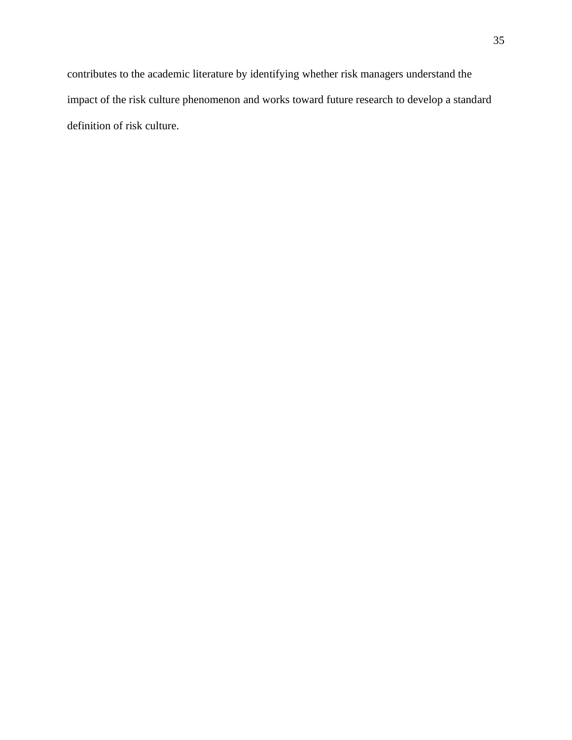contributes to the academic literature by identifying whether risk managers understand the impact of the risk culture phenomenon and works toward future research to develop a standard definition of risk culture.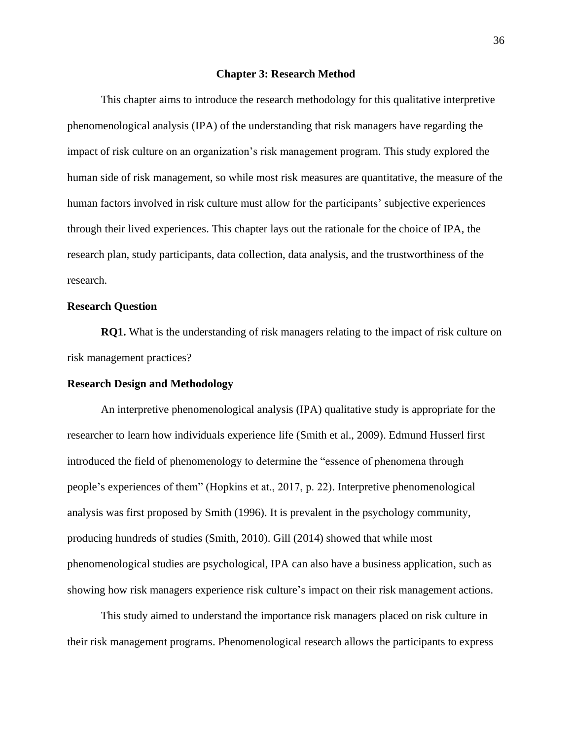#### **Chapter 3: Research Method**

This chapter aims to introduce the research methodology for this qualitative interpretive phenomenological analysis (IPA) of the understanding that risk managers have regarding the impact of risk culture on an organization's risk management program. This study explored the human side of risk management, so while most risk measures are quantitative, the measure of the human factors involved in risk culture must allow for the participants' subjective experiences through their lived experiences. This chapter lays out the rationale for the choice of IPA, the research plan, study participants, data collection, data analysis, and the trustworthiness of the research.

## **Research Question**

**RQ1.** What is the understanding of risk managers relating to the impact of risk culture on risk management practices?

## **Research Design and Methodology**

An interpretive phenomenological analysis (IPA) qualitative study is appropriate for the researcher to learn how individuals experience life (Smith et al., 2009). Edmund Husserl first introduced the field of phenomenology to determine the "essence of phenomena through people's experiences of them" (Hopkins et at., 2017, p. 22). Interpretive phenomenological analysis was first proposed by Smith (1996). It is prevalent in the psychology community, producing hundreds of studies (Smith, 2010). Gill (2014) showed that while most phenomenological studies are psychological, IPA can also have a business application, such as showing how risk managers experience risk culture's impact on their risk management actions.

This study aimed to understand the importance risk managers placed on risk culture in their risk management programs. Phenomenological research allows the participants to express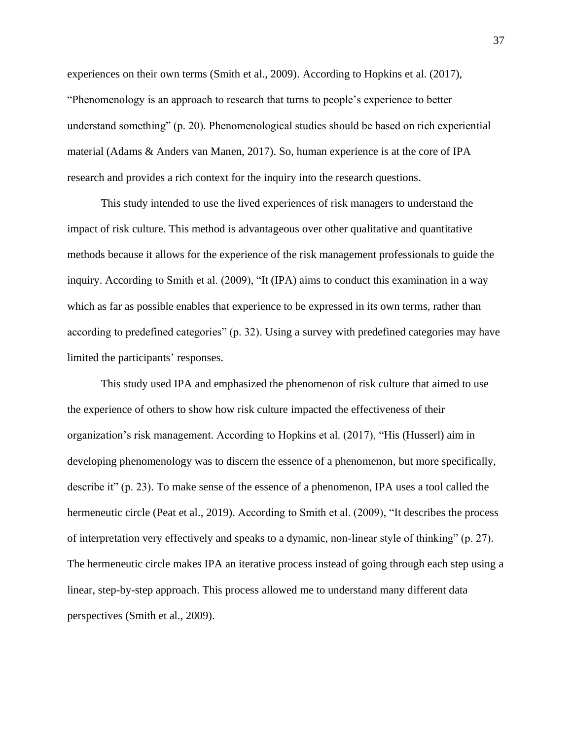experiences on their own terms (Smith et al., 2009). According to Hopkins et al. (2017), "Phenomenology is an approach to research that turns to people's experience to better understand something" (p. 20). Phenomenological studies should be based on rich experiential material (Adams & Anders van Manen, 2017). So, human experience is at the core of IPA research and provides a rich context for the inquiry into the research questions.

This study intended to use the lived experiences of risk managers to understand the impact of risk culture. This method is advantageous over other qualitative and quantitative methods because it allows for the experience of the risk management professionals to guide the inquiry. According to Smith et al. (2009), "It (IPA) aims to conduct this examination in a way which as far as possible enables that experience to be expressed in its own terms, rather than according to predefined categories" (p. 32). Using a survey with predefined categories may have limited the participants' responses.

This study used IPA and emphasized the phenomenon of risk culture that aimed to use the experience of others to show how risk culture impacted the effectiveness of their organization's risk management. According to Hopkins et al. (2017), "His (Husserl) aim in developing phenomenology was to discern the essence of a phenomenon, but more specifically, describe it" (p. 23). To make sense of the essence of a phenomenon, IPA uses a tool called the hermeneutic circle (Peat et al., 2019). According to Smith et al. (2009), "It describes the process of interpretation very effectively and speaks to a dynamic, non-linear style of thinking" (p. 27). The hermeneutic circle makes IPA an iterative process instead of going through each step using a linear, step-by-step approach. This process allowed me to understand many different data perspectives (Smith et al., 2009).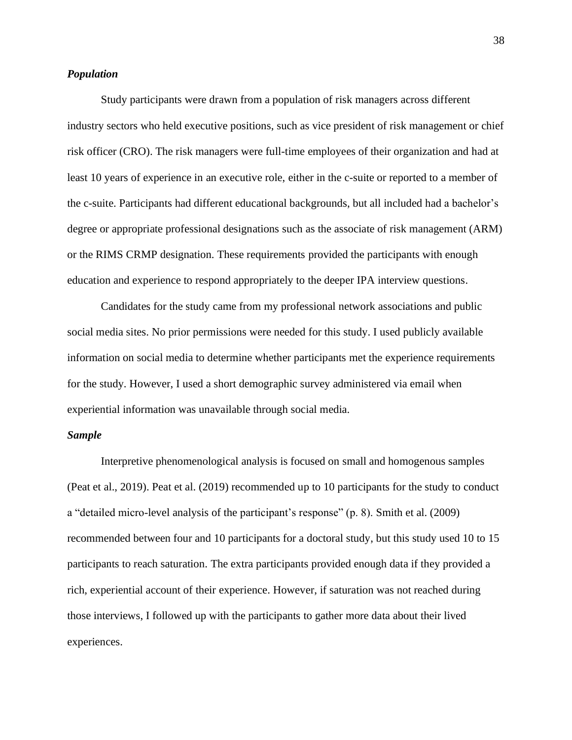## *Population*

Study participants were drawn from a population of risk managers across different industry sectors who held executive positions, such as vice president of risk management or chief risk officer (CRO). The risk managers were full-time employees of their organization and had at least 10 years of experience in an executive role, either in the c-suite or reported to a member of the c-suite. Participants had different educational backgrounds, but all included had a bachelor's degree or appropriate professional designations such as the associate of risk management (ARM) or the RIMS CRMP designation. These requirements provided the participants with enough education and experience to respond appropriately to the deeper IPA interview questions.

Candidates for the study came from my professional network associations and public social media sites. No prior permissions were needed for this study. I used publicly available information on social media to determine whether participants met the experience requirements for the study. However, I used a short demographic survey administered via email when experiential information was unavailable through social media.

## *Sample*

Interpretive phenomenological analysis is focused on small and homogenous samples (Peat et al., 2019). Peat et al. (2019) recommended up to 10 participants for the study to conduct a "detailed micro-level analysis of the participant's response" (p. 8). Smith et al. (2009) recommended between four and 10 participants for a doctoral study, but this study used 10 to 15 participants to reach saturation. The extra participants provided enough data if they provided a rich, experiential account of their experience. However, if saturation was not reached during those interviews, I followed up with the participants to gather more data about their lived experiences.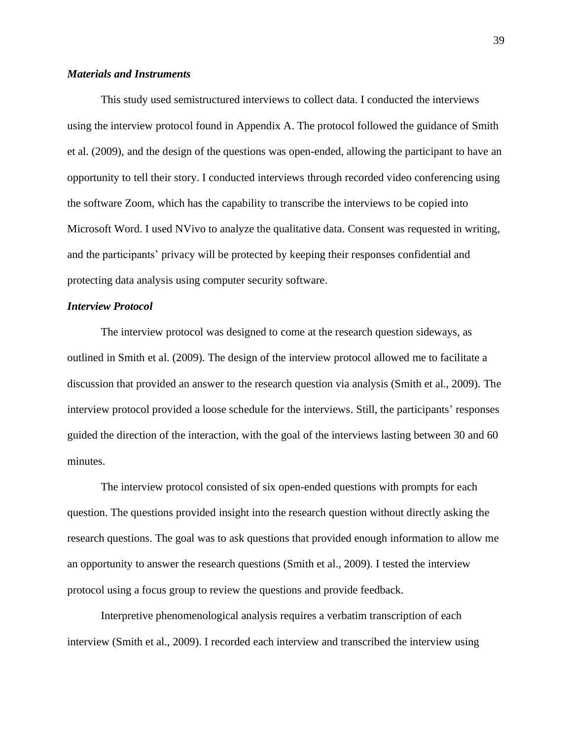## *Materials and Instruments*

This study used semistructured interviews to collect data. I conducted the interviews using the interview protocol found in Appendix A. The protocol followed the guidance of Smith et al. (2009), and the design of the questions was open-ended, allowing the participant to have an opportunity to tell their story. I conducted interviews through recorded video conferencing using the software Zoom, which has the capability to transcribe the interviews to be copied into Microsoft Word. I used NVivo to analyze the qualitative data. Consent was requested in writing, and the participants' privacy will be protected by keeping their responses confidential and protecting data analysis using computer security software.

## *Interview Protocol*

The interview protocol was designed to come at the research question sideways, as outlined in Smith et al. (2009). The design of the interview protocol allowed me to facilitate a discussion that provided an answer to the research question via analysis (Smith et al., 2009). The interview protocol provided a loose schedule for the interviews. Still, the participants' responses guided the direction of the interaction, with the goal of the interviews lasting between 30 and 60 minutes.

The interview protocol consisted of six open-ended questions with prompts for each question. The questions provided insight into the research question without directly asking the research questions. The goal was to ask questions that provided enough information to allow me an opportunity to answer the research questions (Smith et al., 2009). I tested the interview protocol using a focus group to review the questions and provide feedback.

Interpretive phenomenological analysis requires a verbatim transcription of each interview (Smith et al., 2009). I recorded each interview and transcribed the interview using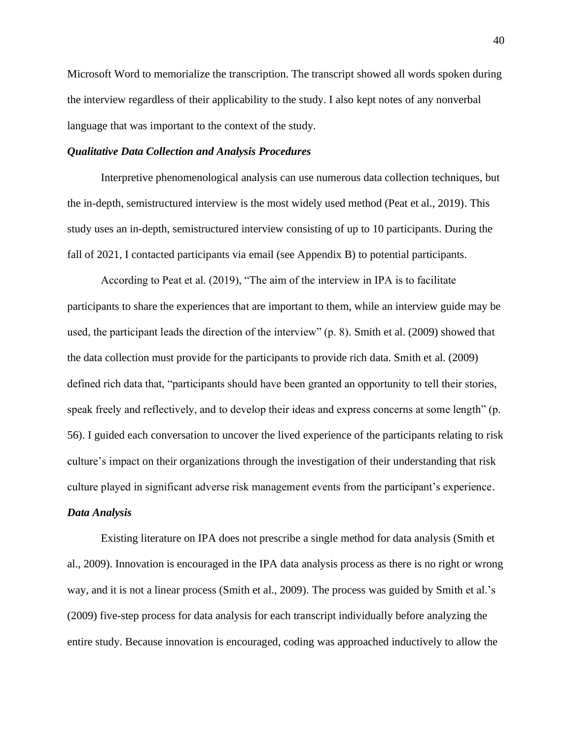Microsoft Word to memorialize the transcription. The transcript showed all words spoken during the interview regardless of their applicability to the study. I also kept notes of any nonverbal language that was important to the context of the study.

## *Qualitative Data Collection and Analysis Procedures*

Interpretive phenomenological analysis can use numerous data collection techniques, but the in-depth, semistructured interview is the most widely used method (Peat et al., 2019). This study uses an in-depth, semistructured interview consisting of up to 10 participants. During the fall of 2021, I contacted participants via email (see Appendix B) to potential participants.

According to Peat et al. (2019), "The aim of the interview in IPA is to facilitate participants to share the experiences that are important to them, while an interview guide may be used, the participant leads the direction of the interview" (p. 8). Smith et al. (2009) showed that the data collection must provide for the participants to provide rich data. Smith et al. (2009) defined rich data that, "participants should have been granted an opportunity to tell their stories, speak freely and reflectively, and to develop their ideas and express concerns at some length" (p. 56). I guided each conversation to uncover the lived experience of the participants relating to risk culture's impact on their organizations through the investigation of their understanding that risk culture played in significant adverse risk management events from the participant's experience.

## *Data Analysis*

Existing literature on IPA does not prescribe a single method for data analysis (Smith et al., 2009). Innovation is encouraged in the IPA data analysis process as there is no right or wrong way, and it is not a linear process (Smith et al., 2009). The process was guided by Smith et al.'s (2009) five-step process for data analysis for each transcript individually before analyzing the entire study. Because innovation is encouraged, coding was approached inductively to allow the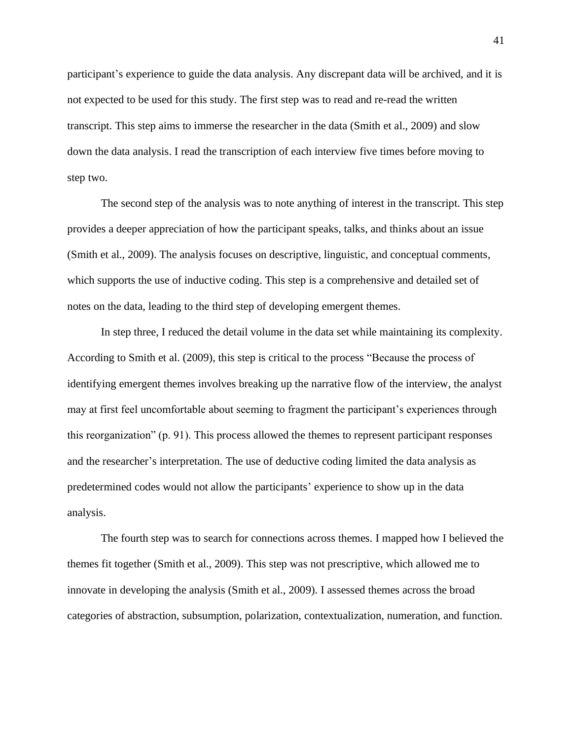participant's experience to guide the data analysis. Any discrepant data will be archived, and it is not expected to be used for this study. The first step was to read and re-read the written transcript. This step aims to immerse the researcher in the data (Smith et al., 2009) and slow down the data analysis. I read the transcription of each interview five times before moving to step two.

The second step of the analysis was to note anything of interest in the transcript. This step provides a deeper appreciation of how the participant speaks, talks, and thinks about an issue (Smith et al., 2009). The analysis focuses on descriptive, linguistic, and conceptual comments, which supports the use of inductive coding. This step is a comprehensive and detailed set of notes on the data, leading to the third step of developing emergent themes.

In step three, I reduced the detail volume in the data set while maintaining its complexity. According to Smith et al. (2009), this step is critical to the process "Because the process of identifying emergent themes involves breaking up the narrative flow of the interview, the analyst may at first feel uncomfortable about seeming to fragment the participant's experiences through this reorganization" (p. 91). This process allowed the themes to represent participant responses and the researcher's interpretation. The use of deductive coding limited the data analysis as predetermined codes would not allow the participants' experience to show up in the data analysis.

The fourth step was to search for connections across themes. I mapped how I believed the themes fit together (Smith et al., 2009). This step was not prescriptive, which allowed me to innovate in developing the analysis (Smith et al., 2009). I assessed themes across the broad categories of abstraction, subsumption, polarization, contextualization, numeration, and function.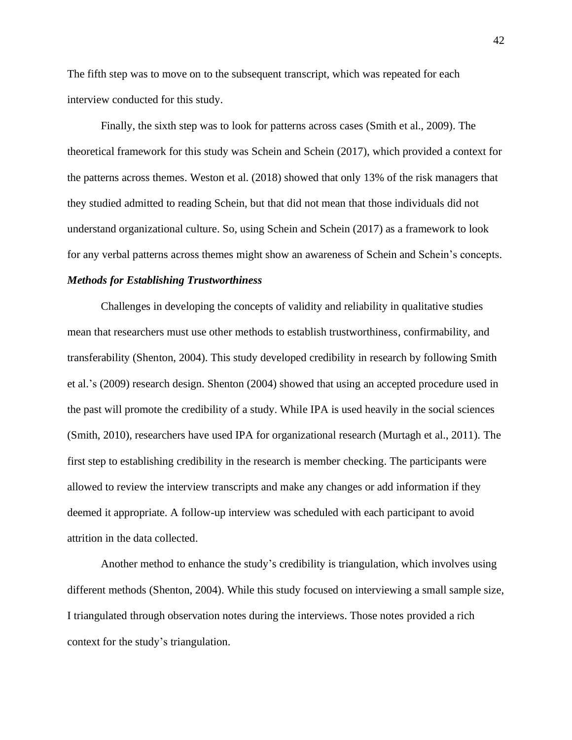The fifth step was to move on to the subsequent transcript, which was repeated for each interview conducted for this study.

Finally, the sixth step was to look for patterns across cases (Smith et al., 2009). The theoretical framework for this study was Schein and Schein (2017), which provided a context for the patterns across themes. Weston et al. (2018) showed that only 13% of the risk managers that they studied admitted to reading Schein, but that did not mean that those individuals did not understand organizational culture. So, using Schein and Schein (2017) as a framework to look for any verbal patterns across themes might show an awareness of Schein and Schein's concepts.

## *Methods for Establishing Trustworthiness*

Challenges in developing the concepts of validity and reliability in qualitative studies mean that researchers must use other methods to establish trustworthiness, confirmability, and transferability (Shenton, 2004). This study developed credibility in research by following Smith et al.'s (2009) research design. Shenton (2004) showed that using an accepted procedure used in the past will promote the credibility of a study. While IPA is used heavily in the social sciences (Smith, 2010), researchers have used IPA for organizational research (Murtagh et al., 2011). The first step to establishing credibility in the research is member checking. The participants were allowed to review the interview transcripts and make any changes or add information if they deemed it appropriate. A follow-up interview was scheduled with each participant to avoid attrition in the data collected.

Another method to enhance the study's credibility is triangulation, which involves using different methods (Shenton, 2004). While this study focused on interviewing a small sample size, I triangulated through observation notes during the interviews. Those notes provided a rich context for the study's triangulation.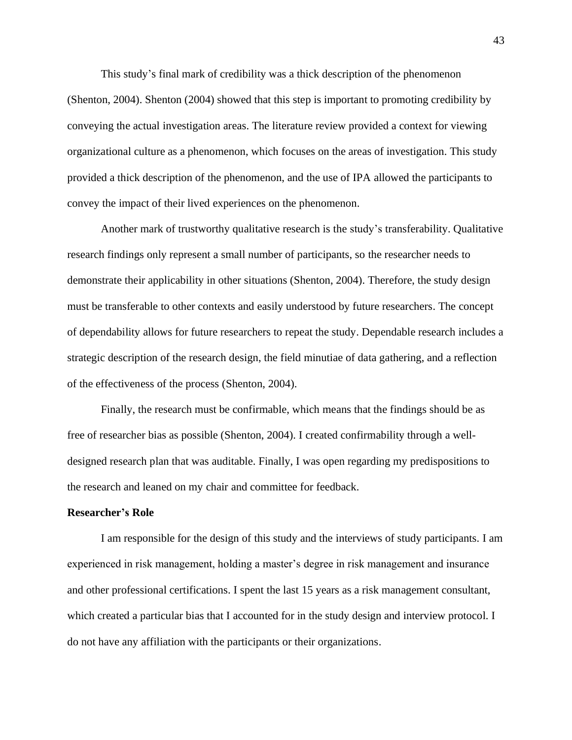This study's final mark of credibility was a thick description of the phenomenon (Shenton, 2004). Shenton (2004) showed that this step is important to promoting credibility by conveying the actual investigation areas. The literature review provided a context for viewing organizational culture as a phenomenon, which focuses on the areas of investigation. This study provided a thick description of the phenomenon, and the use of IPA allowed the participants to convey the impact of their lived experiences on the phenomenon.

Another mark of trustworthy qualitative research is the study's transferability. Qualitative research findings only represent a small number of participants, so the researcher needs to demonstrate their applicability in other situations (Shenton, 2004). Therefore, the study design must be transferable to other contexts and easily understood by future researchers. The concept of dependability allows for future researchers to repeat the study. Dependable research includes a strategic description of the research design, the field minutiae of data gathering, and a reflection of the effectiveness of the process (Shenton, 2004).

Finally, the research must be confirmable, which means that the findings should be as free of researcher bias as possible (Shenton, 2004). I created confirmability through a welldesigned research plan that was auditable. Finally, I was open regarding my predispositions to the research and leaned on my chair and committee for feedback.

### **Researcher's Role**

I am responsible for the design of this study and the interviews of study participants. I am experienced in risk management, holding a master's degree in risk management and insurance and other professional certifications. I spent the last 15 years as a risk management consultant, which created a particular bias that I accounted for in the study design and interview protocol. I do not have any affiliation with the participants or their organizations.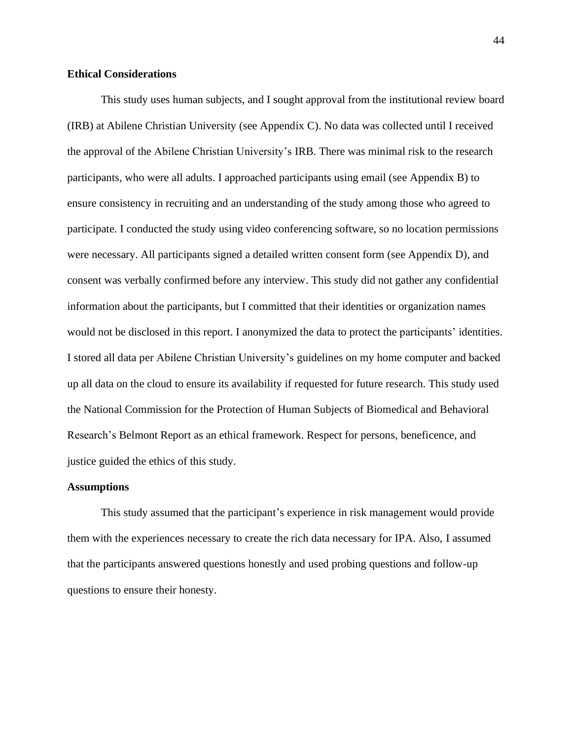## **Ethical Considerations**

This study uses human subjects, and I sought approval from the institutional review board (IRB) at Abilene Christian University (see Appendix C). No data was collected until I received the approval of the Abilene Christian University's IRB. There was minimal risk to the research participants, who were all adults. I approached participants using email (see Appendix B) to ensure consistency in recruiting and an understanding of the study among those who agreed to participate. I conducted the study using video conferencing software, so no location permissions were necessary. All participants signed a detailed written consent form (see Appendix D), and consent was verbally confirmed before any interview. This study did not gather any confidential information about the participants, but I committed that their identities or organization names would not be disclosed in this report. I anonymized the data to protect the participants' identities. I stored all data per Abilene Christian University's guidelines on my home computer and backed up all data on the cloud to ensure its availability if requested for future research. This study used the National Commission for the Protection of Human Subjects of Biomedical and Behavioral Research's Belmont Report as an ethical framework. Respect for persons, beneficence, and justice guided the ethics of this study.

## **Assumptions**

This study assumed that the participant's experience in risk management would provide them with the experiences necessary to create the rich data necessary for IPA. Also, I assumed that the participants answered questions honestly and used probing questions and follow-up questions to ensure their honesty.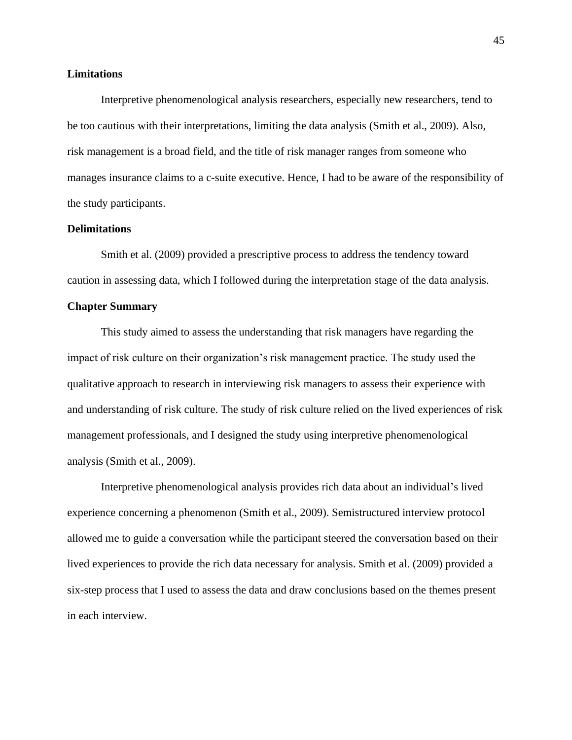## **Limitations**

Interpretive phenomenological analysis researchers, especially new researchers, tend to be too cautious with their interpretations, limiting the data analysis (Smith et al., 2009). Also, risk management is a broad field, and the title of risk manager ranges from someone who manages insurance claims to a c-suite executive. Hence, I had to be aware of the responsibility of the study participants.

## **Delimitations**

Smith et al. (2009) provided a prescriptive process to address the tendency toward caution in assessing data, which I followed during the interpretation stage of the data analysis.

## **Chapter Summary**

This study aimed to assess the understanding that risk managers have regarding the impact of risk culture on their organization's risk management practice. The study used the qualitative approach to research in interviewing risk managers to assess their experience with and understanding of risk culture. The study of risk culture relied on the lived experiences of risk management professionals, and I designed the study using interpretive phenomenological analysis (Smith et al., 2009).

Interpretive phenomenological analysis provides rich data about an individual's lived experience concerning a phenomenon (Smith et al., 2009). Semistructured interview protocol allowed me to guide a conversation while the participant steered the conversation based on their lived experiences to provide the rich data necessary for analysis. Smith et al. (2009) provided a six-step process that I used to assess the data and draw conclusions based on the themes present in each interview.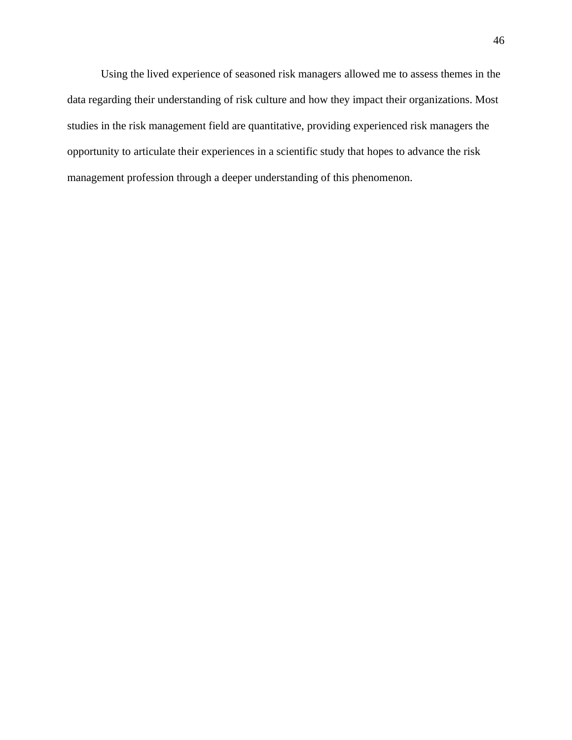Using the lived experience of seasoned risk managers allowed me to assess themes in the data regarding their understanding of risk culture and how they impact their organizations. Most studies in the risk management field are quantitative, providing experienced risk managers the opportunity to articulate their experiences in a scientific study that hopes to advance the risk management profession through a deeper understanding of this phenomenon.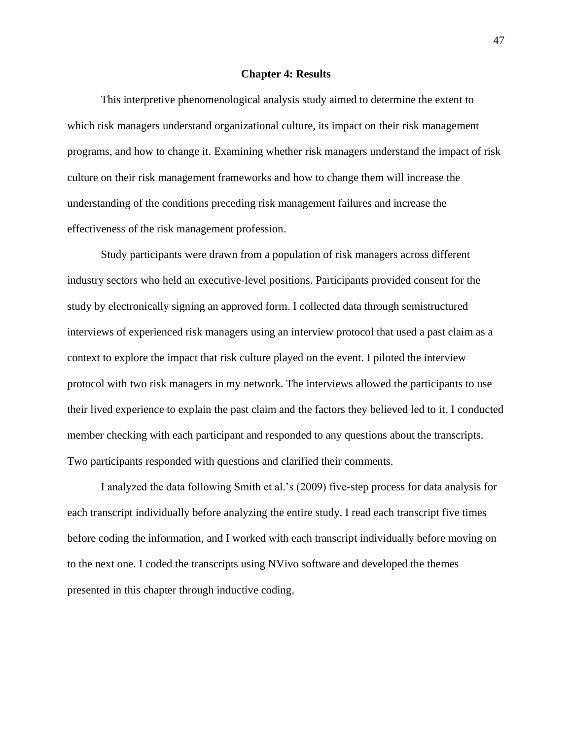#### **Chapter 4: Results**

This interpretive phenomenological analysis study aimed to determine the extent to which risk managers understand organizational culture, its impact on their risk management programs, and how to change it. Examining whether risk managers understand the impact of risk culture on their risk management frameworks and how to change them will increase the understanding of the conditions preceding risk management failures and increase the effectiveness of the risk management profession.

Study participants were drawn from a population of risk managers across different industry sectors who held an executive-level positions. Participants provided consent for the study by electronically signing an approved form. I collected data through semistructured interviews of experienced risk managers using an interview protocol that used a past claim as a context to explore the impact that risk culture played on the event. I piloted the interview protocol with two risk managers in my network. The interviews allowed the participants to use their lived experience to explain the past claim and the factors they believed led to it. I conducted member checking with each participant and responded to any questions about the transcripts. Two participants responded with questions and clarified their comments.

I analyzed the data following Smith et al.'s (2009) five-step process for data analysis for each transcript individually before analyzing the entire study. I read each transcript five times before coding the information, and I worked with each transcript individually before moving on to the next one. I coded the transcripts using NVivo software and developed the themes presented in this chapter through inductive coding.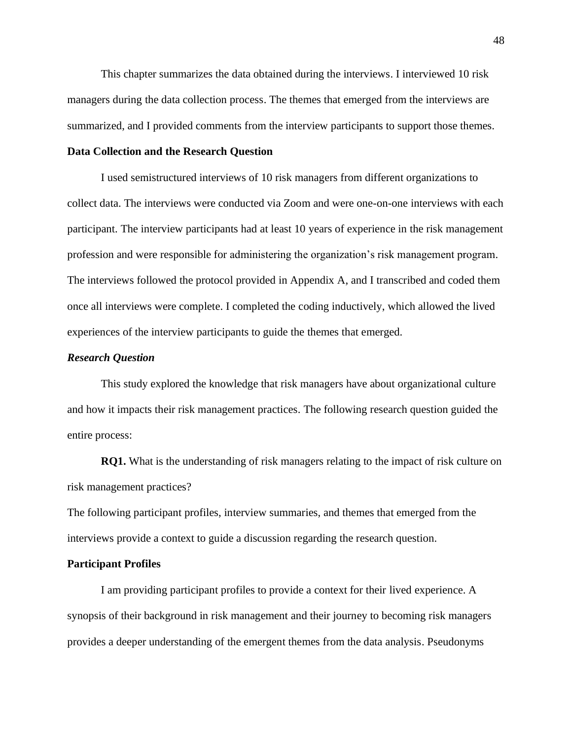This chapter summarizes the data obtained during the interviews. I interviewed 10 risk managers during the data collection process. The themes that emerged from the interviews are summarized, and I provided comments from the interview participants to support those themes.

## **Data Collection and the Research Question**

I used semistructured interviews of 10 risk managers from different organizations to collect data. The interviews were conducted via Zoom and were one-on-one interviews with each participant. The interview participants had at least 10 years of experience in the risk management profession and were responsible for administering the organization's risk management program. The interviews followed the protocol provided in Appendix A, and I transcribed and coded them once all interviews were complete. I completed the coding inductively, which allowed the lived experiences of the interview participants to guide the themes that emerged.

#### *Research Question*

This study explored the knowledge that risk managers have about organizational culture and how it impacts their risk management practices. The following research question guided the entire process:

**RQ1.** What is the understanding of risk managers relating to the impact of risk culture on risk management practices?

The following participant profiles, interview summaries, and themes that emerged from the interviews provide a context to guide a discussion regarding the research question.

#### **Participant Profiles**

I am providing participant profiles to provide a context for their lived experience. A synopsis of their background in risk management and their journey to becoming risk managers provides a deeper understanding of the emergent themes from the data analysis. Pseudonyms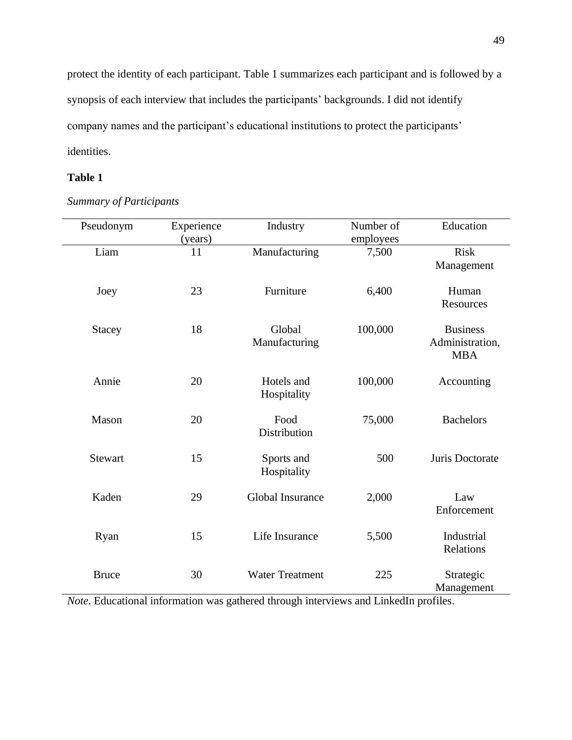protect the identity of each participant. Table 1 summarizes each participant and is followed by a synopsis of each interview that includes the participants' backgrounds. I did not identify company names and the participant's educational institutions to protect the participants' identities.

# **Table 1**

| Pseudonym      | Experience<br>(years) | Industry                  | Number of<br>employees | Education                                        |
|----------------|-----------------------|---------------------------|------------------------|--------------------------------------------------|
| Liam           | 11                    | Manufacturing             | 7,500                  | <b>Risk</b><br>Management                        |
| Joey           | 23                    | Furniture                 | 6,400                  | Human<br>Resources                               |
| <b>Stacey</b>  | 18                    | Global<br>Manufacturing   | 100,000                | <b>Business</b><br>Administration,<br><b>MBA</b> |
| Annie          | 20                    | Hotels and<br>Hospitality | 100,000                | Accounting                                       |
| Mason          | 20                    | Food<br>Distribution      | 75,000                 | <b>Bachelors</b>                                 |
| <b>Stewart</b> | 15                    | Sports and<br>Hospitality | 500                    | Juris Doctorate                                  |
| Kaden          | 29                    | Global Insurance          | 2,000                  | Law<br>Enforcement                               |
| Ryan           | 15                    | Life Insurance            | 5,500                  | Industrial<br>Relations                          |
| <b>Bruce</b>   | 30                    | <b>Water Treatment</b>    | 225                    | Strategic<br>Management                          |

*Summary of Participants*

*Note*. Educational information was gathered through interviews and LinkedIn profiles.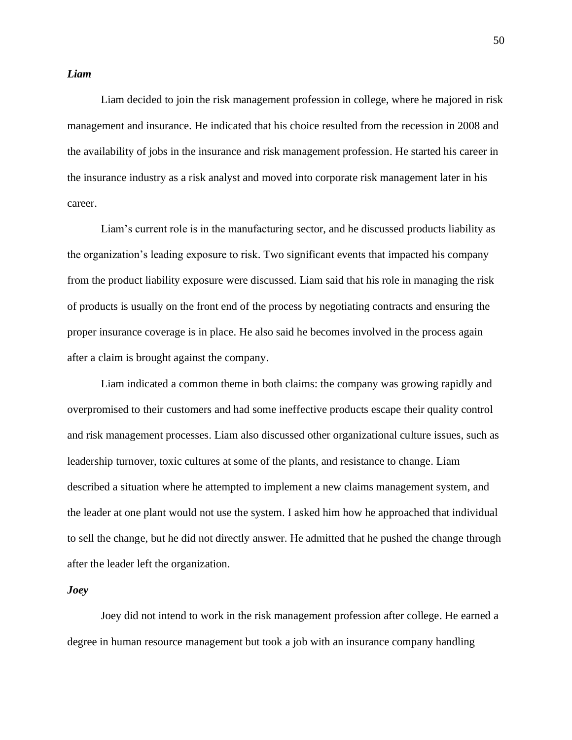## *Liam*

Liam decided to join the risk management profession in college, where he majored in risk management and insurance. He indicated that his choice resulted from the recession in 2008 and the availability of jobs in the insurance and risk management profession. He started his career in the insurance industry as a risk analyst and moved into corporate risk management later in his career.

Liam's current role is in the manufacturing sector, and he discussed products liability as the organization's leading exposure to risk. Two significant events that impacted his company from the product liability exposure were discussed. Liam said that his role in managing the risk of products is usually on the front end of the process by negotiating contracts and ensuring the proper insurance coverage is in place. He also said he becomes involved in the process again after a claim is brought against the company.

Liam indicated a common theme in both claims: the company was growing rapidly and overpromised to their customers and had some ineffective products escape their quality control and risk management processes. Liam also discussed other organizational culture issues, such as leadership turnover, toxic cultures at some of the plants, and resistance to change. Liam described a situation where he attempted to implement a new claims management system, and the leader at one plant would not use the system. I asked him how he approached that individual to sell the change, but he did not directly answer. He admitted that he pushed the change through after the leader left the organization.

## *Joey*

Joey did not intend to work in the risk management profession after college. He earned a degree in human resource management but took a job with an insurance company handling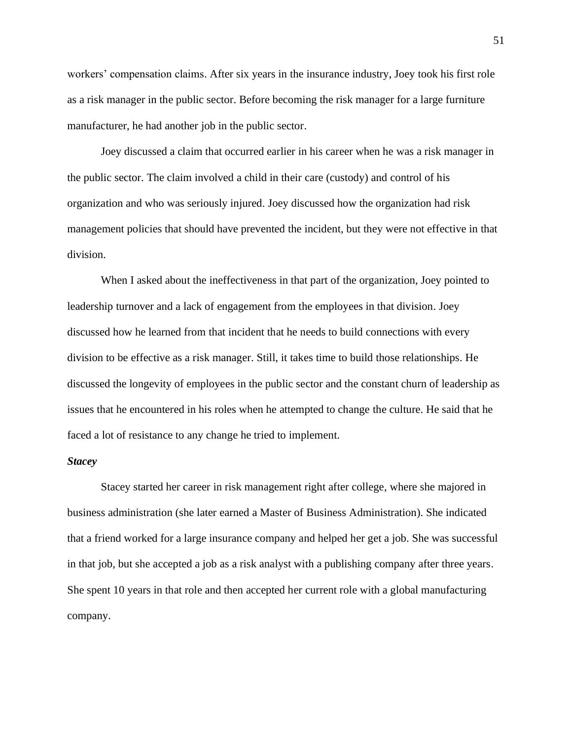workers' compensation claims. After six years in the insurance industry, Joey took his first role as a risk manager in the public sector. Before becoming the risk manager for a large furniture manufacturer, he had another job in the public sector.

Joey discussed a claim that occurred earlier in his career when he was a risk manager in the public sector. The claim involved a child in their care (custody) and control of his organization and who was seriously injured. Joey discussed how the organization had risk management policies that should have prevented the incident, but they were not effective in that division.

When I asked about the ineffectiveness in that part of the organization, Joey pointed to leadership turnover and a lack of engagement from the employees in that division. Joey discussed how he learned from that incident that he needs to build connections with every division to be effective as a risk manager. Still, it takes time to build those relationships. He discussed the longevity of employees in the public sector and the constant churn of leadership as issues that he encountered in his roles when he attempted to change the culture. He said that he faced a lot of resistance to any change he tried to implement.

## *Stacey*

Stacey started her career in risk management right after college, where she majored in business administration (she later earned a Master of Business Administration). She indicated that a friend worked for a large insurance company and helped her get a job. She was successful in that job, but she accepted a job as a risk analyst with a publishing company after three years. She spent 10 years in that role and then accepted her current role with a global manufacturing company.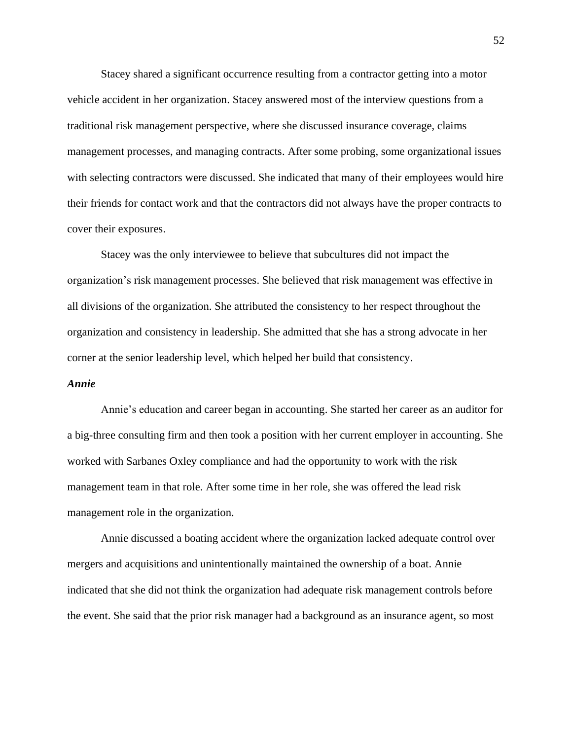Stacey shared a significant occurrence resulting from a contractor getting into a motor vehicle accident in her organization. Stacey answered most of the interview questions from a traditional risk management perspective, where she discussed insurance coverage, claims management processes, and managing contracts. After some probing, some organizational issues with selecting contractors were discussed. She indicated that many of their employees would hire their friends for contact work and that the contractors did not always have the proper contracts to cover their exposures.

Stacey was the only interviewee to believe that subcultures did not impact the organization's risk management processes. She believed that risk management was effective in all divisions of the organization. She attributed the consistency to her respect throughout the organization and consistency in leadership. She admitted that she has a strong advocate in her corner at the senior leadership level, which helped her build that consistency.

#### *Annie*

Annie's education and career began in accounting. She started her career as an auditor for a big-three consulting firm and then took a position with her current employer in accounting. She worked with Sarbanes Oxley compliance and had the opportunity to work with the risk management team in that role. After some time in her role, she was offered the lead risk management role in the organization.

Annie discussed a boating accident where the organization lacked adequate control over mergers and acquisitions and unintentionally maintained the ownership of a boat. Annie indicated that she did not think the organization had adequate risk management controls before the event. She said that the prior risk manager had a background as an insurance agent, so most

52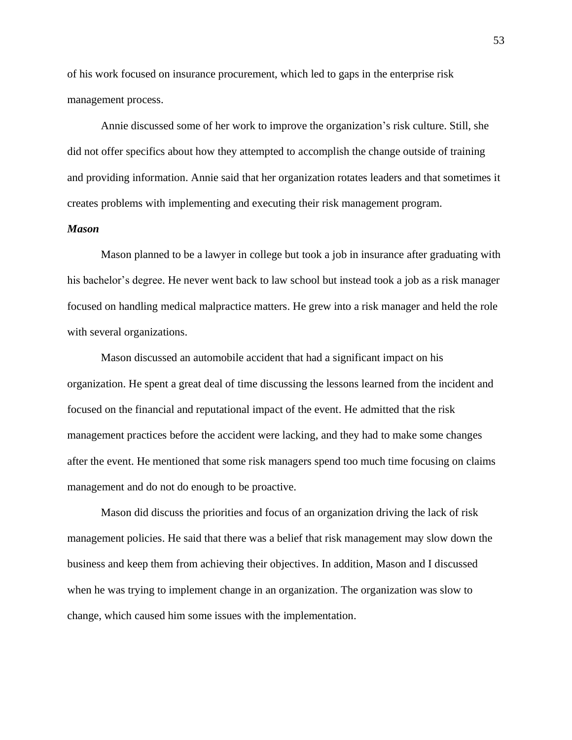of his work focused on insurance procurement, which led to gaps in the enterprise risk management process.

Annie discussed some of her work to improve the organization's risk culture. Still, she did not offer specifics about how they attempted to accomplish the change outside of training and providing information. Annie said that her organization rotates leaders and that sometimes it creates problems with implementing and executing their risk management program.

## *Mason*

Mason planned to be a lawyer in college but took a job in insurance after graduating with his bachelor's degree. He never went back to law school but instead took a job as a risk manager focused on handling medical malpractice matters. He grew into a risk manager and held the role with several organizations.

Mason discussed an automobile accident that had a significant impact on his organization. He spent a great deal of time discussing the lessons learned from the incident and focused on the financial and reputational impact of the event. He admitted that the risk management practices before the accident were lacking, and they had to make some changes after the event. He mentioned that some risk managers spend too much time focusing on claims management and do not do enough to be proactive.

Mason did discuss the priorities and focus of an organization driving the lack of risk management policies. He said that there was a belief that risk management may slow down the business and keep them from achieving their objectives. In addition, Mason and I discussed when he was trying to implement change in an organization. The organization was slow to change, which caused him some issues with the implementation.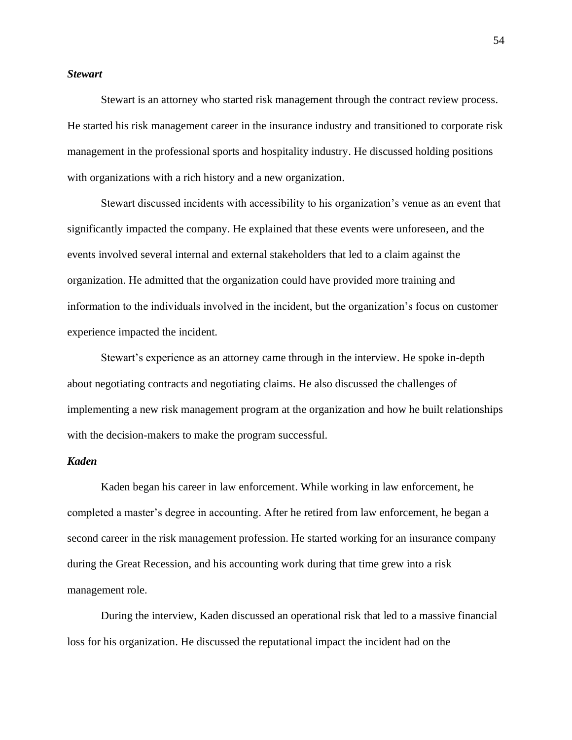## *Stewart*

Stewart is an attorney who started risk management through the contract review process. He started his risk management career in the insurance industry and transitioned to corporate risk management in the professional sports and hospitality industry. He discussed holding positions with organizations with a rich history and a new organization.

Stewart discussed incidents with accessibility to his organization's venue as an event that significantly impacted the company. He explained that these events were unforeseen, and the events involved several internal and external stakeholders that led to a claim against the organization. He admitted that the organization could have provided more training and information to the individuals involved in the incident, but the organization's focus on customer experience impacted the incident.

Stewart's experience as an attorney came through in the interview. He spoke in-depth about negotiating contracts and negotiating claims. He also discussed the challenges of implementing a new risk management program at the organization and how he built relationships with the decision-makers to make the program successful.

### *Kaden*

Kaden began his career in law enforcement. While working in law enforcement, he completed a master's degree in accounting. After he retired from law enforcement, he began a second career in the risk management profession. He started working for an insurance company during the Great Recession, and his accounting work during that time grew into a risk management role.

During the interview, Kaden discussed an operational risk that led to a massive financial loss for his organization. He discussed the reputational impact the incident had on the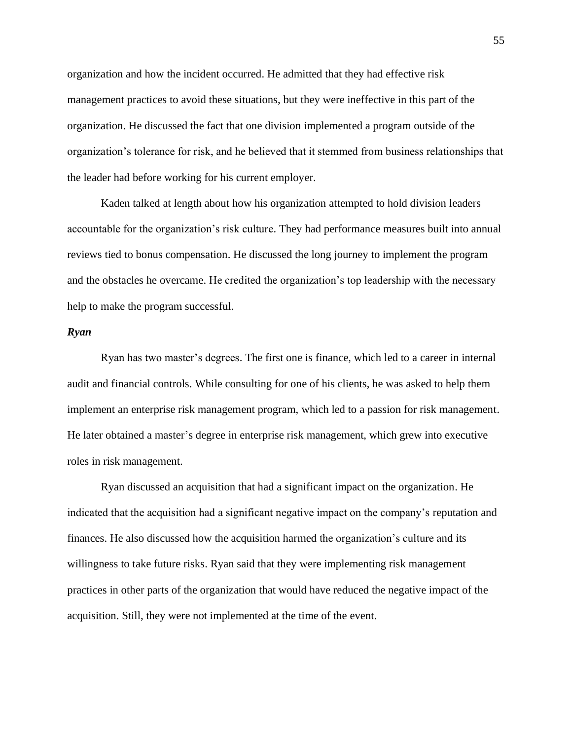organization and how the incident occurred. He admitted that they had effective risk management practices to avoid these situations, but they were ineffective in this part of the organization. He discussed the fact that one division implemented a program outside of the organization's tolerance for risk, and he believed that it stemmed from business relationships that the leader had before working for his current employer.

Kaden talked at length about how his organization attempted to hold division leaders accountable for the organization's risk culture. They had performance measures built into annual reviews tied to bonus compensation. He discussed the long journey to implement the program and the obstacles he overcame. He credited the organization's top leadership with the necessary help to make the program successful.

### *Ryan*

Ryan has two master's degrees. The first one is finance, which led to a career in internal audit and financial controls. While consulting for one of his clients, he was asked to help them implement an enterprise risk management program, which led to a passion for risk management. He later obtained a master's degree in enterprise risk management, which grew into executive roles in risk management.

Ryan discussed an acquisition that had a significant impact on the organization. He indicated that the acquisition had a significant negative impact on the company's reputation and finances. He also discussed how the acquisition harmed the organization's culture and its willingness to take future risks. Ryan said that they were implementing risk management practices in other parts of the organization that would have reduced the negative impact of the acquisition. Still, they were not implemented at the time of the event.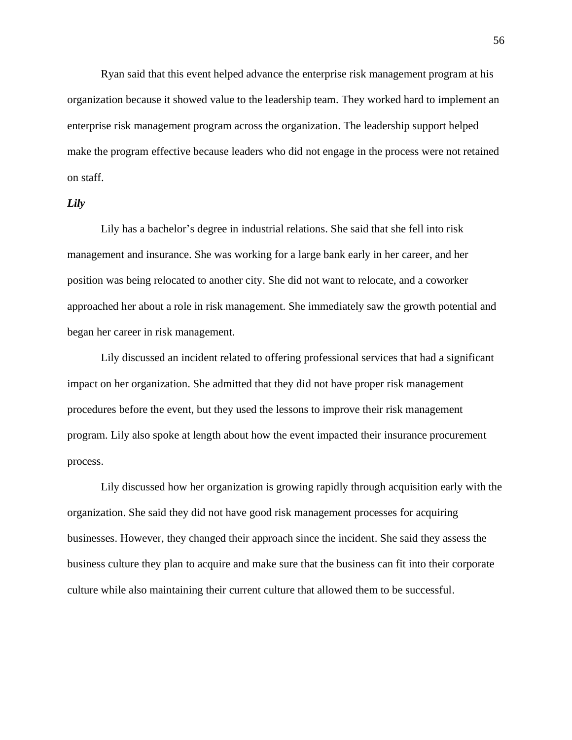Ryan said that this event helped advance the enterprise risk management program at his organization because it showed value to the leadership team. They worked hard to implement an enterprise risk management program across the organization. The leadership support helped make the program effective because leaders who did not engage in the process were not retained on staff.

## *Lily*

Lily has a bachelor's degree in industrial relations. She said that she fell into risk management and insurance. She was working for a large bank early in her career, and her position was being relocated to another city. She did not want to relocate, and a coworker approached her about a role in risk management. She immediately saw the growth potential and began her career in risk management.

Lily discussed an incident related to offering professional services that had a significant impact on her organization. She admitted that they did not have proper risk management procedures before the event, but they used the lessons to improve their risk management program. Lily also spoke at length about how the event impacted their insurance procurement process.

Lily discussed how her organization is growing rapidly through acquisition early with the organization. She said they did not have good risk management processes for acquiring businesses. However, they changed their approach since the incident. She said they assess the business culture they plan to acquire and make sure that the business can fit into their corporate culture while also maintaining their current culture that allowed them to be successful.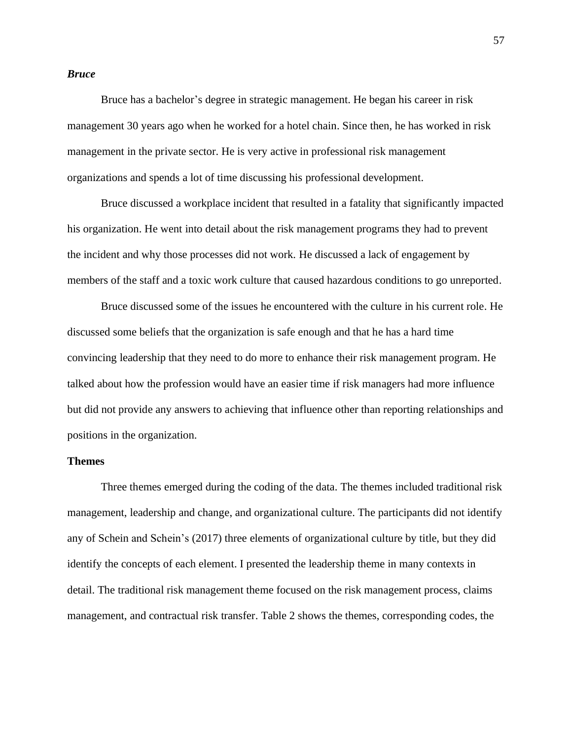## *Bruce*

Bruce has a bachelor's degree in strategic management. He began his career in risk management 30 years ago when he worked for a hotel chain. Since then, he has worked in risk management in the private sector. He is very active in professional risk management organizations and spends a lot of time discussing his professional development.

Bruce discussed a workplace incident that resulted in a fatality that significantly impacted his organization. He went into detail about the risk management programs they had to prevent the incident and why those processes did not work. He discussed a lack of engagement by members of the staff and a toxic work culture that caused hazardous conditions to go unreported.

Bruce discussed some of the issues he encountered with the culture in his current role. He discussed some beliefs that the organization is safe enough and that he has a hard time convincing leadership that they need to do more to enhance their risk management program. He talked about how the profession would have an easier time if risk managers had more influence but did not provide any answers to achieving that influence other than reporting relationships and positions in the organization.

### **Themes**

Three themes emerged during the coding of the data. The themes included traditional risk management, leadership and change, and organizational culture. The participants did not identify any of Schein and Schein's (2017) three elements of organizational culture by title, but they did identify the concepts of each element. I presented the leadership theme in many contexts in detail. The traditional risk management theme focused on the risk management process, claims management, and contractual risk transfer. Table 2 shows the themes, corresponding codes, the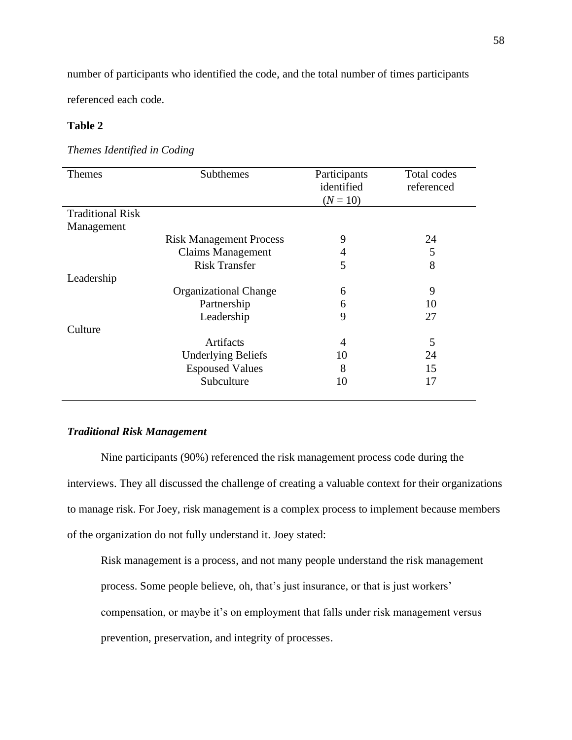number of participants who identified the code, and the total number of times participants

referenced each code.

# **Table 2**

# *Themes Identified in Coding*

| <b>Themes</b>           | Subthemes                      | Participants   | Total codes |
|-------------------------|--------------------------------|----------------|-------------|
|                         |                                | identified     | referenced  |
|                         |                                | $(N = 10)$     |             |
| <b>Traditional Risk</b> |                                |                |             |
| Management              |                                |                |             |
|                         | <b>Risk Management Process</b> | 9              | 24          |
|                         | <b>Claims Management</b>       | 4              | 5           |
|                         | <b>Risk Transfer</b>           | 5              | 8           |
| Leadership              |                                |                |             |
|                         | <b>Organizational Change</b>   | 6              | 9           |
|                         | Partnership                    | 6              | 10          |
|                         | Leadership                     | 9              | 27          |
| Culture                 |                                |                |             |
|                         | Artifacts                      | $\overline{4}$ | 5           |
|                         | <b>Underlying Beliefs</b>      | 10             | 24          |
|                         | <b>Espoused Values</b>         | 8              | 15          |
|                         | Subculture                     | 10             | 17          |
|                         |                                |                |             |

# *Traditional Risk Management*

Nine participants (90%) referenced the risk management process code during the interviews. They all discussed the challenge of creating a valuable context for their organizations to manage risk. For Joey, risk management is a complex process to implement because members of the organization do not fully understand it. Joey stated:

Risk management is a process, and not many people understand the risk management process. Some people believe, oh, that's just insurance, or that is just workers' compensation, or maybe it's on employment that falls under risk management versus prevention, preservation, and integrity of processes.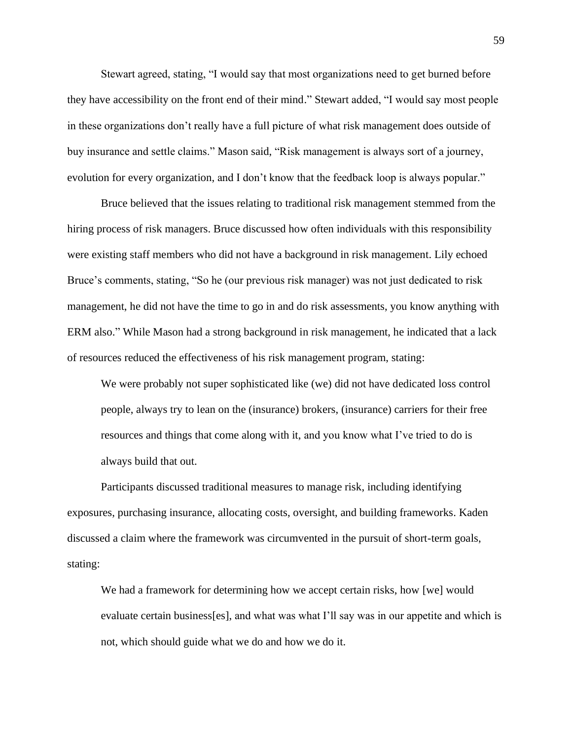Stewart agreed, stating, "I would say that most organizations need to get burned before they have accessibility on the front end of their mind." Stewart added, "I would say most people in these organizations don't really have a full picture of what risk management does outside of buy insurance and settle claims." Mason said, "Risk management is always sort of a journey, evolution for every organization, and I don't know that the feedback loop is always popular."

Bruce believed that the issues relating to traditional risk management stemmed from the hiring process of risk managers. Bruce discussed how often individuals with this responsibility were existing staff members who did not have a background in risk management. Lily echoed Bruce's comments, stating, "So he (our previous risk manager) was not just dedicated to risk management, he did not have the time to go in and do risk assessments, you know anything with ERM also." While Mason had a strong background in risk management, he indicated that a lack of resources reduced the effectiveness of his risk management program, stating:

We were probably not super sophisticated like (we) did not have dedicated loss control people, always try to lean on the (insurance) brokers, (insurance) carriers for their free resources and things that come along with it, and you know what I've tried to do is always build that out.

Participants discussed traditional measures to manage risk, including identifying exposures, purchasing insurance, allocating costs, oversight, and building frameworks. Kaden discussed a claim where the framework was circumvented in the pursuit of short-term goals, stating:

We had a framework for determining how we accept certain risks, how [we] would evaluate certain business[es], and what was what I'll say was in our appetite and which is not, which should guide what we do and how we do it.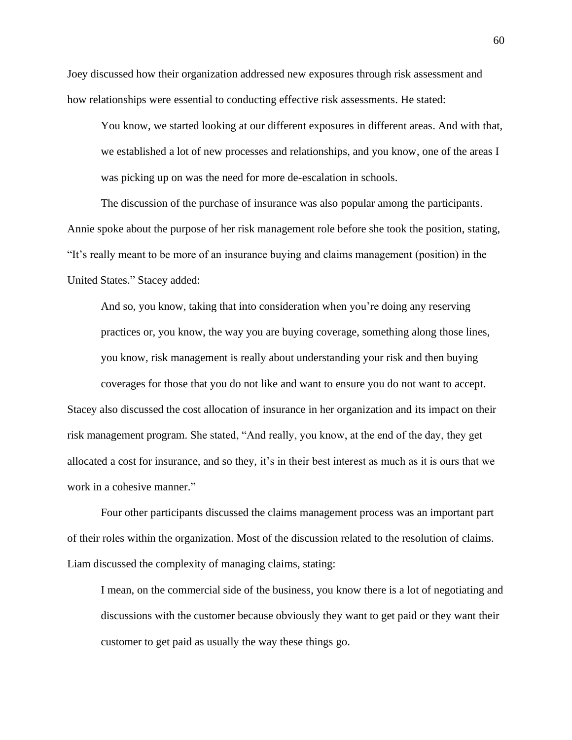Joey discussed how their organization addressed new exposures through risk assessment and how relationships were essential to conducting effective risk assessments. He stated:

You know, we started looking at our different exposures in different areas. And with that, we established a lot of new processes and relationships, and you know, one of the areas I was picking up on was the need for more de-escalation in schools.

The discussion of the purchase of insurance was also popular among the participants. Annie spoke about the purpose of her risk management role before she took the position, stating, "It's really meant to be more of an insurance buying and claims management (position) in the United States." Stacey added:

And so, you know, taking that into consideration when you're doing any reserving practices or, you know, the way you are buying coverage, something along those lines, you know, risk management is really about understanding your risk and then buying coverages for those that you do not like and want to ensure you do not want to accept.

Stacey also discussed the cost allocation of insurance in her organization and its impact on their risk management program. She stated, "And really, you know, at the end of the day, they get allocated a cost for insurance, and so they, it's in their best interest as much as it is ours that we work in a cohesive manner."

Four other participants discussed the claims management process was an important part of their roles within the organization. Most of the discussion related to the resolution of claims. Liam discussed the complexity of managing claims, stating:

I mean, on the commercial side of the business, you know there is a lot of negotiating and discussions with the customer because obviously they want to get paid or they want their customer to get paid as usually the way these things go.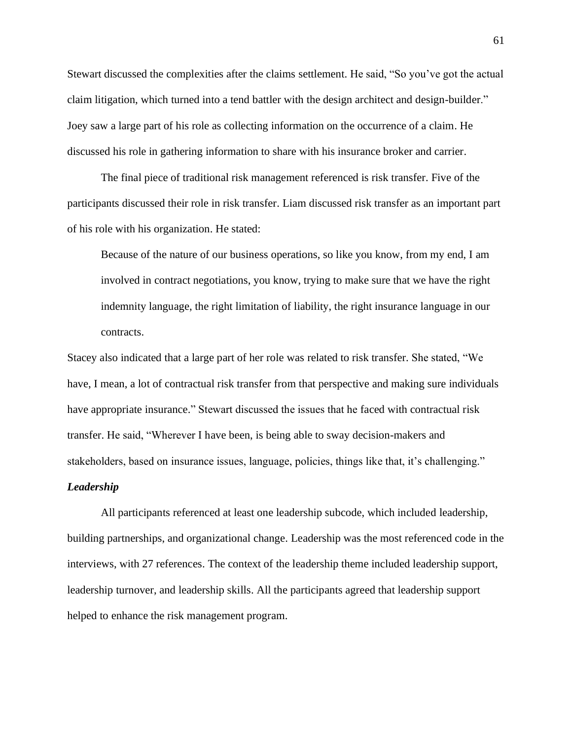Stewart discussed the complexities after the claims settlement. He said, "So you've got the actual claim litigation, which turned into a tend battler with the design architect and design-builder." Joey saw a large part of his role as collecting information on the occurrence of a claim. He discussed his role in gathering information to share with his insurance broker and carrier.

The final piece of traditional risk management referenced is risk transfer. Five of the participants discussed their role in risk transfer. Liam discussed risk transfer as an important part of his role with his organization. He stated:

Because of the nature of our business operations, so like you know, from my end, I am involved in contract negotiations, you know, trying to make sure that we have the right indemnity language, the right limitation of liability, the right insurance language in our contracts.

Stacey also indicated that a large part of her role was related to risk transfer. She stated, "We have, I mean, a lot of contractual risk transfer from that perspective and making sure individuals have appropriate insurance." Stewart discussed the issues that he faced with contractual risk transfer. He said, "Wherever I have been, is being able to sway decision-makers and stakeholders, based on insurance issues, language, policies, things like that, it's challenging."

## *Leadership*

All participants referenced at least one leadership subcode, which included leadership, building partnerships, and organizational change. Leadership was the most referenced code in the interviews, with 27 references. The context of the leadership theme included leadership support, leadership turnover, and leadership skills. All the participants agreed that leadership support helped to enhance the risk management program.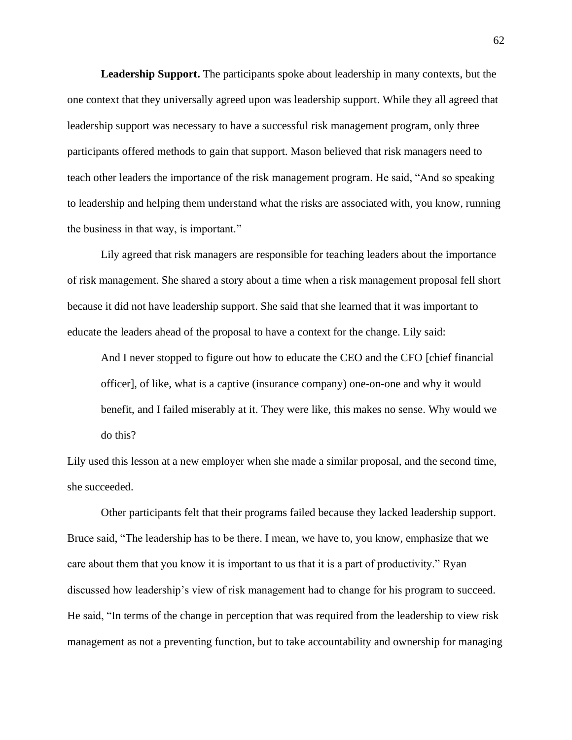**Leadership Support.** The participants spoke about leadership in many contexts, but the one context that they universally agreed upon was leadership support. While they all agreed that leadership support was necessary to have a successful risk management program, only three participants offered methods to gain that support. Mason believed that risk managers need to teach other leaders the importance of the risk management program. He said, "And so speaking to leadership and helping them understand what the risks are associated with, you know, running the business in that way, is important."

Lily agreed that risk managers are responsible for teaching leaders about the importance of risk management. She shared a story about a time when a risk management proposal fell short because it did not have leadership support. She said that she learned that it was important to educate the leaders ahead of the proposal to have a context for the change. Lily said:

And I never stopped to figure out how to educate the CEO and the CFO [chief financial officer], of like, what is a captive (insurance company) one-on-one and why it would benefit, and I failed miserably at it. They were like, this makes no sense. Why would we do this?

Lily used this lesson at a new employer when she made a similar proposal, and the second time, she succeeded.

Other participants felt that their programs failed because they lacked leadership support. Bruce said, "The leadership has to be there. I mean, we have to, you know, emphasize that we care about them that you know it is important to us that it is a part of productivity." Ryan discussed how leadership's view of risk management had to change for his program to succeed. He said, "In terms of the change in perception that was required from the leadership to view risk management as not a preventing function, but to take accountability and ownership for managing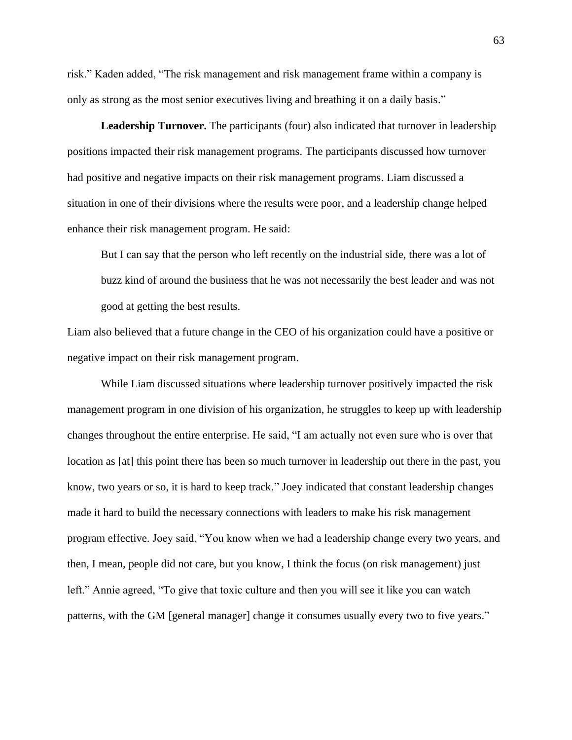risk." Kaden added, "The risk management and risk management frame within a company is only as strong as the most senior executives living and breathing it on a daily basis."

**Leadership Turnover.** The participants (four) also indicated that turnover in leadership positions impacted their risk management programs. The participants discussed how turnover had positive and negative impacts on their risk management programs. Liam discussed a situation in one of their divisions where the results were poor, and a leadership change helped enhance their risk management program. He said:

But I can say that the person who left recently on the industrial side, there was a lot of buzz kind of around the business that he was not necessarily the best leader and was not good at getting the best results.

Liam also believed that a future change in the CEO of his organization could have a positive or negative impact on their risk management program.

While Liam discussed situations where leadership turnover positively impacted the risk management program in one division of his organization, he struggles to keep up with leadership changes throughout the entire enterprise. He said, "I am actually not even sure who is over that location as [at] this point there has been so much turnover in leadership out there in the past, you know, two years or so, it is hard to keep track." Joey indicated that constant leadership changes made it hard to build the necessary connections with leaders to make his risk management program effective. Joey said, "You know when we had a leadership change every two years, and then, I mean, people did not care, but you know, I think the focus (on risk management) just left." Annie agreed, "To give that toxic culture and then you will see it like you can watch patterns, with the GM [general manager] change it consumes usually every two to five years."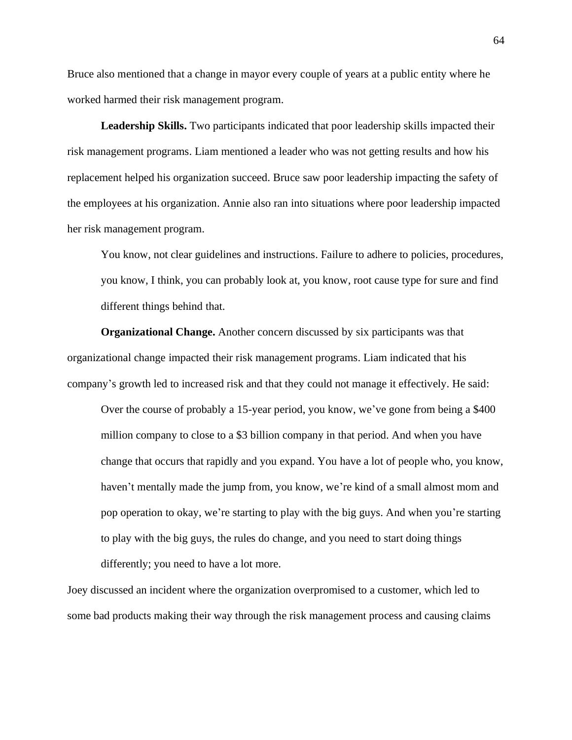Bruce also mentioned that a change in mayor every couple of years at a public entity where he worked harmed their risk management program.

**Leadership Skills.** Two participants indicated that poor leadership skills impacted their risk management programs. Liam mentioned a leader who was not getting results and how his replacement helped his organization succeed. Bruce saw poor leadership impacting the safety of the employees at his organization. Annie also ran into situations where poor leadership impacted her risk management program.

You know, not clear guidelines and instructions. Failure to adhere to policies, procedures, you know, I think, you can probably look at, you know, root cause type for sure and find different things behind that.

**Organizational Change.** Another concern discussed by six participants was that organizational change impacted their risk management programs. Liam indicated that his company's growth led to increased risk and that they could not manage it effectively. He said:

Over the course of probably a 15-year period, you know, we've gone from being a \$400 million company to close to a \$3 billion company in that period. And when you have change that occurs that rapidly and you expand. You have a lot of people who, you know, haven't mentally made the jump from, you know, we're kind of a small almost mom and pop operation to okay, we're starting to play with the big guys. And when you're starting to play with the big guys, the rules do change, and you need to start doing things differently; you need to have a lot more.

Joey discussed an incident where the organization overpromised to a customer, which led to some bad products making their way through the risk management process and causing claims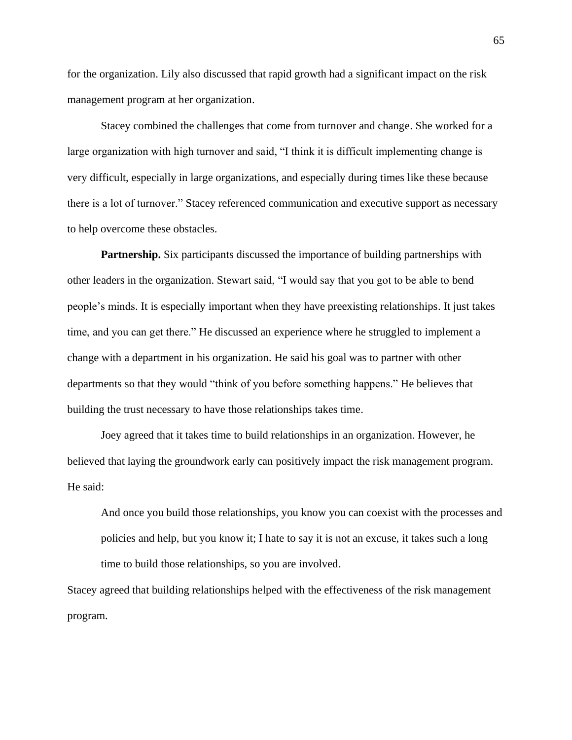for the organization. Lily also discussed that rapid growth had a significant impact on the risk management program at her organization.

Stacey combined the challenges that come from turnover and change. She worked for a large organization with high turnover and said, "I think it is difficult implementing change is very difficult, especially in large organizations, and especially during times like these because there is a lot of turnover." Stacey referenced communication and executive support as necessary to help overcome these obstacles.

**Partnership.** Six participants discussed the importance of building partnerships with other leaders in the organization. Stewart said, "I would say that you got to be able to bend people's minds. It is especially important when they have preexisting relationships. It just takes time, and you can get there." He discussed an experience where he struggled to implement a change with a department in his organization. He said his goal was to partner with other departments so that they would "think of you before something happens." He believes that building the trust necessary to have those relationships takes time.

Joey agreed that it takes time to build relationships in an organization. However, he believed that laying the groundwork early can positively impact the risk management program. He said:

And once you build those relationships, you know you can coexist with the processes and policies and help, but you know it; I hate to say it is not an excuse, it takes such a long time to build those relationships, so you are involved.

Stacey agreed that building relationships helped with the effectiveness of the risk management program.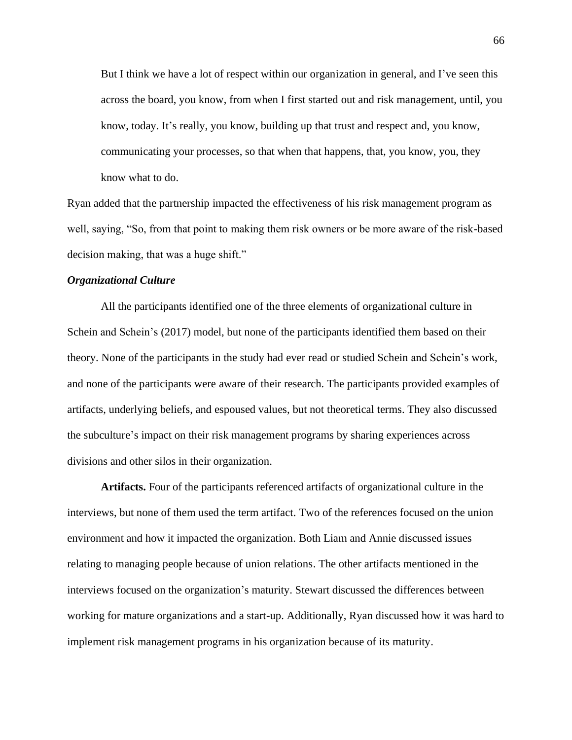But I think we have a lot of respect within our organization in general, and I've seen this across the board, you know, from when I first started out and risk management, until, you know, today. It's really, you know, building up that trust and respect and, you know, communicating your processes, so that when that happens, that, you know, you, they know what to do.

Ryan added that the partnership impacted the effectiveness of his risk management program as well, saying, "So, from that point to making them risk owners or be more aware of the risk-based decision making, that was a huge shift."

## *Organizational Culture*

All the participants identified one of the three elements of organizational culture in Schein and Schein's (2017) model, but none of the participants identified them based on their theory. None of the participants in the study had ever read or studied Schein and Schein's work, and none of the participants were aware of their research. The participants provided examples of artifacts, underlying beliefs, and espoused values, but not theoretical terms. They also discussed the subculture's impact on their risk management programs by sharing experiences across divisions and other silos in their organization.

**Artifacts.** Four of the participants referenced artifacts of organizational culture in the interviews, but none of them used the term artifact. Two of the references focused on the union environment and how it impacted the organization. Both Liam and Annie discussed issues relating to managing people because of union relations. The other artifacts mentioned in the interviews focused on the organization's maturity. Stewart discussed the differences between working for mature organizations and a start-up. Additionally, Ryan discussed how it was hard to implement risk management programs in his organization because of its maturity.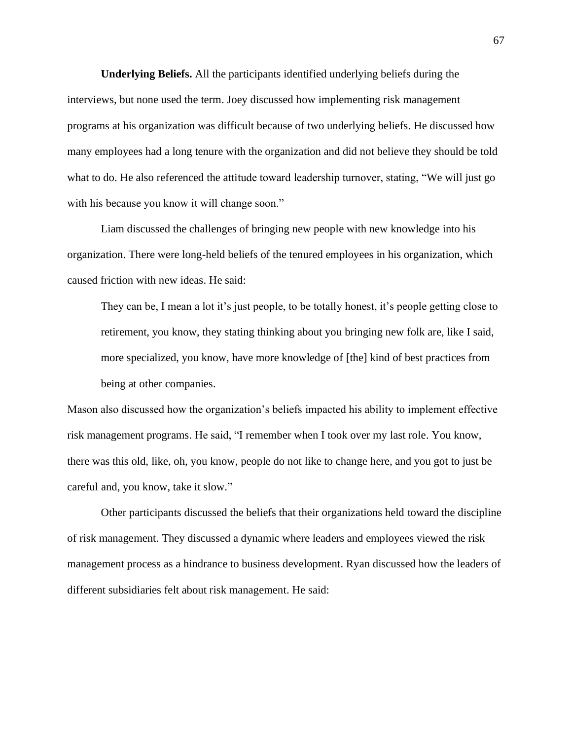**Underlying Beliefs.** All the participants identified underlying beliefs during the interviews, but none used the term. Joey discussed how implementing risk management programs at his organization was difficult because of two underlying beliefs. He discussed how many employees had a long tenure with the organization and did not believe they should be told what to do. He also referenced the attitude toward leadership turnover, stating, "We will just go with his because you know it will change soon."

Liam discussed the challenges of bringing new people with new knowledge into his organization. There were long-held beliefs of the tenured employees in his organization, which caused friction with new ideas. He said:

They can be, I mean a lot it's just people, to be totally honest, it's people getting close to retirement, you know, they stating thinking about you bringing new folk are, like I said, more specialized, you know, have more knowledge of [the] kind of best practices from being at other companies.

Mason also discussed how the organization's beliefs impacted his ability to implement effective risk management programs. He said, "I remember when I took over my last role. You know, there was this old, like, oh, you know, people do not like to change here, and you got to just be careful and, you know, take it slow."

Other participants discussed the beliefs that their organizations held toward the discipline of risk management. They discussed a dynamic where leaders and employees viewed the risk management process as a hindrance to business development. Ryan discussed how the leaders of different subsidiaries felt about risk management. He said: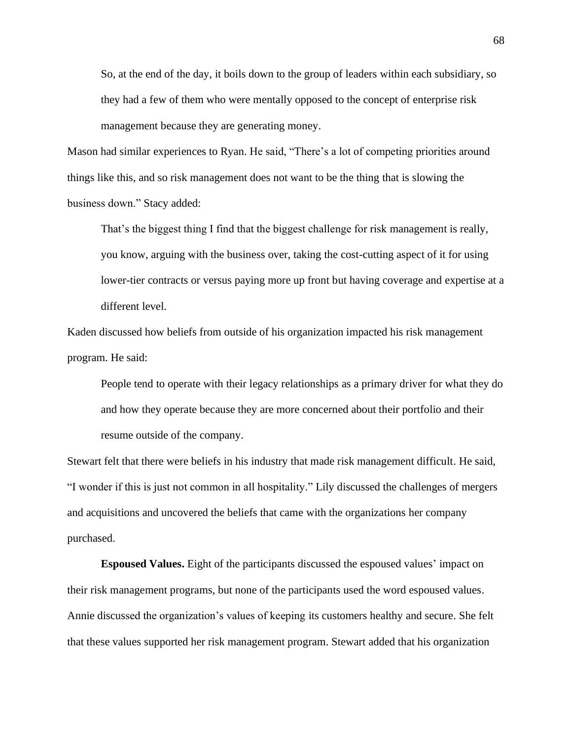So, at the end of the day, it boils down to the group of leaders within each subsidiary, so they had a few of them who were mentally opposed to the concept of enterprise risk management because they are generating money.

Mason had similar experiences to Ryan. He said, "There's a lot of competing priorities around things like this, and so risk management does not want to be the thing that is slowing the business down." Stacy added:

That's the biggest thing I find that the biggest challenge for risk management is really, you know, arguing with the business over, taking the cost-cutting aspect of it for using lower-tier contracts or versus paying more up front but having coverage and expertise at a different level.

Kaden discussed how beliefs from outside of his organization impacted his risk management program. He said:

People tend to operate with their legacy relationships as a primary driver for what they do and how they operate because they are more concerned about their portfolio and their resume outside of the company.

Stewart felt that there were beliefs in his industry that made risk management difficult. He said, "I wonder if this is just not common in all hospitality." Lily discussed the challenges of mergers and acquisitions and uncovered the beliefs that came with the organizations her company purchased.

**Espoused Values.** Eight of the participants discussed the espoused values' impact on their risk management programs, but none of the participants used the word espoused values. Annie discussed the organization's values of keeping its customers healthy and secure. She felt that these values supported her risk management program. Stewart added that his organization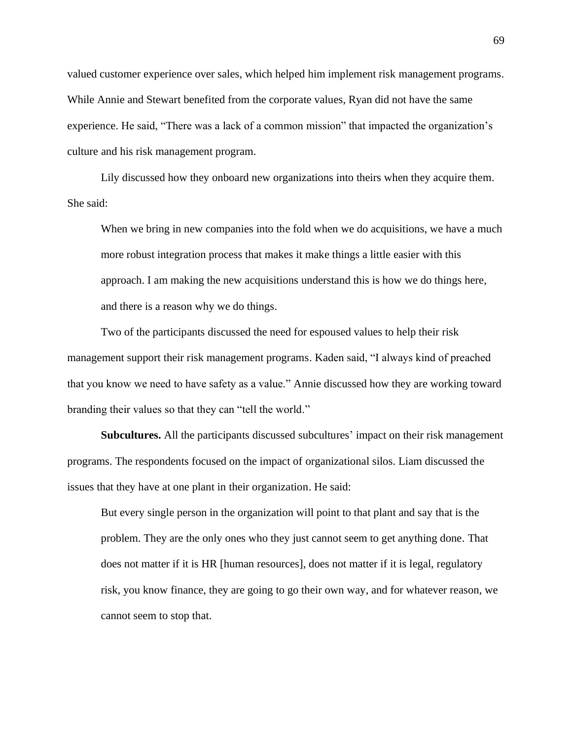valued customer experience over sales, which helped him implement risk management programs. While Annie and Stewart benefited from the corporate values, Ryan did not have the same experience. He said, "There was a lack of a common mission" that impacted the organization's culture and his risk management program.

Lily discussed how they onboard new organizations into theirs when they acquire them. She said:

When we bring in new companies into the fold when we do acquisitions, we have a much more robust integration process that makes it make things a little easier with this approach. I am making the new acquisitions understand this is how we do things here, and there is a reason why we do things.

Two of the participants discussed the need for espoused values to help their risk management support their risk management programs. Kaden said, "I always kind of preached that you know we need to have safety as a value." Annie discussed how they are working toward branding their values so that they can "tell the world."

**Subcultures.** All the participants discussed subcultures' impact on their risk management programs. The respondents focused on the impact of organizational silos. Liam discussed the issues that they have at one plant in their organization. He said:

But every single person in the organization will point to that plant and say that is the problem. They are the only ones who they just cannot seem to get anything done. That does not matter if it is HR [human resources], does not matter if it is legal, regulatory risk, you know finance, they are going to go their own way, and for whatever reason, we cannot seem to stop that.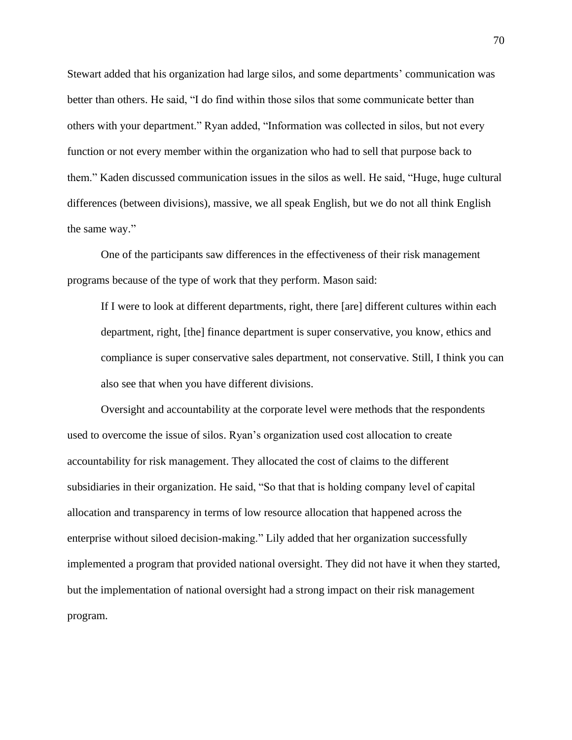Stewart added that his organization had large silos, and some departments' communication was better than others. He said, "I do find within those silos that some communicate better than others with your department." Ryan added, "Information was collected in silos, but not every function or not every member within the organization who had to sell that purpose back to them." Kaden discussed communication issues in the silos as well. He said, "Huge, huge cultural differences (between divisions), massive, we all speak English, but we do not all think English the same way."

One of the participants saw differences in the effectiveness of their risk management programs because of the type of work that they perform. Mason said:

If I were to look at different departments, right, there [are] different cultures within each department, right, [the] finance department is super conservative, you know, ethics and compliance is super conservative sales department, not conservative. Still, I think you can also see that when you have different divisions.

Oversight and accountability at the corporate level were methods that the respondents used to overcome the issue of silos. Ryan's organization used cost allocation to create accountability for risk management. They allocated the cost of claims to the different subsidiaries in their organization. He said, "So that that is holding company level of capital allocation and transparency in terms of low resource allocation that happened across the enterprise without siloed decision-making." Lily added that her organization successfully implemented a program that provided national oversight. They did not have it when they started, but the implementation of national oversight had a strong impact on their risk management program.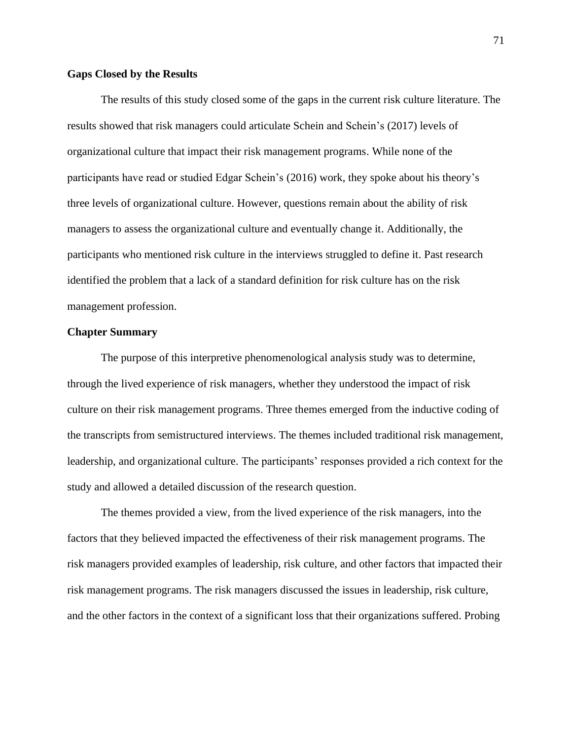### **Gaps Closed by the Results**

The results of this study closed some of the gaps in the current risk culture literature. The results showed that risk managers could articulate Schein and Schein's (2017) levels of organizational culture that impact their risk management programs. While none of the participants have read or studied Edgar Schein's (2016) work, they spoke about his theory's three levels of organizational culture. However, questions remain about the ability of risk managers to assess the organizational culture and eventually change it. Additionally, the participants who mentioned risk culture in the interviews struggled to define it. Past research identified the problem that a lack of a standard definition for risk culture has on the risk management profession.

### **Chapter Summary**

The purpose of this interpretive phenomenological analysis study was to determine, through the lived experience of risk managers, whether they understood the impact of risk culture on their risk management programs. Three themes emerged from the inductive coding of the transcripts from semistructured interviews. The themes included traditional risk management, leadership, and organizational culture. The participants' responses provided a rich context for the study and allowed a detailed discussion of the research question.

The themes provided a view, from the lived experience of the risk managers, into the factors that they believed impacted the effectiveness of their risk management programs. The risk managers provided examples of leadership, risk culture, and other factors that impacted their risk management programs. The risk managers discussed the issues in leadership, risk culture, and the other factors in the context of a significant loss that their organizations suffered. Probing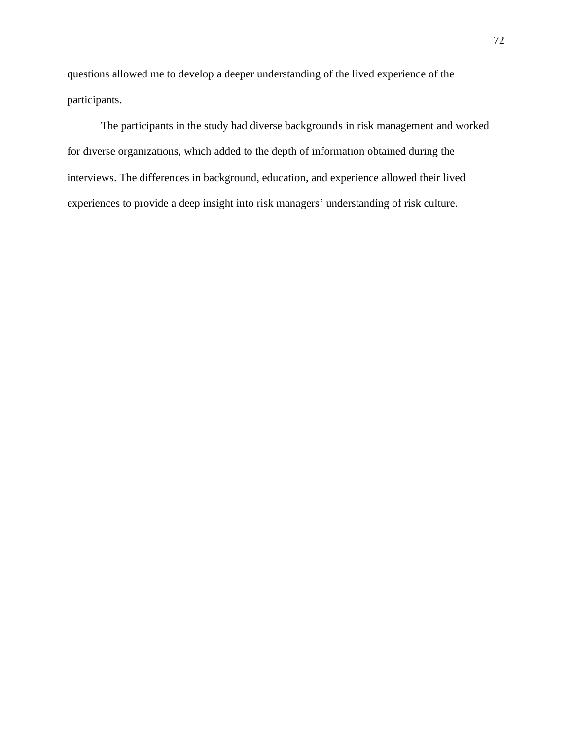questions allowed me to develop a deeper understanding of the lived experience of the participants.

The participants in the study had diverse backgrounds in risk management and worked for diverse organizations, which added to the depth of information obtained during the interviews. The differences in background, education, and experience allowed their lived experiences to provide a deep insight into risk managers' understanding of risk culture.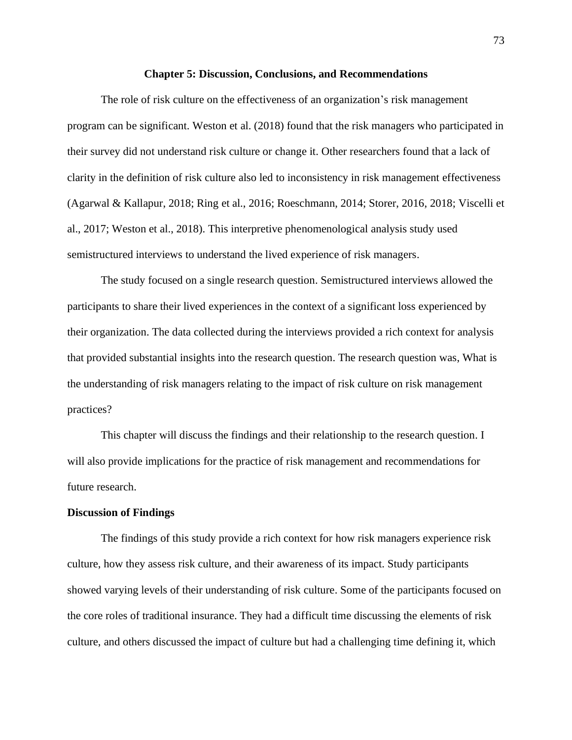#### **Chapter 5: Discussion, Conclusions, and Recommendations**

The role of risk culture on the effectiveness of an organization's risk management program can be significant. Weston et al. (2018) found that the risk managers who participated in their survey did not understand risk culture or change it. Other researchers found that a lack of clarity in the definition of risk culture also led to inconsistency in risk management effectiveness (Agarwal & Kallapur, 2018; Ring et al., 2016; Roeschmann, 2014; Storer, 2016, 2018; Viscelli et al., 2017; Weston et al., 2018). This interpretive phenomenological analysis study used semistructured interviews to understand the lived experience of risk managers.

The study focused on a single research question. Semistructured interviews allowed the participants to share their lived experiences in the context of a significant loss experienced by their organization. The data collected during the interviews provided a rich context for analysis that provided substantial insights into the research question. The research question was, What is the understanding of risk managers relating to the impact of risk culture on risk management practices?

This chapter will discuss the findings and their relationship to the research question. I will also provide implications for the practice of risk management and recommendations for future research.

## **Discussion of Findings**

The findings of this study provide a rich context for how risk managers experience risk culture, how they assess risk culture, and their awareness of its impact. Study participants showed varying levels of their understanding of risk culture. Some of the participants focused on the core roles of traditional insurance. They had a difficult time discussing the elements of risk culture, and others discussed the impact of culture but had a challenging time defining it, which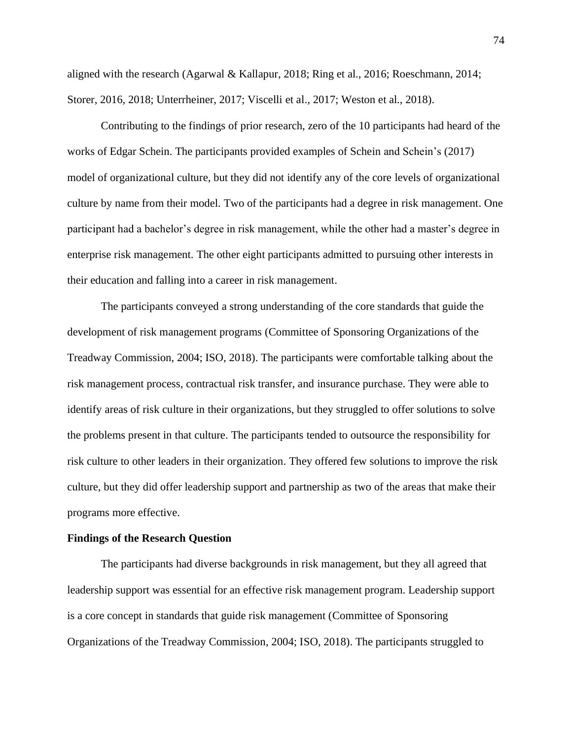aligned with the research (Agarwal & Kallapur, 2018; Ring et al., 2016; Roeschmann, 2014; Storer, 2016, 2018; Unterrheiner, 2017; Viscelli et al., 2017; Weston et al., 2018).

Contributing to the findings of prior research, zero of the 10 participants had heard of the works of Edgar Schein. The participants provided examples of Schein and Schein's (2017) model of organizational culture, but they did not identify any of the core levels of organizational culture by name from their model. Two of the participants had a degree in risk management. One participant had a bachelor's degree in risk management, while the other had a master's degree in enterprise risk management. The other eight participants admitted to pursuing other interests in their education and falling into a career in risk management.

The participants conveyed a strong understanding of the core standards that guide the development of risk management programs (Committee of Sponsoring Organizations of the Treadway Commission, 2004; ISO, 2018). The participants were comfortable talking about the risk management process, contractual risk transfer, and insurance purchase. They were able to identify areas of risk culture in their organizations, but they struggled to offer solutions to solve the problems present in that culture. The participants tended to outsource the responsibility for risk culture to other leaders in their organization. They offered few solutions to improve the risk culture, but they did offer leadership support and partnership as two of the areas that make their programs more effective.

## **Findings of the Research Question**

The participants had diverse backgrounds in risk management, but they all agreed that leadership support was essential for an effective risk management program. Leadership support is a core concept in standards that guide risk management (Committee of Sponsoring Organizations of the Treadway Commission, 2004; ISO, 2018). The participants struggled to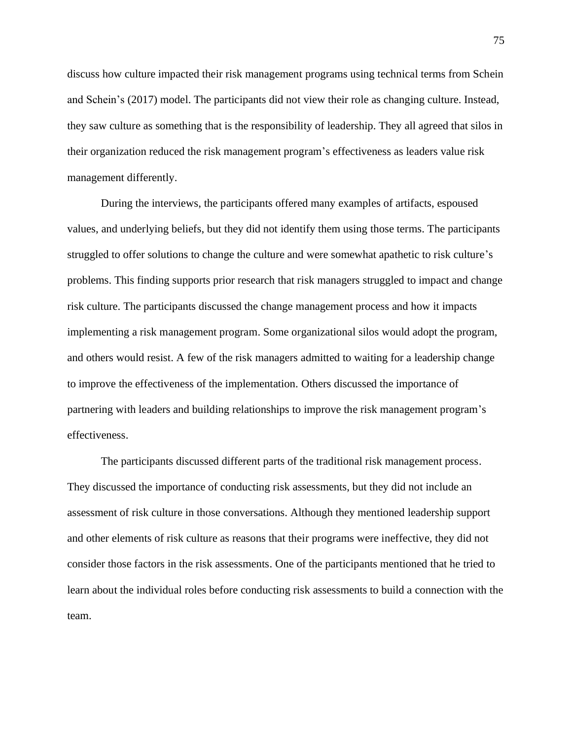discuss how culture impacted their risk management programs using technical terms from Schein and Schein's (2017) model. The participants did not view their role as changing culture. Instead, they saw culture as something that is the responsibility of leadership. They all agreed that silos in their organization reduced the risk management program's effectiveness as leaders value risk management differently.

During the interviews, the participants offered many examples of artifacts, espoused values, and underlying beliefs, but they did not identify them using those terms. The participants struggled to offer solutions to change the culture and were somewhat apathetic to risk culture's problems. This finding supports prior research that risk managers struggled to impact and change risk culture. The participants discussed the change management process and how it impacts implementing a risk management program. Some organizational silos would adopt the program, and others would resist. A few of the risk managers admitted to waiting for a leadership change to improve the effectiveness of the implementation. Others discussed the importance of partnering with leaders and building relationships to improve the risk management program's effectiveness.

The participants discussed different parts of the traditional risk management process. They discussed the importance of conducting risk assessments, but they did not include an assessment of risk culture in those conversations. Although they mentioned leadership support and other elements of risk culture as reasons that their programs were ineffective, they did not consider those factors in the risk assessments. One of the participants mentioned that he tried to learn about the individual roles before conducting risk assessments to build a connection with the team.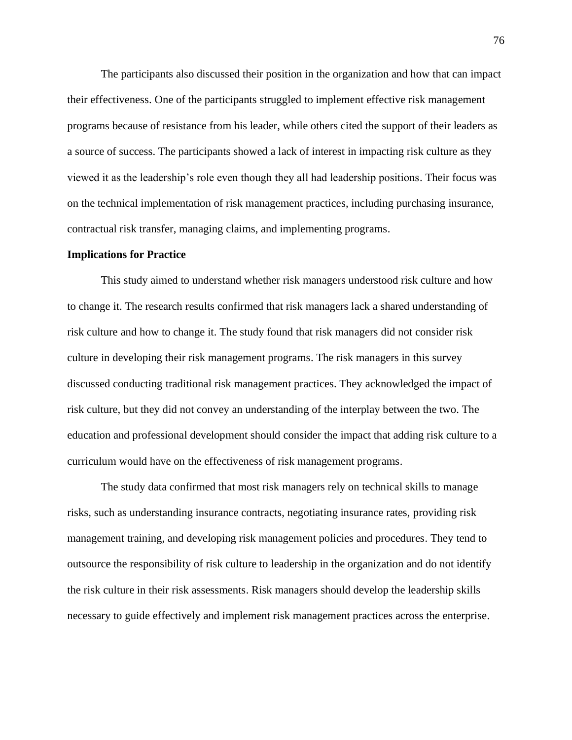The participants also discussed their position in the organization and how that can impact their effectiveness. One of the participants struggled to implement effective risk management programs because of resistance from his leader, while others cited the support of their leaders as a source of success. The participants showed a lack of interest in impacting risk culture as they viewed it as the leadership's role even though they all had leadership positions. Their focus was on the technical implementation of risk management practices, including purchasing insurance, contractual risk transfer, managing claims, and implementing programs.

### **Implications for Practice**

This study aimed to understand whether risk managers understood risk culture and how to change it. The research results confirmed that risk managers lack a shared understanding of risk culture and how to change it. The study found that risk managers did not consider risk culture in developing their risk management programs. The risk managers in this survey discussed conducting traditional risk management practices. They acknowledged the impact of risk culture, but they did not convey an understanding of the interplay between the two. The education and professional development should consider the impact that adding risk culture to a curriculum would have on the effectiveness of risk management programs.

The study data confirmed that most risk managers rely on technical skills to manage risks, such as understanding insurance contracts, negotiating insurance rates, providing risk management training, and developing risk management policies and procedures. They tend to outsource the responsibility of risk culture to leadership in the organization and do not identify the risk culture in their risk assessments. Risk managers should develop the leadership skills necessary to guide effectively and implement risk management practices across the enterprise.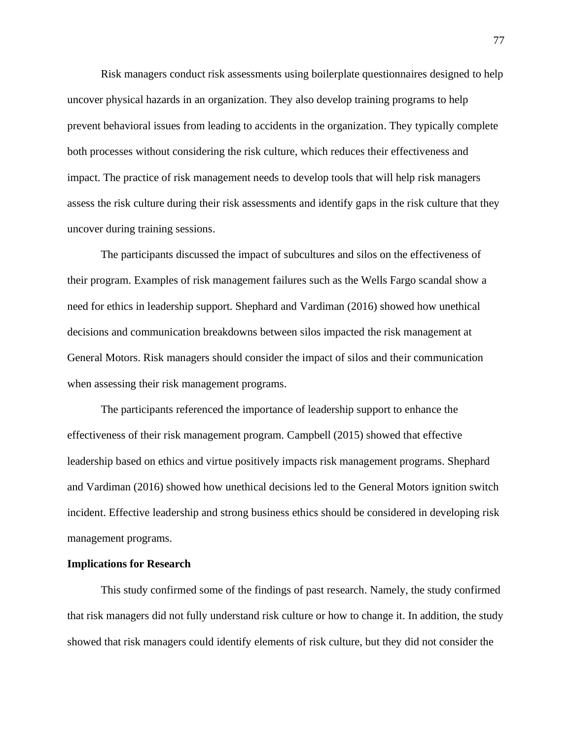Risk managers conduct risk assessments using boilerplate questionnaires designed to help uncover physical hazards in an organization. They also develop training programs to help prevent behavioral issues from leading to accidents in the organization. They typically complete both processes without considering the risk culture, which reduces their effectiveness and impact. The practice of risk management needs to develop tools that will help risk managers assess the risk culture during their risk assessments and identify gaps in the risk culture that they uncover during training sessions.

The participants discussed the impact of subcultures and silos on the effectiveness of their program. Examples of risk management failures such as the Wells Fargo scandal show a need for ethics in leadership support. Shephard and Vardiman (2016) showed how unethical decisions and communication breakdowns between silos impacted the risk management at General Motors. Risk managers should consider the impact of silos and their communication when assessing their risk management programs.

The participants referenced the importance of leadership support to enhance the effectiveness of their risk management program. Campbell (2015) showed that effective leadership based on ethics and virtue positively impacts risk management programs. Shephard and Vardiman (2016) showed how unethical decisions led to the General Motors ignition switch incident. Effective leadership and strong business ethics should be considered in developing risk management programs.

### **Implications for Research**

This study confirmed some of the findings of past research. Namely, the study confirmed that risk managers did not fully understand risk culture or how to change it. In addition, the study showed that risk managers could identify elements of risk culture, but they did not consider the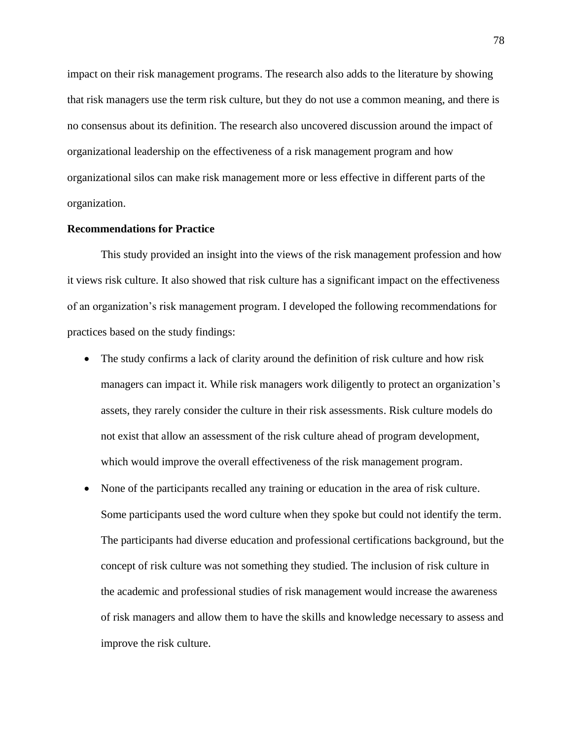impact on their risk management programs. The research also adds to the literature by showing that risk managers use the term risk culture, but they do not use a common meaning, and there is no consensus about its definition. The research also uncovered discussion around the impact of organizational leadership on the effectiveness of a risk management program and how organizational silos can make risk management more or less effective in different parts of the organization.

## **Recommendations for Practice**

This study provided an insight into the views of the risk management profession and how it views risk culture. It also showed that risk culture has a significant impact on the effectiveness of an organization's risk management program. I developed the following recommendations for practices based on the study findings:

- The study confirms a lack of clarity around the definition of risk culture and how risk managers can impact it. While risk managers work diligently to protect an organization's assets, they rarely consider the culture in their risk assessments. Risk culture models do not exist that allow an assessment of the risk culture ahead of program development, which would improve the overall effectiveness of the risk management program.
- None of the participants recalled any training or education in the area of risk culture. Some participants used the word culture when they spoke but could not identify the term. The participants had diverse education and professional certifications background, but the concept of risk culture was not something they studied. The inclusion of risk culture in the academic and professional studies of risk management would increase the awareness of risk managers and allow them to have the skills and knowledge necessary to assess and improve the risk culture.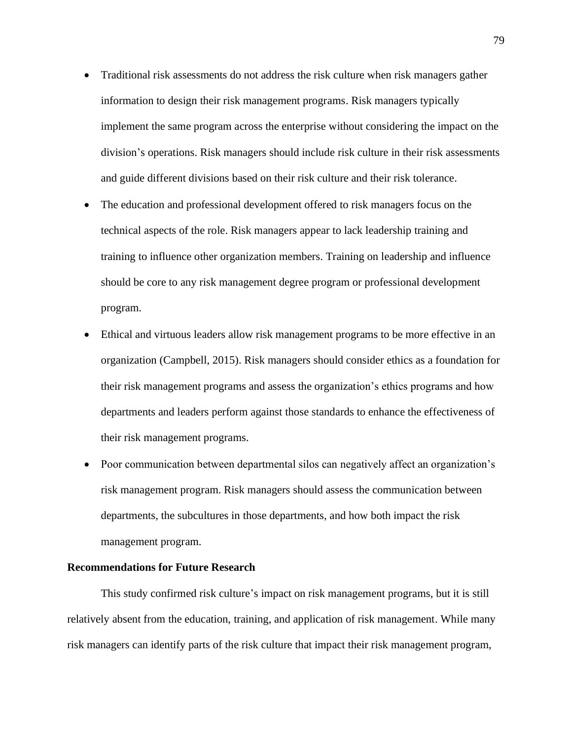- Traditional risk assessments do not address the risk culture when risk managers gather information to design their risk management programs. Risk managers typically implement the same program across the enterprise without considering the impact on the division's operations. Risk managers should include risk culture in their risk assessments and guide different divisions based on their risk culture and their risk tolerance.
- The education and professional development offered to risk managers focus on the technical aspects of the role. Risk managers appear to lack leadership training and training to influence other organization members. Training on leadership and influence should be core to any risk management degree program or professional development program.
- Ethical and virtuous leaders allow risk management programs to be more effective in an organization (Campbell, 2015). Risk managers should consider ethics as a foundation for their risk management programs and assess the organization's ethics programs and how departments and leaders perform against those standards to enhance the effectiveness of their risk management programs.
- Poor communication between departmental silos can negatively affect an organization's risk management program. Risk managers should assess the communication between departments, the subcultures in those departments, and how both impact the risk management program.

## **Recommendations for Future Research**

This study confirmed risk culture's impact on risk management programs, but it is still relatively absent from the education, training, and application of risk management. While many risk managers can identify parts of the risk culture that impact their risk management program,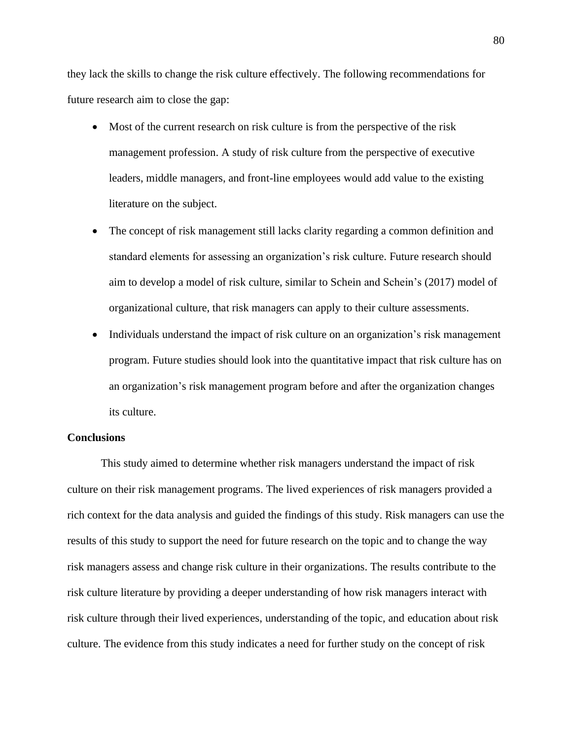they lack the skills to change the risk culture effectively. The following recommendations for future research aim to close the gap:

- Most of the current research on risk culture is from the perspective of the risk management profession. A study of risk culture from the perspective of executive leaders, middle managers, and front-line employees would add value to the existing literature on the subject.
- The concept of risk management still lacks clarity regarding a common definition and standard elements for assessing an organization's risk culture. Future research should aim to develop a model of risk culture, similar to Schein and Schein's (2017) model of organizational culture, that risk managers can apply to their culture assessments.
- Individuals understand the impact of risk culture on an organization's risk management program. Future studies should look into the quantitative impact that risk culture has on an organization's risk management program before and after the organization changes its culture.

## **Conclusions**

This study aimed to determine whether risk managers understand the impact of risk culture on their risk management programs. The lived experiences of risk managers provided a rich context for the data analysis and guided the findings of this study. Risk managers can use the results of this study to support the need for future research on the topic and to change the way risk managers assess and change risk culture in their organizations. The results contribute to the risk culture literature by providing a deeper understanding of how risk managers interact with risk culture through their lived experiences, understanding of the topic, and education about risk culture. The evidence from this study indicates a need for further study on the concept of risk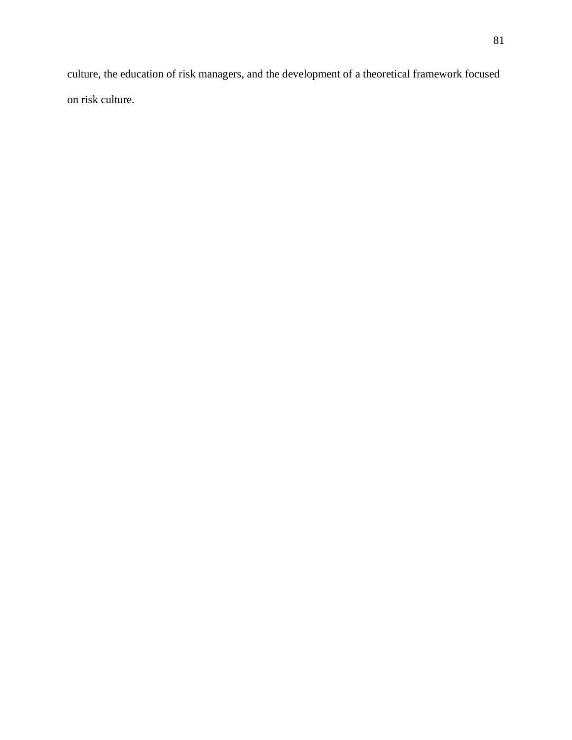culture, the education of risk managers, and the development of a theoretical framework focused on risk culture.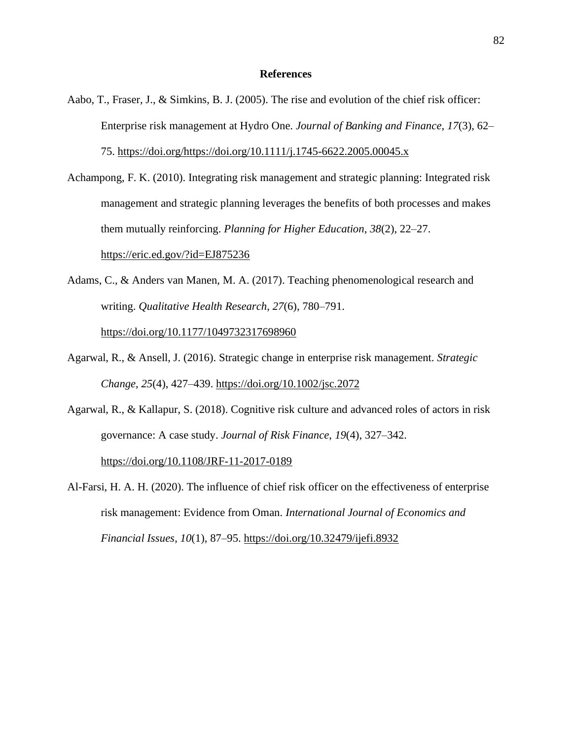## **References**

- Aabo, T., Fraser, J., & Simkins, B. J. (2005). The rise and evolution of the chief risk officer: Enterprise risk management at Hydro One. *Journal of Banking and Finance*, *17*(3), 62– 75. [https://doi.org/https://doi.org/10.1111/j.1745-6622.2005.00045.x](https://doi.org/https:/doi.org/10.1111/j.1745-6622.2005.00045.x)
- Achampong, F. K. (2010). Integrating risk management and strategic planning: Integrated risk management and strategic planning leverages the benefits of both processes and makes them mutually reinforcing. *Planning for Higher Education*, *38*(2), 22–27. <https://eric.ed.gov/?id=EJ875236>
- Adams, C., & Anders van Manen, M. A. (2017). Teaching phenomenological research and writing. *Qualitative Health Research*, *27*(6), 780–791. <https://doi.org/10.1177/1049732317698960>
- Agarwal, R., & Ansell, J. (2016). Strategic change in enterprise risk management. *Strategic Change*, *25*(4), 427–439.<https://doi.org/10.1002/jsc.2072>
- Agarwal, R., & Kallapur, S. (2018). Cognitive risk culture and advanced roles of actors in risk governance: A case study. *Journal of Risk Finance*, *19*(4), 327–342. <https://doi.org/10.1108/JRF-11-2017-0189>
- Al-Farsi, H. A. H. (2020). The influence of chief risk officer on the effectiveness of enterprise risk management: Evidence from Oman. *International Journal of Economics and Financial Issues*, *10*(1), 87–95.<https://doi.org/10.32479/ijefi.8932>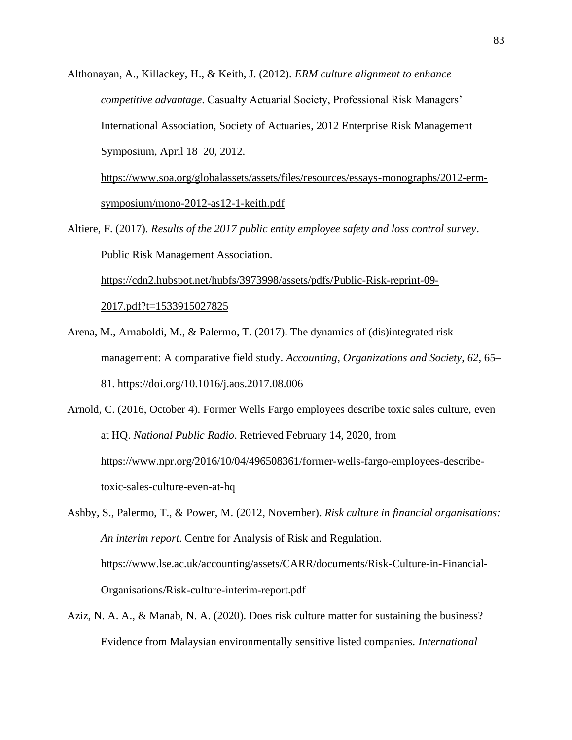Althonayan, A., Killackey, H., & Keith, J. (2012). *ERM culture alignment to enhance competitive advantage*. Casualty Actuarial Society, Professional Risk Managers' International Association, Society of Actuaries, 2012 Enterprise Risk Management Symposium, April 18–20, 2012.

[https://www.soa.org/globalassets/assets/files/resources/essays-monographs/2012-erm](https://www.soa.org/globalassets/assets/files/resources/essays-monographs/2012-erm-symposium/mono-2012-as12-1-keith.pdf)[symposium/mono-2012-as12-1-keith.pdf](https://www.soa.org/globalassets/assets/files/resources/essays-monographs/2012-erm-symposium/mono-2012-as12-1-keith.pdf)

Altiere, F. (2017). *Results of the 2017 public entity employee safety and loss control survey*. Public Risk Management Association.

[https://cdn2.hubspot.net/hubfs/3973998/assets/pdfs/Public-Risk-reprint-09-](https://cdn2.hubspot.net/hubfs/3973998/assets/pdfs/Public-Risk-reprint-09-2017.pdf?t=1533915027825)

[2017.pdf?t=1533915027825](https://cdn2.hubspot.net/hubfs/3973998/assets/pdfs/Public-Risk-reprint-09-2017.pdf?t=1533915027825)

- Arena, M., Arnaboldi, M., & Palermo, T. (2017). The dynamics of (dis)integrated risk management: A comparative field study. *Accounting, Organizations and Society*, *62*, 65– 81.<https://doi.org/10.1016/j.aos.2017.08.006>
- Arnold, C. (2016, October 4). Former Wells Fargo employees describe toxic sales culture, even at HQ. *National Public Radio*. Retrieved February 14, 2020, from [https://www.npr.org/2016/10/04/496508361/former-wells-fargo-employees-describe](https://www.npr.org/2016/10/04/496508361/former-wells-fargo-employees-describe-toxic-sales-culture-even-at-hq)[toxic-sales-culture-even-at-hq](https://www.npr.org/2016/10/04/496508361/former-wells-fargo-employees-describe-toxic-sales-culture-even-at-hq)

Ashby, S., Palermo, T., & Power, M. (2012, November). *Risk culture in financial organisations: An interim report*. Centre for Analysis of Risk and Regulation. [https://www.lse.ac.uk/accounting/assets/CARR/documents/Risk-Culture-in-Financial-](https://www.lse.ac.uk/accounting/assets/CARR/documents/Risk-Culture-in-Financial-Organisations/Risk-culture-interim-report.pdf)[Organisations/Risk-culture-interim-report.pdf](https://www.lse.ac.uk/accounting/assets/CARR/documents/Risk-Culture-in-Financial-Organisations/Risk-culture-interim-report.pdf)

Aziz, N. A. A., & Manab, N. A. (2020). Does risk culture matter for sustaining the business? Evidence from Malaysian environmentally sensitive listed companies. *International*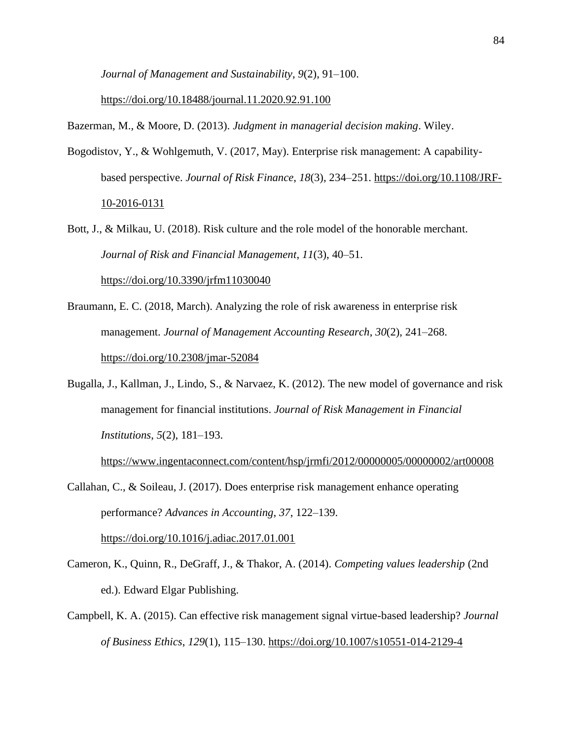*Journal of Management and Sustainability*, *9*(2), 91–100.

<https://doi.org/10.18488/journal.11.2020.92.91.100>

Bazerman, M., & Moore, D. (2013). *Judgment in managerial decision making*. Wiley.

- Bogodistov, Y., & Wohlgemuth, V. (2017, May). Enterprise risk management: A capabilitybased perspective. *Journal of Risk Finance*, *18*(3), 234–251. [https://doi.org/10.1108/JRF-](https://doi.org/10.1108/JRF-10-2016-0131)[10-2016-0131](https://doi.org/10.1108/JRF-10-2016-0131)
- Bott, J., & Milkau, U. (2018). Risk culture and the role model of the honorable merchant. *Journal of Risk and Financial Management*, *11*(3), 40–51. <https://doi.org/10.3390/jrfm11030040>
- Braumann, E. C. (2018, March). Analyzing the role of risk awareness in enterprise risk management. *Journal of Management Accounting Research*, *30*(2), 241–268. <https://doi.org/10.2308/jmar-52084>
- Bugalla, J., Kallman, J., Lindo, S., & Narvaez, K. (2012). The new model of governance and risk management for financial institutions. *Journal of Risk Management in Financial Institutions*, *5*(2), 181–193.

<https://www.ingentaconnect.com/content/hsp/jrmfi/2012/00000005/00000002/art00008>

Callahan, C., & Soileau, J. (2017). Does enterprise risk management enhance operating performance? *Advances in Accounting*, *37*, 122–139. <https://doi.org/10.1016/j.adiac.2017.01.001>

- Cameron, K., Quinn, R., DeGraff, J., & Thakor, A. (2014). *Competing values leadership* (2nd ed.). Edward Elgar Publishing.
- Campbell, K. A. (2015). Can effective risk management signal virtue-based leadership? *Journal of Business Ethics*, *129*(1), 115–130.<https://doi.org/10.1007/s10551-014-2129-4>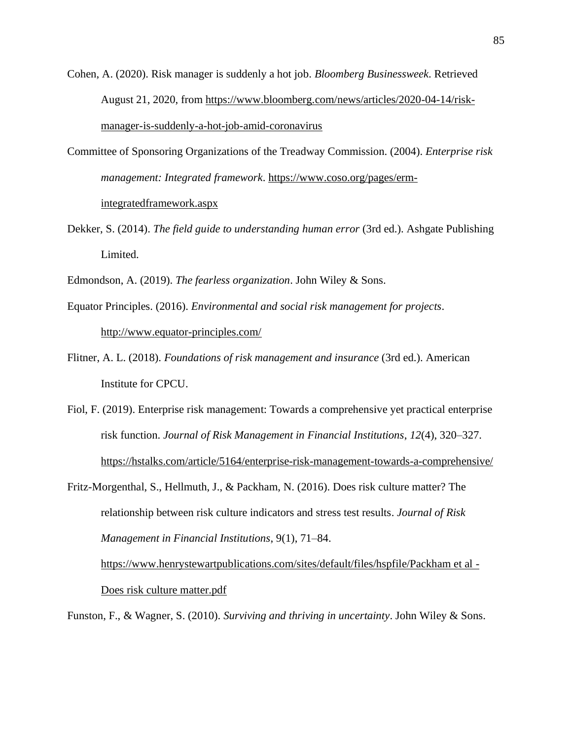Cohen, A. (2020). Risk manager is suddenly a hot job. *Bloomberg Businessweek*. Retrieved August 21, 2020, from [https://www.bloomberg.com/news/articles/2020-04-14/risk](https://www.bloomberg.com/news/articles/2020-04-14/risk-manager-is-suddenly-a-hot-job-amid-coronavirus)[manager-is-suddenly-a-hot-job-amid-coronavirus](https://www.bloomberg.com/news/articles/2020-04-14/risk-manager-is-suddenly-a-hot-job-amid-coronavirus)

- Committee of Sponsoring Organizations of the Treadway Commission. (2004). *Enterprise risk management: Integrated framework*. [https://www.coso.org/pages/erm](https://www.coso.org/pages/erm-integratedframework.aspx)[integratedframework.aspx](https://www.coso.org/pages/erm-integratedframework.aspx)
- Dekker, S. (2014). *The field guide to understanding human error* (3rd ed.). Ashgate Publishing Limited.
- Edmondson, A. (2019). *The fearless organization*. John Wiley & Sons.
- Equator Principles. (2016). *Environmental and social risk management for projects*. <http://www.equator-principles.com/>
- Flitner, A. L. (2018). *Foundations of risk management and insurance* (3rd ed.). American Institute for CPCU.
- Fiol, F. (2019). Enterprise risk management: Towards a comprehensive yet practical enterprise risk function. *Journal of Risk Management in Financial Institutions*, *12*(4), 320–327. <https://hstalks.com/article/5164/enterprise-risk-management-towards-a-comprehensive/>
- Fritz-Morgenthal, S., Hellmuth, J., & Packham, N. (2016). Does risk culture matter? The relationship between risk culture indicators and stress test results. *Journal of Risk Management in Financial Institutions*, 9(1), 71–84. [https://www.henrystewartpublications.com/sites/default/files/hspfile/Packham et al -](https://www.henrystewartpublications.com/sites/default/files/hspfile/Packham%20et%20al%20-%20Does%20risk%20culture%20matter.pdf) [Does risk culture matter.pdf](https://www.henrystewartpublications.com/sites/default/files/hspfile/Packham%20et%20al%20-%20Does%20risk%20culture%20matter.pdf)

Funston, F., & Wagner, S. (2010). *Surviving and thriving in uncertainty*. John Wiley & Sons.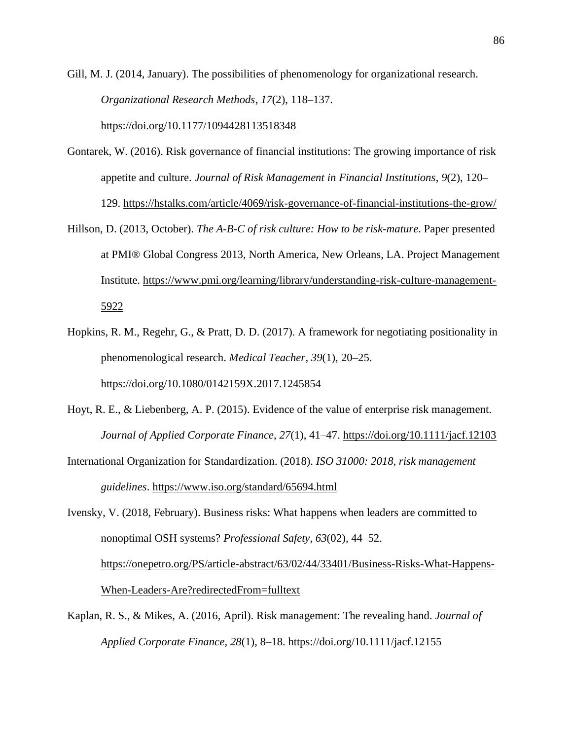Gill, M. J. (2014, January). The possibilities of phenomenology for organizational research. *Organizational Research Methods*, *17*(2), 118–137.

<https://doi.org/10.1177/1094428113518348>

- Gontarek, W. (2016). Risk governance of financial institutions: The growing importance of risk appetite and culture. *Journal of Risk Management in Financial Institutions*, *9*(2), 120– 129. <https://hstalks.com/article/4069/risk-governance-of-financial-institutions-the-grow/>
- Hillson, D. (2013, October). *The A-B-C of risk culture: How to be risk-mature*. Paper presented at PMI® Global Congress 2013, North America, New Orleans, LA. Project Management Institute. [https://www.pmi.org/learning/library/understanding-risk-culture-management-](https://www.pmi.org/learning/library/understanding-risk-culture-management-5922)[5922](https://www.pmi.org/learning/library/understanding-risk-culture-management-5922)
- Hopkins, R. M., Regehr, G., & Pratt, D. D. (2017). A framework for negotiating positionality in phenomenological research. *Medical Teacher*, *39*(1), 20–25. <https://doi.org/10.1080/0142159X.2017.1245854>
- Hoyt, R. E., & Liebenberg, A. P. (2015). Evidence of the value of enterprise risk management. *Journal of Applied Corporate Finance*, *27*(1), 41–47. <https://doi.org/10.1111/jacf.12103>
- International Organization for Standardization. (2018). *ISO 31000: 2018, risk management– guidelines*.<https://www.iso.org/standard/65694.html>

Ivensky, V. (2018, February). Business risks: What happens when leaders are committed to nonoptimal OSH systems? *Professional Safety*, *63*(02), 44–52. [https://onepetro.org/PS/article-abstract/63/02/44/33401/Business-Risks-What-Happens-](https://onepetro.org/PS/article-abstract/63/02/44/33401/Business-Risks-What-Happens-When-Leaders-Are?redirectedFrom=fulltext)[When-Leaders-Are?redirectedFrom=fulltext](https://onepetro.org/PS/article-abstract/63/02/44/33401/Business-Risks-What-Happens-When-Leaders-Are?redirectedFrom=fulltext)

Kaplan, R. S., & Mikes, A. (2016, April). Risk management: The revealing hand. *Journal of Applied Corporate Finance*, *28*(1), 8–18.<https://doi.org/10.1111/jacf.12155>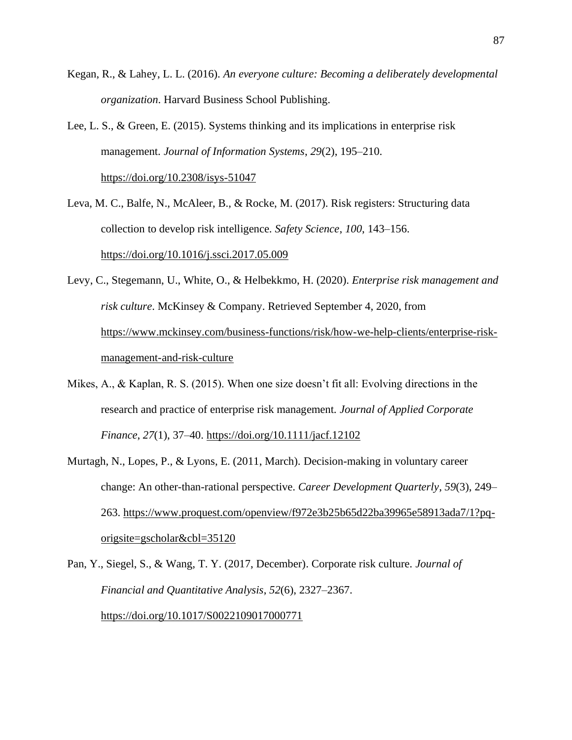- Kegan, R., & Lahey, L. L. (2016). *An everyone culture: Becoming a deliberately developmental organization*. Harvard Business School Publishing.
- Lee, L. S., & Green, E. (2015). Systems thinking and its implications in enterprise risk management. *Journal of Information Systems*, *29*(2), 195–210. <https://doi.org/10.2308/isys-51047>
- Leva, M. C., Balfe, N., McAleer, B., & Rocke, M. (2017). Risk registers: Structuring data collection to develop risk intelligence. *Safety Science*, *100*, 143–156. <https://doi.org/10.1016/j.ssci.2017.05.009>
- Levy, C., Stegemann, U., White, O., & Helbekkmo, H. (2020). *Enterprise risk management and risk culture*. McKinsey & Company. Retrieved September 4, 2020, from [https://www.mckinsey.com/business-functions/risk/how-we-help-clients/enterprise-risk](https://www.mckinsey.com/business-functions/risk/how-we-help-clients/enterprise-risk-management-and-risk-culture)[management-and-risk-culture](https://www.mckinsey.com/business-functions/risk/how-we-help-clients/enterprise-risk-management-and-risk-culture)
- Mikes, A., & Kaplan, R. S. (2015). When one size doesn't fit all: Evolving directions in the research and practice of enterprise risk management. *Journal of Applied Corporate Finance*, *27*(1), 37–40. <https://doi.org/10.1111/jacf.12102>
- Murtagh, N., Lopes, P., & Lyons, E. (2011, March). Decision-making in voluntary career change: An other-than-rational perspective. *Career Development Quarterly*, *59*(3), 249– 263. [https://www.proquest.com/openview/f972e3b25b65d22ba39965e58913ada7/1?pq](https://www.proquest.com/openview/f972e3b25b65d22ba39965e58913ada7/1?pq-origsite=gscholar&cbl=35120)[origsite=gscholar&cbl=35120](https://www.proquest.com/openview/f972e3b25b65d22ba39965e58913ada7/1?pq-origsite=gscholar&cbl=35120)
- Pan, Y., Siegel, S., & Wang, T. Y. (2017, December). Corporate risk culture. *Journal of Financial and Quantitative Analysis*, *52*(6), 2327–2367. <https://doi.org/10.1017/S0022109017000771>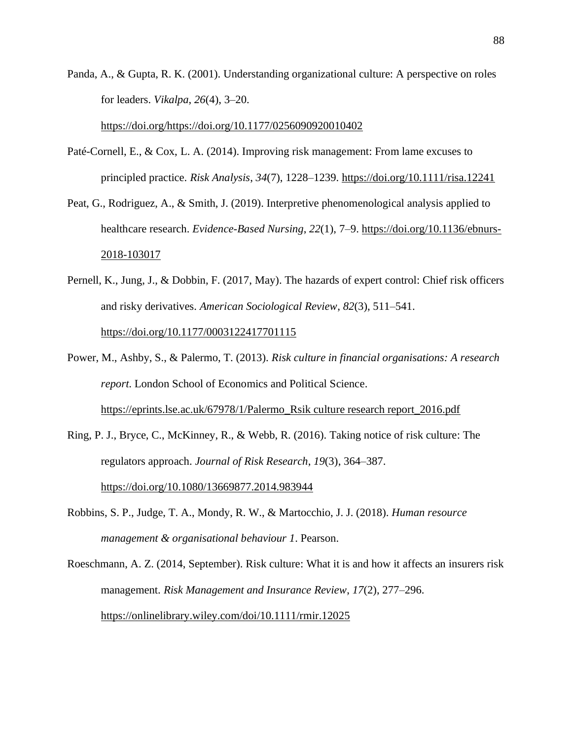Panda, A., & Gupta, R. K. (2001). Understanding organizational culture: A perspective on roles for leaders. *Vikalpa*, *26*(4), 3–20.

[https://doi.org/https://doi.org/10.1177/0256090920010402](https://doi.org/https:/doi.org/10.1177/0256090920010402)

- Paté-Cornell, E., & Cox, L. A. (2014). Improving risk management: From lame excuses to principled practice. *Risk Analysis*, *34*(7), 1228–1239.<https://doi.org/10.1111/risa.12241>
- Peat, G., Rodriguez, A., & Smith, J. (2019). Interpretive phenomenological analysis applied to healthcare research. *Evidence-Based Nursing*, *22*(1), 7–9. [https://doi.org/10.1136/ebnurs-](https://doi.org/10.1136/ebnurs-2018-103017)[2018-103017](https://doi.org/10.1136/ebnurs-2018-103017)
- Pernell, K., Jung, J., & Dobbin, F. (2017, May). The hazards of expert control: Chief risk officers and risky derivatives. *American Sociological Review*, *82*(3), 511–541. <https://doi.org/10.1177/0003122417701115>
- Power, M., Ashby, S., & Palermo, T. (2013). *Risk culture in financial organisations: A research report*. London School of Economics and Political Science. [https://eprints.lse.ac.uk/67978/1/Palermo\\_Rsik culture research report\\_2016.pdf](https://eprints.lse.ac.uk/67978/1/Palermo_Rsik%20culture%20research%20report_2016.pdf)
- Ring, P. J., Bryce, C., McKinney, R., & Webb, R. (2016). Taking notice of risk culture: The regulators approach. *Journal of Risk Research*, *19*(3), 364–387. <https://doi.org/10.1080/13669877.2014.983944>
- Robbins, S. P., Judge, T. A., Mondy, R. W., & Martocchio, J. J. (2018). *Human resource management & organisational behaviour 1*. Pearson.

Roeschmann, A. Z. (2014, September). Risk culture: What it is and how it affects an insurers risk management. *Risk Management and Insurance Review*, *17*(2), 277–296. <https://onlinelibrary.wiley.com/doi/10.1111/rmir.12025>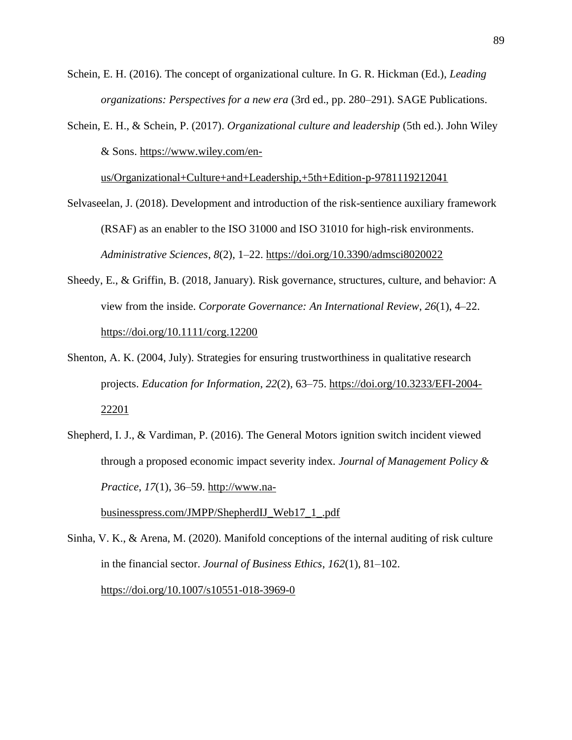Schein, E. H. (2016). The concept of organizational culture. In G. R. Hickman (Ed.), *Leading organizations: Perspectives for a new era* (3rd ed., pp. 280–291). SAGE Publications.

Schein, E. H., & Schein, P. (2017). *Organizational culture and leadership* (5th ed.). John Wiley & Sons. [https://www.wiley.com/en-](https://www.wiley.com/en-us/Organizational+Culture+and+Leadership%2C+5th+Edition-p-9781119212041)

[us/Organizational+Culture+and+Leadership,+5th+Edition-p-9781119212041](https://www.wiley.com/en-us/Organizational+Culture+and+Leadership%2C+5th+Edition-p-9781119212041)

- Selvaseelan, J. (2018). Development and introduction of the risk-sentience auxiliary framework (RSAF) as an enabler to the ISO 31000 and ISO 31010 for high-risk environments. *Administrative Sciences*, *8*(2), 1–22.<https://doi.org/10.3390/admsci8020022>
- Sheedy, E., & Griffin, B. (2018, January). Risk governance, structures, culture, and behavior: A view from the inside. *Corporate Governance: An International Review*, *26*(1), 4–22. <https://doi.org/10.1111/corg.12200>
- Shenton, A. K. (2004, July). Strategies for ensuring trustworthiness in qualitative research projects. *Education for Information*, *22*(2), 63–75. [https://doi.org/10.3233/EFI-2004-](https://doi.org/10.3233/EFI-2004-22201) [22201](https://doi.org/10.3233/EFI-2004-22201)
- Shepherd, I. J., & Vardiman, P. (2016). The General Motors ignition switch incident viewed through a proposed economic impact severity index. *Journal of Management Policy & Practice*, *17*(1), 36–59. [http://www.na-](http://www.na-businesspress.com/JMPP/ShepherdIJ_Web17_1_.pdf)

[businesspress.com/JMPP/ShepherdIJ\\_Web17\\_1\\_.pdf](http://www.na-businesspress.com/JMPP/ShepherdIJ_Web17_1_.pdf)

Sinha, V. K., & Arena, M. (2020). Manifold conceptions of the internal auditing of risk culture in the financial sector. *Journal of Business Ethics*, *162*(1), 81–102. <https://doi.org/10.1007/s10551-018-3969-0>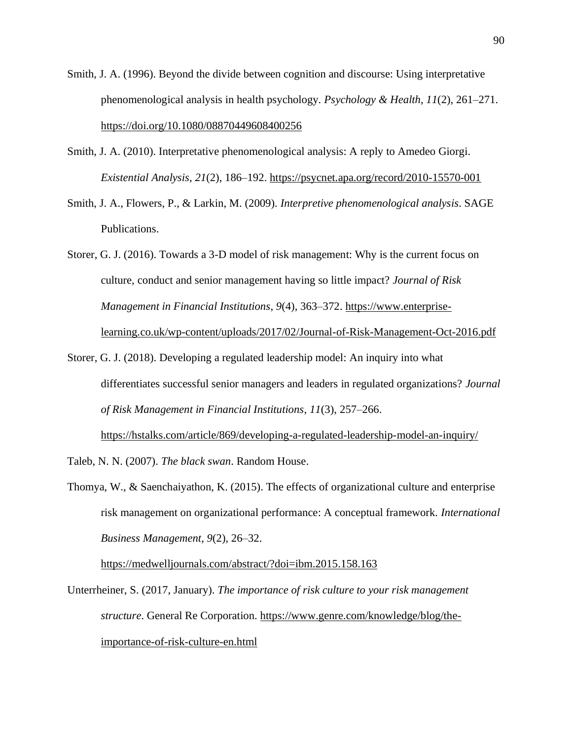- Smith, J. A. (1996). Beyond the divide between cognition and discourse: Using interpretative phenomenological analysis in health psychology. *Psychology & Health*, *11*(2), 261–271. <https://doi.org/10.1080/08870449608400256>
- Smith, J. A. (2010). Interpretative phenomenological analysis: A reply to Amedeo Giorgi. *Existential Analysis*, *21*(2), 186–192.<https://psycnet.apa.org/record/2010-15570-001>
- Smith, J. A., Flowers, P., & Larkin, M. (2009). *Interpretive phenomenological analysis*. SAGE Publications.
- Storer, G. J. (2016). Towards a 3-D model of risk management: Why is the current focus on culture, conduct and senior management having so little impact? *Journal of Risk Management in Financial Institutions*, *9*(4), 363–372. [https://www.enterprise](https://www.enterprise-learning.co.uk/wp-content/uploads/2017/02/Journal-of-Risk-Management-Oct-2016.pdf)[learning.co.uk/wp-content/uploads/2017/02/Journal-of-Risk-Management-Oct-2016.pdf](https://www.enterprise-learning.co.uk/wp-content/uploads/2017/02/Journal-of-Risk-Management-Oct-2016.pdf)
- Storer, G. J. (2018). Developing a regulated leadership model: An inquiry into what differentiates successful senior managers and leaders in regulated organizations? *Journal of Risk Management in Financial Institutions*, *11*(3), 257–266. <https://hstalks.com/article/869/developing-a-regulated-leadership-model-an-inquiry/>

Taleb, N. N. (2007). *The black swan*. Random House.

Thomya, W., & Saenchaiyathon, K. (2015). The effects of organizational culture and enterprise risk management on organizational performance: A conceptual framework. *International Business Management*, *9*(2), 26–32.

<https://medwelljournals.com/abstract/?doi=ibm.2015.158.163>

Unterrheiner, S. (2017, January). *The importance of risk culture to your risk management structure*. General Re Corporation. [https://www.genre.com/knowledge/blog/the](https://www.genre.com/knowledge/blog/the-importance-of-risk-culture-en.html)[importance-of-risk-culture-en.html](https://www.genre.com/knowledge/blog/the-importance-of-risk-culture-en.html)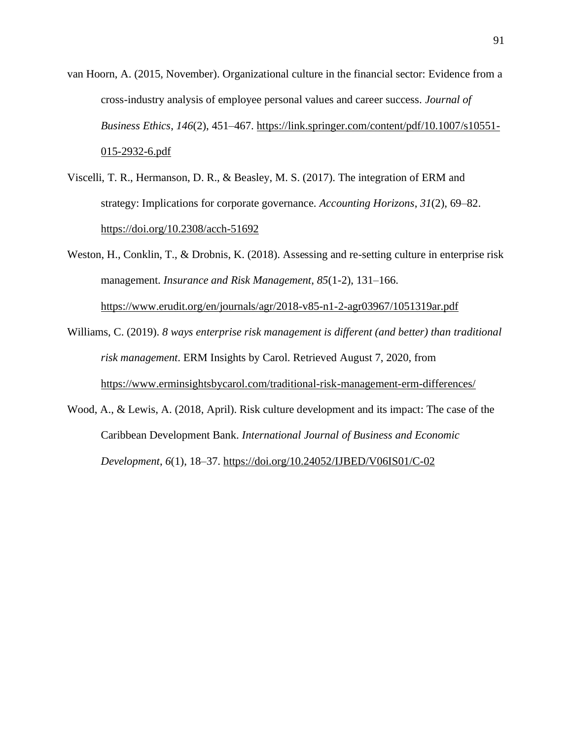van Hoorn, A. (2015, November). Organizational culture in the financial sector: Evidence from a cross-industry analysis of employee personal values and career success. *Journal of Business Ethics*, *146*(2), 451–467. [https://link.springer.com/content/pdf/10.1007/s10551-](https://link.springer.com/content/pdf/10.1007/s10551-015-2932-6.pdf) [015-2932-6.pdf](https://link.springer.com/content/pdf/10.1007/s10551-015-2932-6.pdf)

Viscelli, T. R., Hermanson, D. R., & Beasley, M. S. (2017). The integration of ERM and strategy: Implications for corporate governance. *Accounting Horizons*, *31*(2), 69–82. <https://doi.org/10.2308/acch-51692>

Weston, H., Conklin, T., & Drobnis, K. (2018). Assessing and re-setting culture in enterprise risk management. *Insurance and Risk Management*, *85*(1-2), 131–166. <https://www.erudit.org/en/journals/agr/2018-v85-n1-2-agr03967/1051319ar.pdf>

Williams, C. (2019). *8 ways enterprise risk management is different (and better) than traditional risk management*. ERM Insights by Carol. Retrieved August 7, 2020, from <https://www.erminsightsbycarol.com/traditional-risk-management-erm-differences/>

Wood, A., & Lewis, A. (2018, April). Risk culture development and its impact: The case of the Caribbean Development Bank. *International Journal of Business and Economic Development*, *6*(1), 18–37.<https://doi.org/10.24052/IJBED/V06IS01/C-02>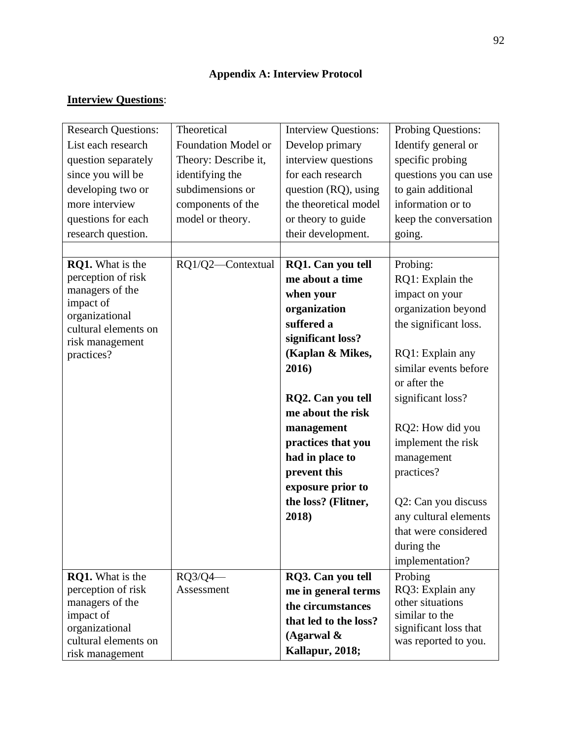# **Appendix A: Interview Protocol**

# **Interview Questions**:

| <b>Research Questions:</b>             | Theoretical                | <b>Interview Questions:</b> | Probing Questions:                            |
|----------------------------------------|----------------------------|-----------------------------|-----------------------------------------------|
| List each research                     | <b>Foundation Model or</b> | Develop primary             | Identify general or                           |
| question separately                    | Theory: Describe it,       | interview questions         | specific probing                              |
| since you will be                      | identifying the            | for each research           | questions you can use                         |
| developing two or                      | subdimensions or           | question (RQ), using        | to gain additional                            |
| more interview                         | components of the          | the theoretical model       | information or to                             |
| questions for each                     | model or theory.           | or theory to guide          | keep the conversation                         |
| research question.                     |                            | their development.          | going.                                        |
|                                        |                            |                             |                                               |
| <b>RQ1.</b> What is the                | RQ1/Q2-Contextual          | RQ1. Can you tell           | Probing:                                      |
| perception of risk                     |                            | me about a time             | RQ1: Explain the                              |
| managers of the                        |                            | when your                   | impact on your                                |
| impact of<br>organizational            |                            | organization                | organization beyond                           |
| cultural elements on                   |                            | suffered a                  | the significant loss.                         |
| risk management                        |                            | significant loss?           |                                               |
| practices?                             |                            | (Kaplan & Mikes,            | RQ1: Explain any                              |
|                                        |                            | 2016)                       | similar events before                         |
|                                        |                            |                             | or after the                                  |
|                                        |                            | RQ2. Can you tell           | significant loss?                             |
|                                        |                            | me about the risk           |                                               |
|                                        |                            | management                  | RQ2: How did you                              |
|                                        |                            | practices that you          | implement the risk                            |
|                                        |                            | had in place to             | management                                    |
|                                        |                            | prevent this                | practices?                                    |
|                                        |                            | exposure prior to           |                                               |
|                                        |                            | the loss? (Flitner,         | Q2: Can you discuss                           |
|                                        |                            | 2018)                       | any cultural elements                         |
|                                        |                            |                             | that were considered                          |
|                                        |                            |                             | during the                                    |
|                                        |                            |                             | implementation?                               |
| <b>RQ1.</b> What is the                | $RQ3/Q4$ -                 | RQ3. Can you tell           | Probing                                       |
| perception of risk                     | Assessment                 | me in general terms         | RQ3: Explain any                              |
| managers of the                        |                            | the circumstances           | other situations                              |
| impact of                              |                            | that led to the loss?       | similar to the                                |
| organizational<br>cultural elements on |                            | (Agarwal $\&$               | significant loss that<br>was reported to you. |
| risk management                        |                            | Kallapur, 2018;             |                                               |
|                                        |                            |                             |                                               |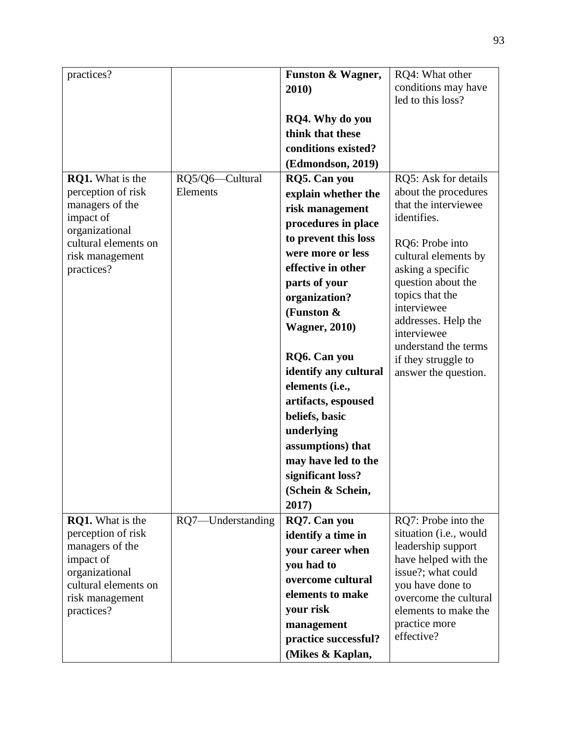| practices?                             |                   | Funston & Wagner,     | RQ4: What other                        |
|----------------------------------------|-------------------|-----------------------|----------------------------------------|
|                                        |                   | 2010)                 | conditions may have                    |
|                                        |                   |                       | led to this loss?                      |
|                                        |                   | RQ4. Why do you       |                                        |
|                                        |                   | think that these      |                                        |
|                                        |                   | conditions existed?   |                                        |
|                                        |                   | (Edmondson, 2019)     |                                        |
| <b>RQ1.</b> What is the                | RQ5/Q6-Cultural   | <b>RQ5. Can you</b>   | RQ5: Ask for details                   |
| perception of risk                     | Elements          | explain whether the   | about the procedures                   |
| managers of the                        |                   | risk management       | that the interviewee                   |
| impact of                              |                   | procedures in place   | identifies.                            |
| organizational<br>cultural elements on |                   | to prevent this loss  | RQ6: Probe into                        |
| risk management                        |                   | were more or less     | cultural elements by                   |
| practices?                             |                   | effective in other    | asking a specific                      |
|                                        |                   | parts of your         | question about the                     |
|                                        |                   | organization?         | topics that the                        |
|                                        |                   | (Funston &            | interviewee                            |
|                                        |                   | <b>Wagner</b> , 2010) | addresses. Help the                    |
|                                        |                   |                       | interviewee<br>understand the terms    |
|                                        |                   | RQ6. Can you          | if they struggle to                    |
|                                        |                   | identify any cultural | answer the question.                   |
|                                        |                   | elements (i.e.,       |                                        |
|                                        |                   | artifacts, espoused   |                                        |
|                                        |                   | beliefs, basic        |                                        |
|                                        |                   | underlying            |                                        |
|                                        |                   | assumptions) that     |                                        |
|                                        |                   | may have led to the   |                                        |
|                                        |                   | significant loss?     |                                        |
|                                        |                   | (Schein & Schein,     |                                        |
|                                        |                   | 2017)                 |                                        |
| <b>RQ1.</b> What is the                | RQ7-Understanding | <b>RQ7.</b> Can you   | RQ7: Probe into the                    |
| perception of risk                     |                   | identify a time in    | situation (i.e., would                 |
| managers of the                        |                   | your career when      | leadership support                     |
| impact of                              |                   | you had to            | have helped with the                   |
| organizational<br>cultural elements on |                   | overcome cultural     | issue?; what could<br>you have done to |
| risk management                        |                   | elements to make      | overcome the cultural                  |
| practices?                             |                   | your risk             | elements to make the                   |
|                                        |                   | management            | practice more                          |
|                                        |                   | practice successful?  | effective?                             |
|                                        |                   | (Mikes & Kaplan,      |                                        |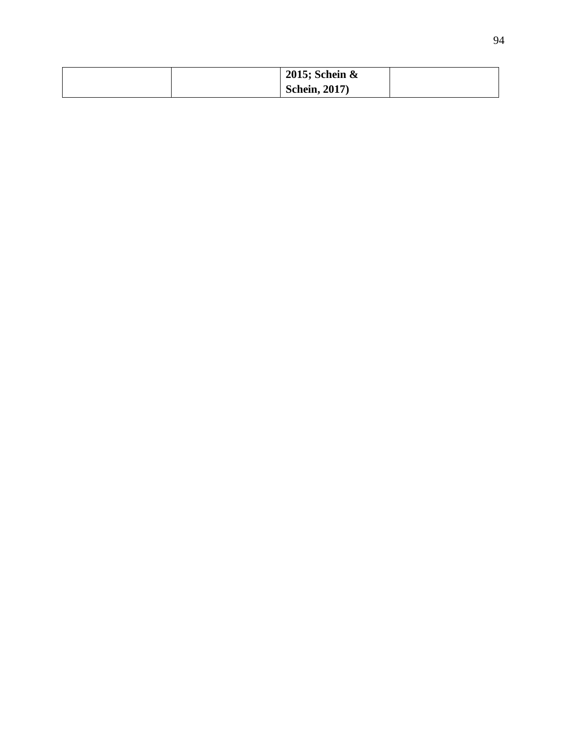|  | 2015; Schein $\&$    |  |
|--|----------------------|--|
|  | <b>Schein, 2017)</b> |  |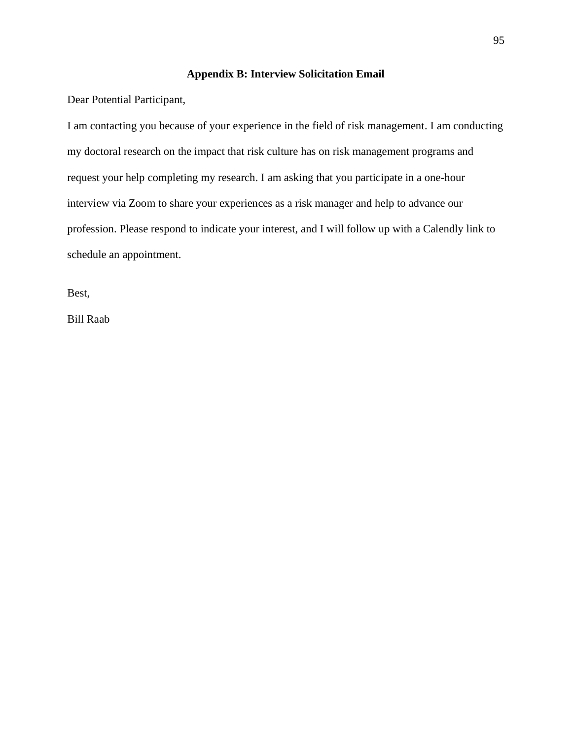## **Appendix B: Interview Solicitation Email**

Dear Potential Participant,

I am contacting you because of your experience in the field of risk management. I am conducting my doctoral research on the impact that risk culture has on risk management programs and request your help completing my research. I am asking that you participate in a one-hour interview via Zoom to share your experiences as a risk manager and help to advance our profession. Please respond to indicate your interest, and I will follow up with a Calendly link to schedule an appointment.

Best,

Bill Raab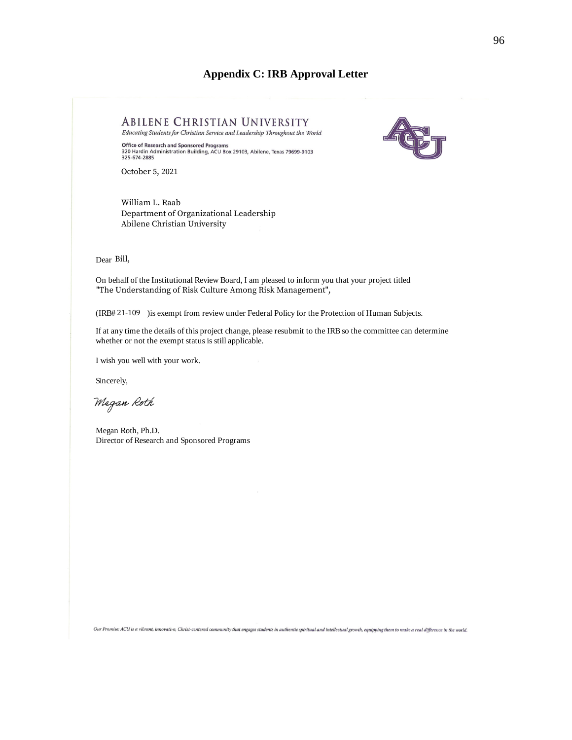## **Appendix C: IRB Approval Letter**



Dear Bill,

On behalf of the Institutional Review Board, I am pleased to inform you that your project titled "The Understanding of Risk Culture Among Risk Management",

(IRB# 21-109 ) is exempt from review under Federal Policy for the Protection of Human Subjects.

If at any time the details of this project change, please resubmit to the IRB so the committee can determine whether or not the exempt status is still applicable.

I wish you well with your work.

Sincerely,

Megan Roth

Megan Roth, Ph.D. Director of Research and Sponsored Programs

Our Promise: ACU is a vibrant, innovative, Christ-centered community that engages students in authentic spiritual and intellectual growth, equipping them to make a real difference in the world.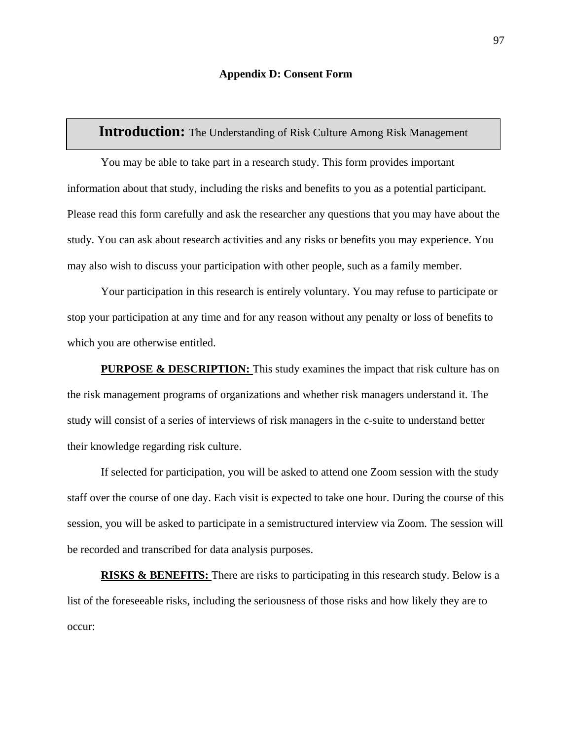## **Introduction:** The Understanding of Risk Culture Among Risk Management

You may be able to take part in a research study. This form provides important information about that study, including the risks and benefits to you as a potential participant. Please read this form carefully and ask the researcher any questions that you may have about the study. You can ask about research activities and any risks or benefits you may experience. You may also wish to discuss your participation with other people, such as a family member.

Your participation in this research is entirely voluntary. You may refuse to participate or stop your participation at any time and for any reason without any penalty or loss of benefits to which you are otherwise entitled.

**PURPOSE & DESCRIPTION:** This study examines the impact that risk culture has on the risk management programs of organizations and whether risk managers understand it. The study will consist of a series of interviews of risk managers in the c-suite to understand better their knowledge regarding risk culture.

If selected for participation, you will be asked to attend one Zoom session with the study staff over the course of one day. Each visit is expected to take one hour. During the course of this session, you will be asked to participate in a semistructured interview via Zoom. The session will be recorded and transcribed for data analysis purposes.

**RISKS & BENEFITS:** There are risks to participating in this research study. Below is a list of the foreseeable risks, including the seriousness of those risks and how likely they are to occur: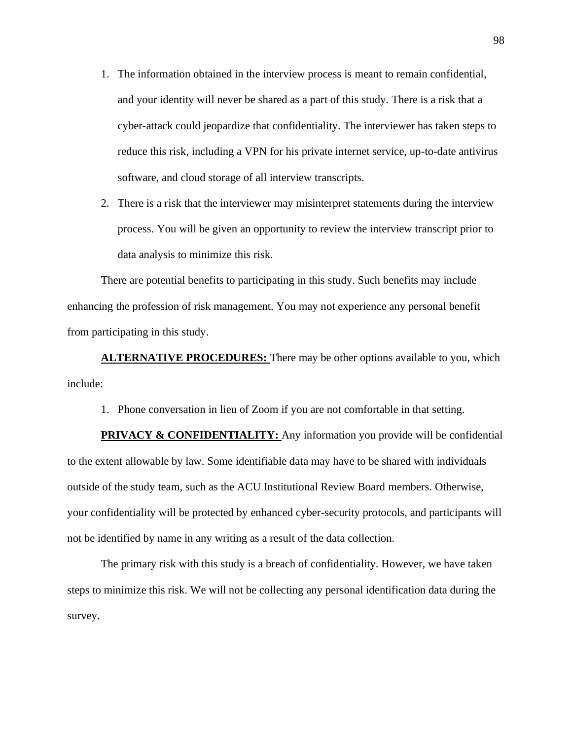- 1. The information obtained in the interview process is meant to remain confidential, and your identity will never be shared as a part of this study. There is a risk that a cyber-attack could jeopardize that confidentiality. The interviewer has taken steps to reduce this risk, including a VPN for his private internet service, up-to-date antivirus software, and cloud storage of all interview transcripts.
- 2. There is a risk that the interviewer may misinterpret statements during the interview process. You will be given an opportunity to review the interview transcript prior to data analysis to minimize this risk.

There are potential benefits to participating in this study. Such benefits may include enhancing the profession of risk management. You may not experience any personal benefit from participating in this study.

**ALTERNATIVE PROCEDURES:** There may be other options available to you, which include:

1. Phone conversation in lieu of Zoom if you are not comfortable in that setting.

**PRIVACY & CONFIDENTIALITY:** Any information you provide will be confidential to the extent allowable by law. Some identifiable data may have to be shared with individuals outside of the study team, such as the ACU Institutional Review Board members. Otherwise, your confidentiality will be protected by enhanced cyber-security protocols, and participants will not be identified by name in any writing as a result of the data collection.

The primary risk with this study is a breach of confidentiality. However, we have taken steps to minimize this risk. We will not be collecting any personal identification data during the survey.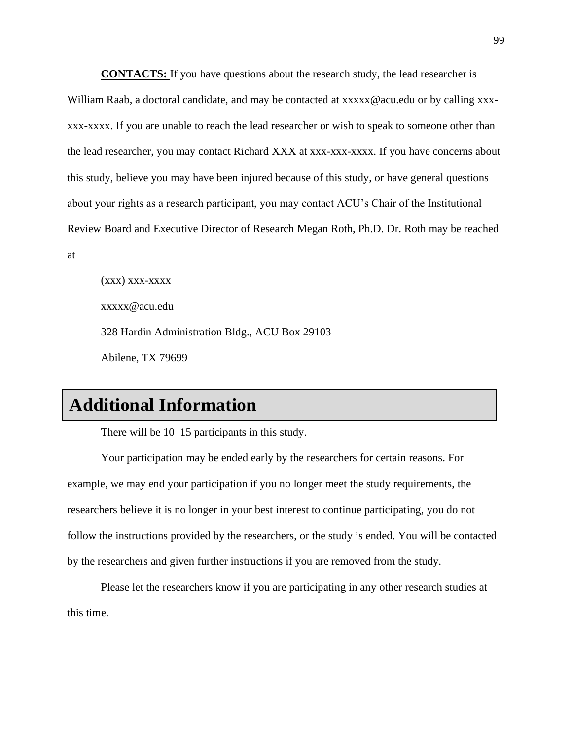**CONTACTS:** If you have questions about the research study, the lead researcher is William Raab, a doctoral candidate, and may be contacted at xxxxx $@$  acu.edu or by calling xxxxxx-xxxx. If you are unable to reach the lead researcher or wish to speak to someone other than the lead researcher, you may contact Richard XXX at xxx-xxx-xxxx. If you have concerns about this study, believe you may have been injured because of this study, or have general questions about your rights as a research participant, you may contact ACU's Chair of the Institutional Review Board and Executive Director of Research Megan Roth, Ph.D. Dr. Roth may be reached

at

 $(xxx)$  xxx-xxxx xxxxx@acu.edu 328 Hardin Administration Bldg., ACU Box 29103 Abilene, TX 79699

## **Additional Information**

There will be 10–15 participants in this study.

Your participation may be ended early by the researchers for certain reasons. For example, we may end your participation if you no longer meet the study requirements, the researchers believe it is no longer in your best interest to continue participating, you do not follow the instructions provided by the researchers, or the study is ended. You will be contacted by the researchers and given further instructions if you are removed from the study.

Please let the researchers know if you are participating in any other research studies at this time.